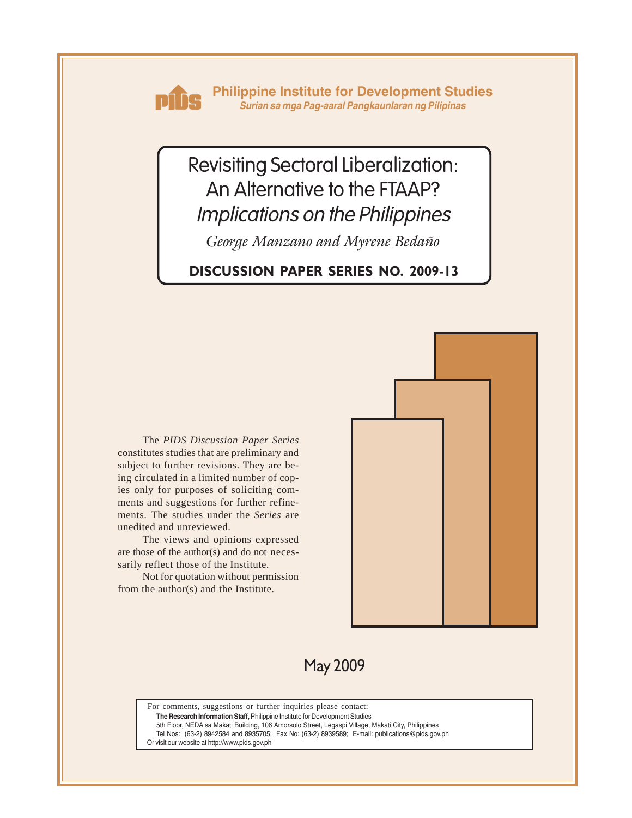

**Philippine Institute for Development Studies** *Surian sa mga Pag-aaral Pangkaunlaran ng Pilipinas*

# Revisiting Sectoral Liberalization: An Alternative to the FTAAP? Implications on the Philippines

*George Manzano and Myrene Bedaño*

# **DISCUSSION PAPER SERIES NO. 2009-13**

The *PIDS Discussion Paper Series* constitutes studies that are preliminary and subject to further revisions. They are being circulated in a limited number of copies only for purposes of soliciting comments and suggestions for further refinements. The studies under the *Series* are unedited and unreviewed.

The views and opinions expressed are those of the author(s) and do not necessarily reflect those of the Institute.

Not for quotation without permission from the author(s) and the Institute.



May 2009

For comments, suggestions or further inquiries please contact:

**The Research Information Staff,** Philippine Institute for Development Studies

5th Floor, NEDA sa Makati Building, 106 Amorsolo Street, Legaspi Village, Makati City, Philippines

Tel Nos: (63-2) 8942584 and 8935705; Fax No: (63-2) 8939589; E-mail: publications@pids.gov.ph

Or visit our website at http://www.pids.gov.ph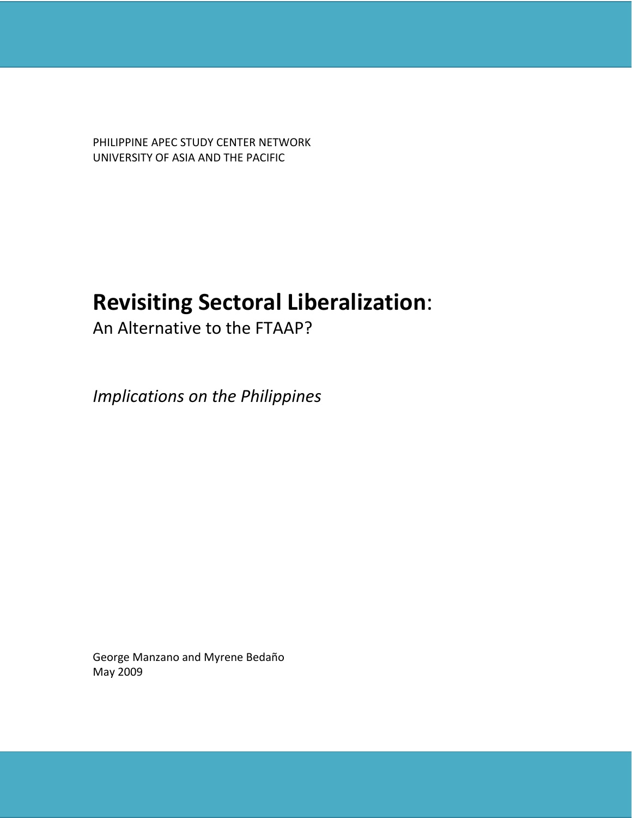PHILIPPINE APEC STUDY CENTER NETWORK UNIVERSITY OF ASIA AND THE PACIFIC

# **Revisiting Sectoral Liberalization**:

An Alternative to the FTAAP?

*Implications on the Philippines*

George Manzano and Myrene Bedaño May 2009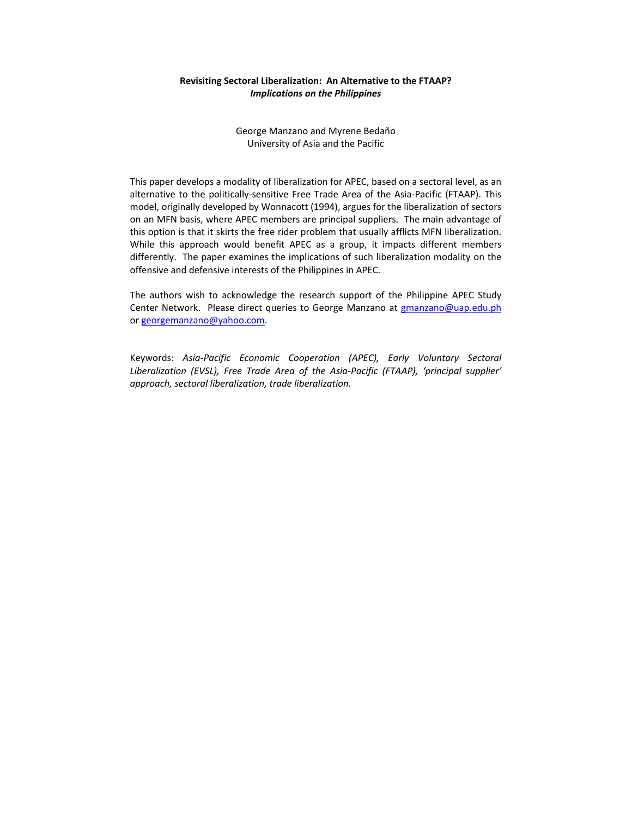# **Revisiting Sectoral Liberalization: An Alternative to the FTAAP?** *Implications on the Philippines*

George Manzano and Myrene Bedaño University of Asia and the Pacific

This paper develops a modality of liberalization for APEC, based on a sectoral level, as an alternative to the politically‐sensitive Free Trade Area of the Asia‐Pacific (FTAAP). This model, originally developed by Wonnacott (1994), argues for the liberalization of sectors on an MFN basis, where APEC members are principal suppliers. The main advantage of this option is that it skirts the free rider problem that usually afflicts MFN liberalization. While this approach would benefit APEC as a group, it impacts different members differently. The paper examines the implications of such liberalization modality on the offensive and defensive interests of the Philippines in APEC.

The authors wish to acknowledge the research support of the Philippine APEC Study Center Network. Please direct queries to George Manzano at gmanzano@uap.edu.ph or georgemanzano@yahoo.com.

Keywords: *Asia‐Pacific Economic Cooperation (APEC), Early Voluntary Sectoral Liberalization (EVSL), Free Trade Area of the Asia‐Pacific (FTAAP), 'principal supplier' approach, sectoral liberalization, trade liberalization.*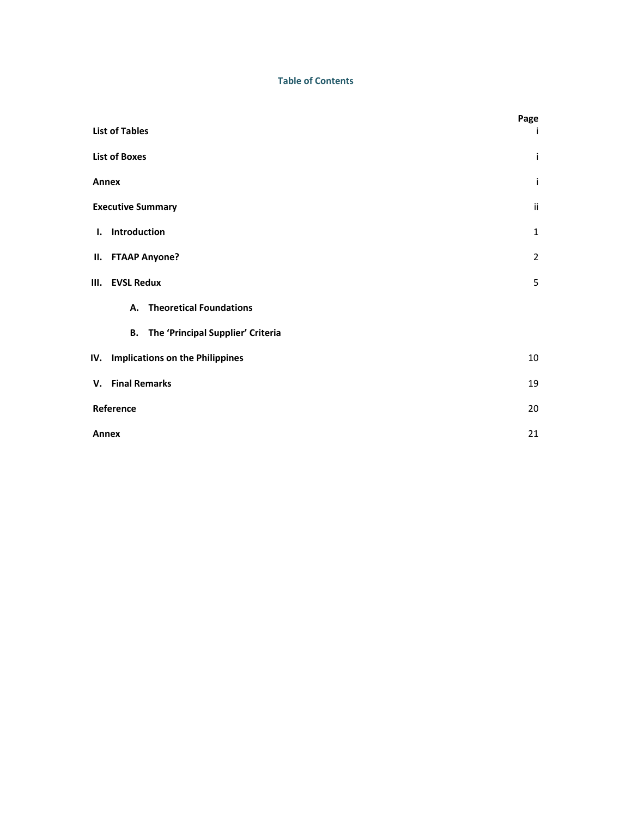# **Table of Contents**

|                                             | Page           |
|---------------------------------------------|----------------|
| <b>List of Tables</b>                       | Ť              |
| <b>List of Boxes</b>                        | Ť              |
| Annex                                       | Ť              |
| <b>Executive Summary</b>                    | ii             |
| I. Introduction                             | $\mathbf{1}$   |
| II. FTAAP Anyone?                           | $\overline{2}$ |
| III. EVSL Redux                             | 5              |
| A. Theoretical Foundations                  |                |
| <b>B.</b> The 'Principal Supplier' Criteria |                |
| IV. Implications on the Philippines         | 10             |
| V. Final Remarks                            | 19             |
| Reference                                   | 20             |
| Annex                                       | 21             |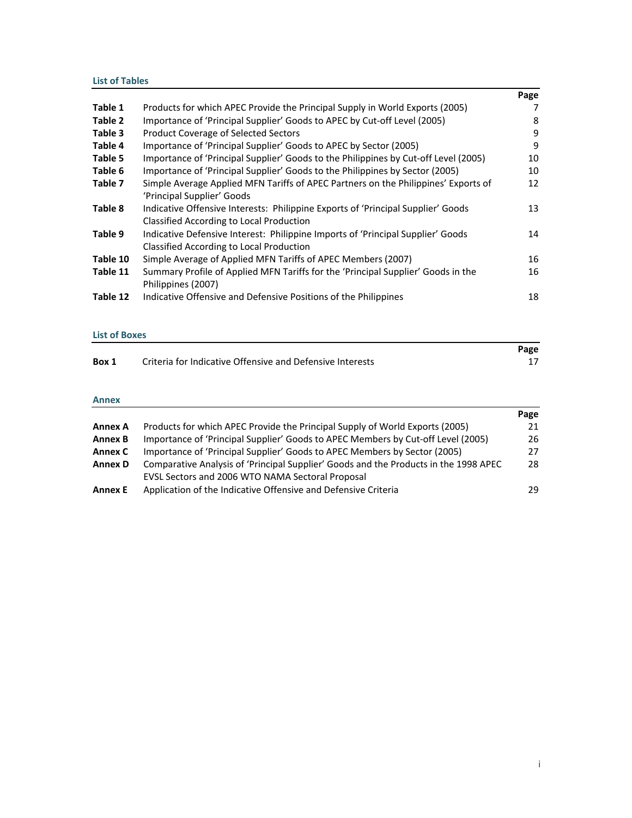# **List of Tables**

|          |                                                                                     | Page |
|----------|-------------------------------------------------------------------------------------|------|
| Table 1  | Products for which APEC Provide the Principal Supply in World Exports (2005)        |      |
| Table 2  | Importance of 'Principal Supplier' Goods to APEC by Cut-off Level (2005)            | 8    |
| Table 3  | <b>Product Coverage of Selected Sectors</b>                                         | 9    |
| Table 4  | Importance of 'Principal Supplier' Goods to APEC by Sector (2005)                   | 9    |
| Table 5  | Importance of 'Principal Supplier' Goods to the Philippines by Cut-off Level (2005) | 10   |
| Table 6  | Importance of 'Principal Supplier' Goods to the Philippines by Sector (2005)        | 10   |
| Table 7  | Simple Average Applied MFN Tariffs of APEC Partners on the Philippines' Exports of  | 12   |
|          | 'Principal Supplier' Goods                                                          |      |
| Table 8  | Indicative Offensive Interests: Philippine Exports of 'Principal Supplier' Goods    | 13   |
|          | Classified According to Local Production                                            |      |
| Table 9  | Indicative Defensive Interest: Philippine Imports of 'Principal Supplier' Goods     | 14   |
|          | Classified According to Local Production                                            |      |
| Table 10 | Simple Average of Applied MFN Tariffs of APEC Members (2007)                        | 16   |
| Table 11 | Summary Profile of Applied MFN Tariffs for the 'Principal Supplier' Goods in the    | 16   |
|          | Philippines (2007)                                                                  |      |
| Table 12 | Indicative Offensive and Defensive Positions of the Philippines                     | 18   |

# **List of Boxes**

|       |                                                           | Page |
|-------|-----------------------------------------------------------|------|
| Box 1 | Criteria for Indicative Offensive and Defensive Interests |      |

# **Annex**

|                |                                                                                      | Page |
|----------------|--------------------------------------------------------------------------------------|------|
| <b>Annex A</b> | Products for which APEC Provide the Principal Supply of World Exports (2005)         | 21   |
| <b>Annex B</b> | Importance of 'Principal Supplier' Goods to APEC Members by Cut-off Level (2005)     | 26   |
| Annex C        | Importance of 'Principal Supplier' Goods to APEC Members by Sector (2005)            | 27   |
| <b>Annex D</b> | Comparative Analysis of 'Principal Supplier' Goods and the Products in the 1998 APEC | 28   |
|                | EVSL Sectors and 2006 WTO NAMA Sectoral Proposal                                     |      |
| <b>Annex E</b> | Application of the Indicative Offensive and Defensive Criteria                       | 29   |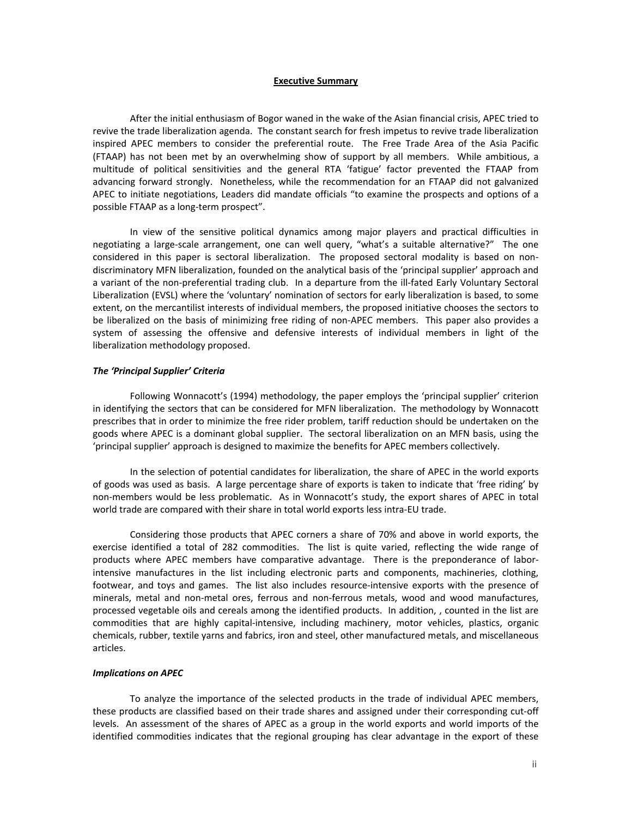#### **Executive Summary**

After the initial enthusiasm of Bogor waned in the wake of the Asian financial crisis, APEC tried to revive the trade liberalization agenda. The constant search for fresh impetus to revive trade liberalization inspired APEC members to consider the preferential route. The Free Trade Area of the Asia Pacific (FTAAP) has not been met by an overwhelming show of support by all members. While ambitious, a multitude of political sensitivities and the general RTA 'fatigue' factor prevented the FTAAP from advancing forward strongly. Nonetheless, while the recommendation for an FTAAP did not galvanized APEC to initiate negotiations, Leaders did mandate officials "to examine the prospects and options of a possible FTAAP as a long‐term prospect".

In view of the sensitive political dynamics among major players and practical difficulties in negotiating a large-scale arrangement, one can well query, "what's a suitable alternative?" The one considered in this paper is sectoral liberalization. The proposed sectoral modality is based on nondiscriminatory MFN liberalization, founded on the analytical basis of the 'principal supplier' approach and a variant of the non-preferential trading club. In a departure from the ill-fated Early Voluntary Sectoral Liberalization (EVSL) where the 'voluntary' nomination of sectors for early liberalization is based, to some extent, on the mercantilist interests of individual members, the proposed initiative chooses the sectors to be liberalized on the basis of minimizing free riding of non-APEC members. This paper also provides a system of assessing the offensive and defensive interests of individual members in light of the liberalization methodology proposed.

### *The 'Principal Supplier' Criteria*

 Following Wonnacott's (1994) methodology, the paper employs the 'principal supplier' criterion in identifying the sectors that can be considered for MFN liberalization. The methodology by Wonnacott prescribes that in order to minimize the free rider problem, tariff reduction should be undertaken on the goods where APEC is a dominant global supplier. The sectoral liberalization on an MFN basis, using the 'principal supplier' approach is designed to maximize the benefits for APEC members collectively.

 In the selection of potential candidates for liberalization, the share of APEC in the world exports of goods was used as basis. A large percentage share of exports is taken to indicate that 'free riding' by non‐members would be less problematic. As in Wonnacott's study, the export shares of APEC in total world trade are compared with their share in total world exports less intra‐EU trade.

Considering those products that APEC corners a share of 70% and above in world exports, the exercise identified a total of 282 commodities. The list is quite varied, reflecting the wide range of products where APEC members have comparative advantage. There is the preponderance of laborintensive manufactures in the list including electronic parts and components, machineries, clothing, footwear, and toys and games. The list also includes resource-intensive exports with the presence of minerals, metal and non‐metal ores, ferrous and non‐ferrous metals, wood and wood manufactures, processed vegetable oils and cereals among the identified products. In addition, , counted in the list are commodities that are highly capital-intensive, including machinery, motor vehicles, plastics, organic chemicals, rubber, textile yarns and fabrics, iron and steel, other manufactured metals, and miscellaneous articles.

## *Implications on APEC*

To analyze the importance of the selected products in the trade of individual APEC members, these products are classified based on their trade shares and assigned under their corresponding cut‐off levels. An assessment of the shares of APEC as a group in the world exports and world imports of the identified commodities indicates that the regional grouping has clear advantage in the export of these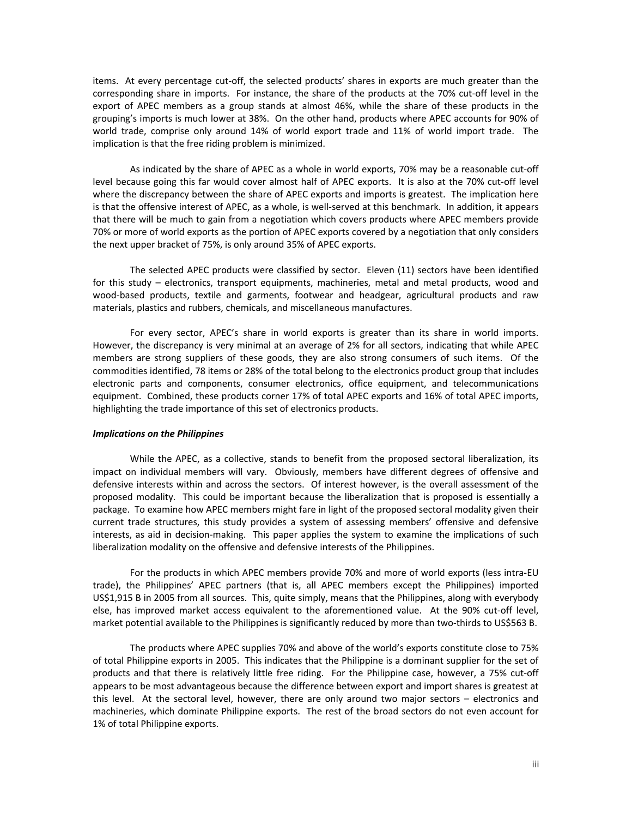items. At every percentage cut‐off, the selected products' shares in exports are much greater than the corresponding share in imports. For instance, the share of the products at the 70% cut‐off level in the export of APEC members as a group stands at almost 46%, while the share of these products in the grouping's imports is much lower at 38%. On the other hand, products where APEC accounts for 90% of world trade, comprise only around 14% of world export trade and 11% of world import trade. The implication is that the free riding problem is minimized.

As indicated by the share of APEC as a whole in world exports, 70% may be a reasonable cut‐off level because going this far would cover almost half of APEC exports. It is also at the 70% cut-off level where the discrepancy between the share of APEC exports and imports is greatest. The implication here is that the offensive interest of APEC, as a whole, is well‐served at this benchmark. In addition, it appears that there will be much to gain from a negotiation which covers products where APEC members provide 70% or more of world exports as the portion of APEC exports covered by a negotiation that only considers the next upper bracket of 75%, is only around 35% of APEC exports.

The selected APEC products were classified by sector. Eleven (11) sectors have been identified for this study – electronics, transport equipments, machineries, metal and metal products, wood and wood-based products, textile and garments, footwear and headgear, agricultural products and raw materials, plastics and rubbers, chemicals, and miscellaneous manufactures.

For every sector, APEC's share in world exports is greater than its share in world imports. However, the discrepancy is very minimal at an average of 2% for all sectors, indicating that while APEC members are strong suppliers of these goods, they are also strong consumers of such items. Of the commodities identified, 78 items or 28% of the total belong to the electronics product group that includes electronic parts and components, consumer electronics, office equipment, and telecommunications equipment. Combined, these products corner 17% of total APEC exports and 16% of total APEC imports, highlighting the trade importance of this set of electronics products.

#### *Implications on the Philippines*

While the APEC, as a collective, stands to benefit from the proposed sectoral liberalization, its impact on individual members will vary. Obviously, members have different degrees of offensive and defensive interests within and across the sectors. Of interest however, is the overall assessment of the proposed modality. This could be important because the liberalization that is proposed is essentially a package. To examine how APEC members might fare in light of the proposed sectoral modality given their current trade structures, this study provides a system of assessing members' offensive and defensive interests, as aid in decision-making. This paper applies the system to examine the implications of such liberalization modality on the offensive and defensive interests of the Philippines.

For the products in which APEC members provide 70% and more of world exports (less intra‐EU trade), the Philippines' APEC partners (that is, all APEC members except the Philippines) imported US\$1,915 B in 2005 from all sources. This, quite simply, means that the Philippines, along with everybody else, has improved market access equivalent to the aforementioned value. At the 90% cut-off level, market potential available to the Philippines is significantly reduced by more than two-thirds to US\$563 B.

The products where APEC supplies 70% and above of the world's exports constitute close to 75% of total Philippine exports in 2005. This indicates that the Philippine is a dominant supplier for the set of products and that there is relatively little free riding. For the Philippine case, however, a 75% cut-off appears to be most advantageous because the difference between export and import shares is greatest at this level. At the sectoral level, however, there are only around two major sectors - electronics and machineries, which dominate Philippine exports. The rest of the broad sectors do not even account for 1% of total Philippine exports.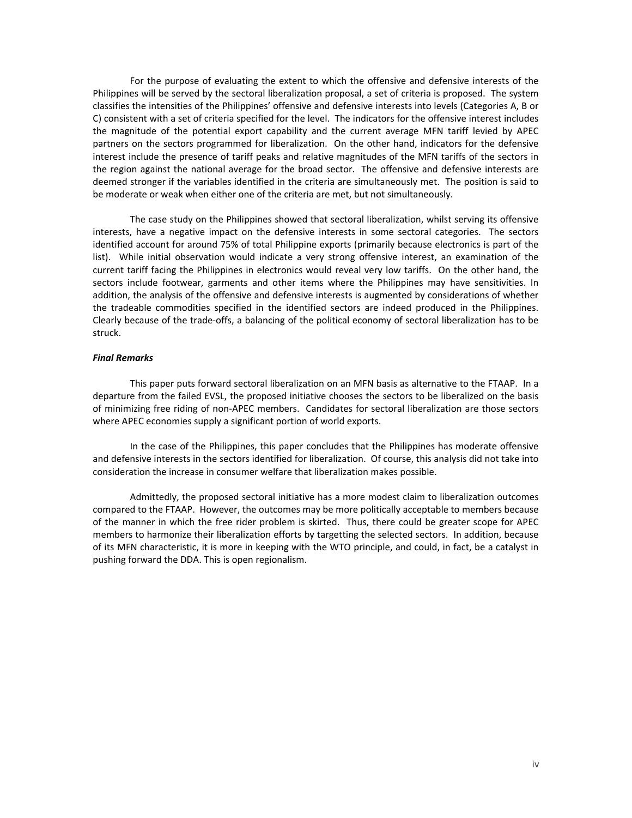For the purpose of evaluating the extent to which the offensive and defensive interests of the Philippines will be served by the sectoral liberalization proposal, a set of criteria is proposed. The system classifies the intensities of the Philippines' offensive and defensive interests into levels (Categories A, B or C) consistent with a set of criteria specified for the level. The indicators for the offensive interest includes the magnitude of the potential export capability and the current average MFN tariff levied by APEC partners on the sectors programmed for liberalization. On the other hand, indicators for the defensive interest include the presence of tariff peaks and relative magnitudes of the MFN tariffs of the sectors in the region against the national average for the broad sector. The offensive and defensive interests are deemed stronger if the variables identified in the criteria are simultaneously met. The position is said to be moderate or weak when either one of the criteria are met, but not simultaneously.

The case study on the Philippines showed that sectoral liberalization, whilst serving its offensive interests, have a negative impact on the defensive interests in some sectoral categories. The sectors identified account for around 75% of total Philippine exports (primarily because electronics is part of the list). While initial observation would indicate a very strong offensive interest, an examination of the current tariff facing the Philippines in electronics would reveal very low tariffs. On the other hand, the sectors include footwear, garments and other items where the Philippines may have sensitivities. In addition, the analysis of the offensive and defensive interests is augmented by considerations of whether the tradeable commodities specified in the identified sectors are indeed produced in the Philippines. Clearly because of the trade‐offs, a balancing of the political economy of sectoral liberalization has to be struck.

# *Final Remarks*

This paper puts forward sectoral liberalization on an MFN basis as alternative to the FTAAP. In a departure from the failed EVSL, the proposed initiative chooses the sectors to be liberalized on the basis of minimizing free riding of non‐APEC members. Candidates for sectoral liberalization are those sectors where APEC economies supply a significant portion of world exports.

In the case of the Philippines, this paper concludes that the Philippines has moderate offensive and defensive interests in the sectors identified for liberalization. Of course, this analysis did not take into consideration the increase in consumer welfare that liberalization makes possible.

Admittedly, the proposed sectoral initiative has a more modest claim to liberalization outcomes compared to the FTAAP. However, the outcomes may be more politically acceptable to members because of the manner in which the free rider problem is skirted. Thus, there could be greater scope for APEC members to harmonize their liberalization efforts by targetting the selected sectors. In addition, because of its MFN characteristic, it is more in keeping with the WTO principle, and could, in fact, be a catalyst in pushing forward the DDA. This is open regionalism.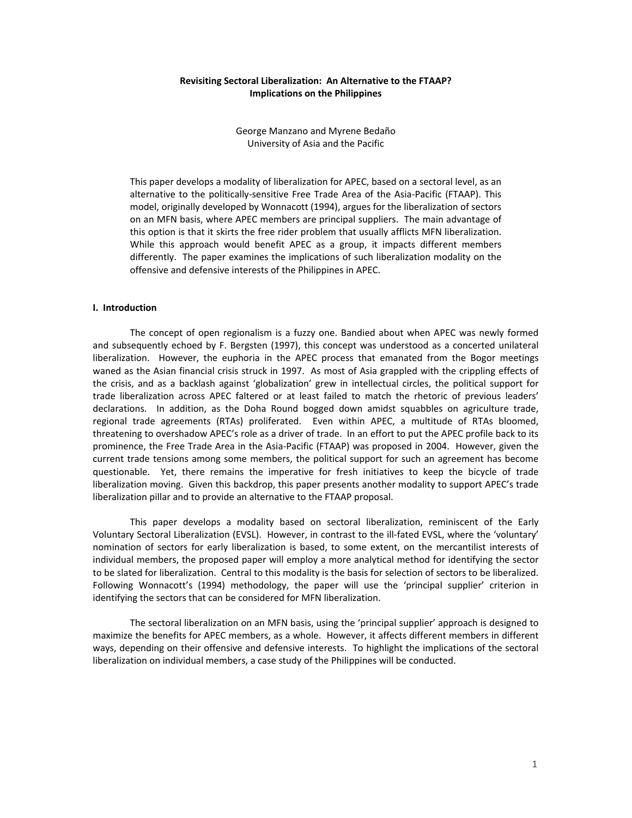# **Revisiting Sectoral Liberalization: An Alternative to the FTAAP? Implications on the Philippines**

George Manzano and Myrene Bedaño University of Asia and the Pacific

This paper develops a modality of liberalization for APEC, based on a sectoral level, as an alternative to the politically‐sensitive Free Trade Area of the Asia‐Pacific (FTAAP). This model, originally developed by Wonnacott (1994), argues for the liberalization of sectors on an MFN basis, where APEC members are principal suppliers. The main advantage of this option is that it skirts the free rider problem that usually afflicts MFN liberalization. While this approach would benefit APEC as a group, it impacts different members differently. The paper examines the implications of such liberalization modality on the offensive and defensive interests of the Philippines in APEC.

# **I. Introduction**

 The concept of open regionalism is a fuzzy one. Bandied about when APEC was newly formed and subsequently echoed by F. Bergsten (1997), this concept was understood as a concerted unilateral liberalization. However, the euphoria in the APEC process that emanated from the Bogor meetings waned as the Asian financial crisis struck in 1997. As most of Asia grappled with the crippling effects of the crisis, and as a backlash against 'globalization' grew in intellectual circles, the political support for trade liberalization across APEC faltered or at least failed to match the rhetoric of previous leaders' declarations. In addition, as the Doha Round bogged down amidst squabbles on agriculture trade, regional trade agreements (RTAs) proliferated. Even within APEC, a multitude of RTAs bloomed, threatening to overshadow APEC's role as a driver of trade. In an effort to put the APEC profile back to its prominence, the Free Trade Area in the Asia‐Pacific (FTAAP) was proposed in 2004. However, given the current trade tensions among some members, the political support for such an agreement has become questionable. Yet, there remains the imperative for fresh initiatives to keep the bicycle of trade liberalization moving. Given this backdrop, this paper presents another modality to support APEC's trade liberalization pillar and to provide an alternative to the FTAAP proposal.

 This paper develops a modality based on sectoral liberalization, reminiscent of the Early Voluntary Sectoral Liberalization (EVSL). However, in contrast to the ill‐fated EVSL, where the 'voluntary' nomination of sectors for early liberalization is based, to some extent, on the mercantilist interests of individual members, the proposed paper will employ a more analytical method for identifying the sector to be slated for liberalization. Central to this modality is the basis for selection of sectors to be liberalized. Following Wonnacott's (1994) methodology, the paper will use the 'principal supplier' criterion in identifying the sectors that can be considered for MFN liberalization.

 The sectoral liberalization on an MFN basis, using the 'principal supplier' approach is designed to maximize the benefits for APEC members, as a whole. However, it affects different members in different ways, depending on their offensive and defensive interests. To highlight the implications of the sectoral liberalization on individual members, a case study of the Philippines will be conducted.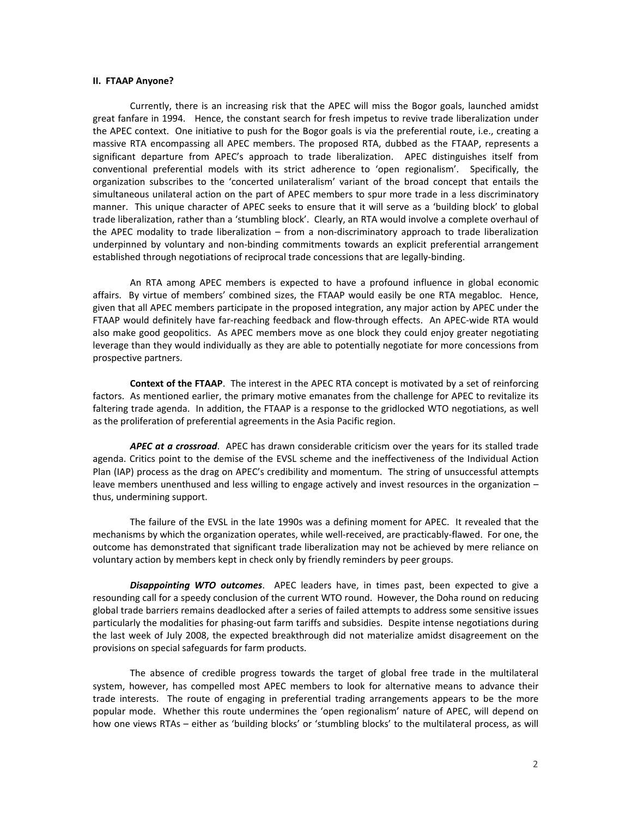# **II. FTAAP Anyone?**

Currently, there is an increasing risk that the APEC will miss the Bogor goals, launched amidst great fanfare in 1994. Hence, the constant search for fresh impetus to revive trade liberalization under the APEC context. One initiative to push for the Bogor goals is via the preferential route, i.e., creating a massive RTA encompassing all APEC members. The proposed RTA, dubbed as the FTAAP, represents a significant departure from APEC's approach to trade liberalization. APEC distinguishes itself from conventional preferential models with its strict adherence to 'open regionalism'. Specifically, the organization subscribes to the 'concerted unilateralism' variant of the broad concept that entails the simultaneous unilateral action on the part of APEC members to spur more trade in a less discriminatory manner. This unique character of APEC seeks to ensure that it will serve as a 'building block' to global trade liberalization, rather than a 'stumbling block'. Clearly, an RTA would involve a complete overhaul of the APEC modality to trade liberalization – from a non‐discriminatory approach to trade liberalization underpinned by voluntary and non‐binding commitments towards an explicit preferential arrangement established through negotiations of reciprocal trade concessions that are legally‐binding.

An RTA among APEC members is expected to have a profound influence in global economic affairs. By virtue of members' combined sizes, the FTAAP would easily be one RTA megabloc. Hence, given that all APEC members participate in the proposed integration, any major action by APEC under the FTAAP would definitely have far-reaching feedback and flow-through effects. An APEC-wide RTA would also make good geopolitics. As APEC members move as one block they could enjoy greater negotiating leverage than they would individually as they are able to potentially negotiate for more concessions from prospective partners.

**Context of the FTAAP**.The interest in the APEC RTA concept is motivated by a set of reinforcing factors. As mentioned earlier, the primary motive emanates from the challenge for APEC to revitalize its faltering trade agenda. In addition, the FTAAP is a response to the gridlocked WTO negotiations, as well as the proliferation of preferential agreements in the Asia Pacific region.

*APEC at a crossroad*. APEC has drawn considerable criticism over the years for its stalled trade agenda. Critics point to the demise of the EVSL scheme and the ineffectiveness of the Individual Action Plan (IAP) process as the drag on APEC's credibility and momentum. The string of unsuccessful attempts leave members unenthused and less willing to engage actively and invest resources in the organization – thus, undermining support.

The failure of the EVSL in the late 1990s was a defining moment for APEC. It revealed that the mechanisms by which the organization operates, while well‐received, are practicably‐flawed. For one, the outcome has demonstrated that significant trade liberalization may not be achieved by mere reliance on voluntary action by members kept in check only by friendly reminders by peer groups.

 *Disappointing WTO outcomes*. APEC leaders have, in times past, been expected to give a resounding call for a speedy conclusion of the current WTO round. However, the Doha round on reducing global trade barriers remains deadlocked after a series of failed attempts to address some sensitive issues particularly the modalities for phasing-out farm tariffs and subsidies. Despite intense negotiations during the last week of July 2008, the expected breakthrough did not materialize amidst disagreement on the provisions on special safeguards for farm products.

The absence of credible progress towards the target of global free trade in the multilateral system, however, has compelled most APEC members to look for alternative means to advance their trade interests. The route of engaging in preferential trading arrangements appears to be the more popular mode. Whether this route undermines the 'open regionalism' nature of APEC, will depend on how one views RTAs – either as 'building blocks' or 'stumbling blocks' to the multilateral process, as will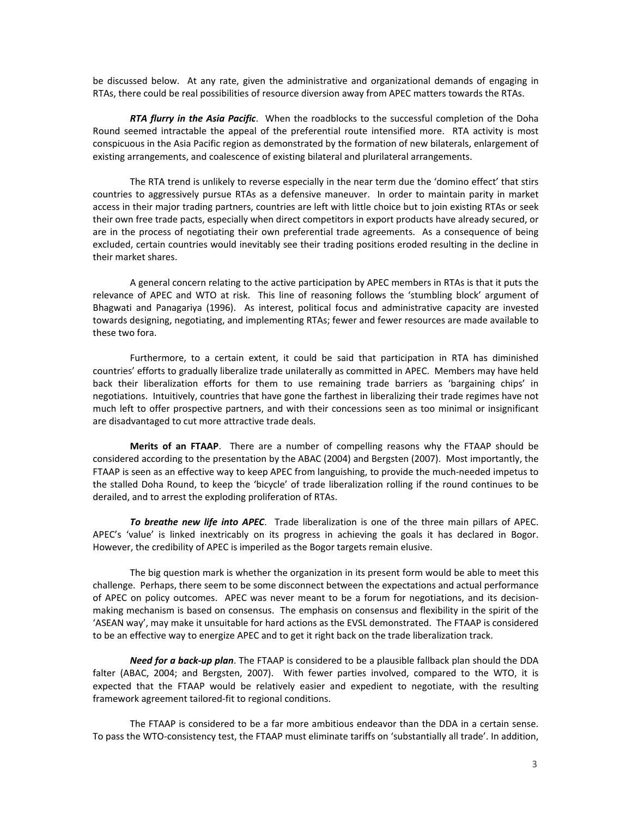be discussed below. At any rate, given the administrative and organizational demands of engaging in RTAs, there could be real possibilities of resource diversion away from APEC matters towards the RTAs.

*RTA flurry in the Asia Pacific*. When the roadblocks to the successful completion of the Doha Round seemed intractable the appeal of the preferential route intensified more. RTA activity is most conspicuous in the Asia Pacific region as demonstrated by the formation of new bilaterals, enlargement of existing arrangements, and coalescence of existing bilateral and plurilateral arrangements.

The RTA trend is unlikely to reverse especially in the near term due the 'domino effect' that stirs countries to aggressively pursue RTAs as a defensive maneuver. In order to maintain parity in market access in their major trading partners, countries are left with little choice but to join existing RTAs or seek their own free trade pacts, especially when direct competitors in export products have already secured, or are in the process of negotiating their own preferential trade agreements. As a consequence of being excluded, certain countries would inevitably see their trading positions eroded resulting in the decline in their market shares.

A general concern relating to the active participation by APEC members in RTAs is that it puts the relevance of APEC and WTO at risk. This line of reasoning follows the 'stumbling block' argument of Bhagwati and Panagariya (1996). As interest, political focus and administrative capacity are invested towards designing, negotiating, and implementing RTAs; fewer and fewer resources are made available to these two fora.

Furthermore, to a certain extent, it could be said that participation in RTA has diminished countries' efforts to gradually liberalize trade unilaterally as committed in APEC. Members may have held back their liberalization efforts for them to use remaining trade barriers as 'bargaining chips' in negotiations. Intuitively, countries that have gone the farthest in liberalizing their trade regimes have not much left to offer prospective partners, and with their concessions seen as too minimal or insignificant are disadvantaged to cut more attractive trade deals.

**Merits of an FTAAP**. There are a number of compelling reasons why the FTAAP should be considered according to the presentation by the ABAC (2004) and Bergsten (2007). Most importantly, the FTAAP is seen as an effective way to keep APEC from languishing, to provide the much-needed impetus to the stalled Doha Round, to keep the 'bicycle' of trade liberalization rolling if the round continues to be derailed, and to arrest the exploding proliferation of RTAs.

*To breathe new life into APEC*. Trade liberalization is one of the three main pillars of APEC. APEC's 'value' is linked inextricably on its progress in achieving the goals it has declared in Bogor. However, the credibility of APEC is imperiled as the Bogor targets remain elusive.

The big question mark is whether the organization in its present form would be able to meet this challenge. Perhaps, there seem to be some disconnect between the expectations and actual performance of APEC on policy outcomes. APEC was never meant to be a forum for negotiations, and its decision‐ making mechanism is based on consensus. The emphasis on consensus and flexibility in the spirit of the 'ASEAN way', may make it unsuitable for hard actions as the EVSL demonstrated. The FTAAP is considered to be an effective way to energize APEC and to get it right back on the trade liberalization track.

*Need for a back‐up plan*. The FTAAP is considered to be a plausible fallback plan should the DDA falter (ABAC, 2004; and Bergsten, 2007). With fewer parties involved, compared to the WTO, it is expected that the FTAAP would be relatively easier and expedient to negotiate, with the resulting framework agreement tailored‐fit to regional conditions.

The FTAAP is considered to be a far more ambitious endeavor than the DDA in a certain sense. To pass the WTO‐consistency test, the FTAAP must eliminate tariffs on 'substantially all trade'. In addition,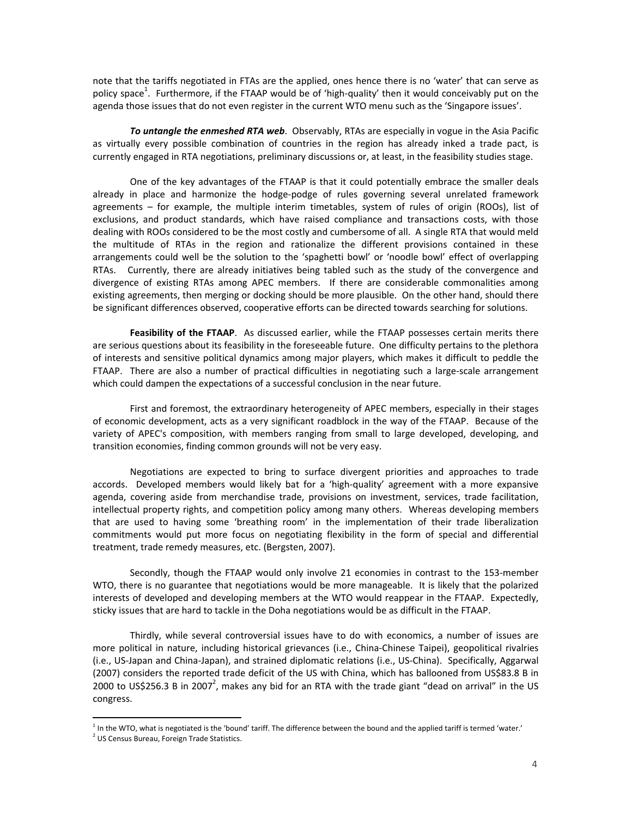note that the tariffs negotiated in FTAs are the applied, ones hence there is no 'water' that can serve as policy space<sup>1</sup>. Furthermore, if the FTAAP would be of 'high-quality' then it would conceivably put on the agenda those issues that do not even register in the current WTO menu such as the 'Singapore issues'.

*To untangle the enmeshed RTA web*. Observably, RTAs are especially in vogue in the Asia Pacific as virtually every possible combination of countries in the region has already inked a trade pact, is currently engaged in RTA negotiations, preliminary discussions or, at least, in the feasibility studies stage.

One of the key advantages of the FTAAP is that it could potentially embrace the smaller deals already in place and harmonize the hodge‐podge of rules governing several unrelated framework agreements – for example, the multiple interim timetables, system of rules of origin (ROOs), list of exclusions, and product standards, which have raised compliance and transactions costs, with those dealing with ROOs considered to be the most costly and cumbersome of all. A single RTA that would meld the multitude of RTAs in the region and rationalize the different provisions contained in these arrangements could well be the solution to the 'spaghetti bowl' or 'noodle bowl' effect of overlapping RTAs. Currently, there are already initiatives being tabled such as the study of the convergence and divergence of existing RTAs among APEC members. If there are considerable commonalities among existing agreements, then merging or docking should be more plausible. On the other hand, should there be significant differences observed, cooperative efforts can be directed towards searching for solutions.

**Feasibility of the FTAAP**.As discussed earlier, while the FTAAP possesses certain merits there are serious questions about its feasibility in the foreseeable future. One difficulty pertains to the plethora of interests and sensitive political dynamics among major players, which makes it difficult to peddle the FTAAP. There are also a number of practical difficulties in negotiating such a large-scale arrangement which could dampen the expectations of a successful conclusion in the near future.

First and foremost, the extraordinary heterogeneity of APEC members, especially in their stages of economic development, acts as a very significant roadblock in the way of the FTAAP. Because of the variety of APEC's composition, with members ranging from small to large developed, developing, and transition economies, finding common grounds will not be very easy.

Negotiations are expected to bring to surface divergent priorities and approaches to trade accords. Developed members would likely bat for a 'high-quality' agreement with a more expansive agenda, covering aside from merchandise trade, provisions on investment, services, trade facilitation, intellectual property rights, and competition policy among many others. Whereas developing members that are used to having some 'breathing room' in the implementation of their trade liberalization commitments would put more focus on negotiating flexibility in the form of special and differential treatment, trade remedy measures, etc. (Bergsten, 2007).

Secondly, though the FTAAP would only involve 21 economies in contrast to the 153-member WTO, there is no guarantee that negotiations would be more manageable. It is likely that the polarized interests of developed and developing members at the WTO would reappear in the FTAAP. Expectedly, sticky issues that are hard to tackle in the Doha negotiations would be as difficult in the FTAAP.

Thirdly, while several controversial issues have to do with economics, a number of issues are more political in nature, including historical grievances (i.e., China‐Chinese Taipei), geopolitical rivalries (i.e., US‐Japan and China‐Japan), and strained diplomatic relations (i.e., US‐China). Specifically, Aggarwal (2007) considers the reported trade deficit of the US with China, which has ballooned from US\$83.8 B in 2000 to US\$256.3 B in 2007<sup>2</sup>, makes any bid for an RTA with the trade giant "dead on arrival" in the US congress.

 $\overline{a}$ 

<sup>&</sup>lt;sup>1</sup> In the WTO, what is negotiated is the 'bound' tariff. The difference between the bound and the applied tariff is termed 'water.'

<sup>&</sup>lt;sup>2</sup> US Census Bureau, Foreign Trade Statistics.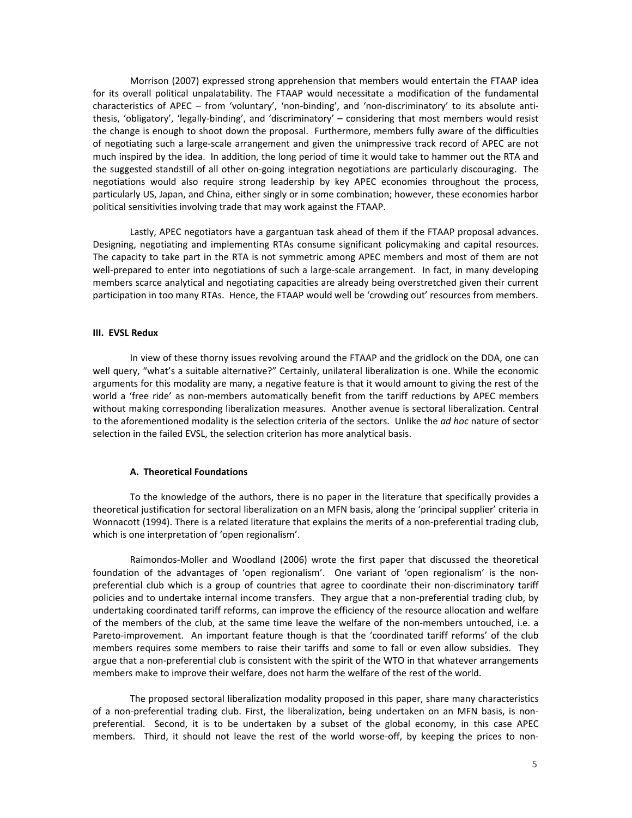Morrison (2007) expressed strong apprehension that members would entertain the FTAAP idea for its overall political unpalatability. The FTAAP would necessitate a modification of the fundamental characteristics of APEC – from 'voluntary', 'non‐binding', and 'non‐discriminatory' to its absolute anti‐ thesis, 'obligatory', 'legally‐binding', and 'discriminatory' – considering that most members would resist the change is enough to shoot down the proposal. Furthermore, members fully aware of the difficulties of negotiating such a large‐scale arrangement and given the unimpressive track record of APEC are not much inspired by the idea. In addition, the long period of time it would take to hammer out the RTA and the suggested standstill of all other on‐going integration negotiations are particularly discouraging. The negotiations would also require strong leadership by key APEC economies throughout the process, particularly US, Japan, and China, either singly or in some combination; however, these economies harbor political sensitivities involving trade that may work against the FTAAP.

Lastly, APEC negotiators have a gargantuan task ahead of them if the FTAAP proposal advances. Designing, negotiating and implementing RTAs consume significant policymaking and capital resources. The capacity to take part in the RTA is not symmetric among APEC members and most of them are not well-prepared to enter into negotiations of such a large-scale arrangement. In fact, in many developing members scarce analytical and negotiating capacities are already being overstretched given their current participation in too many RTAs. Hence, the FTAAP would well be 'crowding out' resources from members.

### **III. EVSL Redux**

In view of these thorny issues revolving around the FTAAP and the gridlock on the DDA, one can well query, "what's a suitable alternative?" Certainly, unilateral liberalization is one. While the economic arguments for this modality are many, a negative feature is that it would amount to giving the rest of the world a 'free ride' as non-members automatically benefit from the tariff reductions by APEC members without making corresponding liberalization measures. Another avenue is sectoral liberalization. Central to the aforementioned modality is the selection criteria of the sectors. Unlike the *ad hoc* nature of sector selection in the failed EVSL, the selection criterion has more analytical basis.

## **A. Theoretical Foundations**

To the knowledge of the authors, there is no paper in the literature that specifically provides a theoretical justification for sectoral liberalization on an MFN basis, along the 'principal supplier' criteria in Wonnacott (1994). There is a related literature that explains the merits of a non-preferential trading club, which is one interpretation of 'open regionalism'.

Raimondos‐Moller and Woodland (2006) wrote the first paper that discussed the theoretical foundation of the advantages of 'open regionalism'. One variant of 'open regionalism' is the nonpreferential club which is a group of countries that agree to coordinate their non-discriminatory tariff policies and to undertake internal income transfers. They argue that a non‐preferential trading club, by undertaking coordinated tariff reforms, can improve the efficiency of the resource allocation and welfare of the members of the club, at the same time leave the welfare of the non‐members untouched, i.e. a Pareto-improvement. An important feature though is that the 'coordinated tariff reforms' of the club members requires some members to raise their tariffs and some to fall or even allow subsidies. They argue that a non‐preferential club is consistent with the spirit of the WTO in that whatever arrangements members make to improve their welfare, does not harm the welfare of the rest of the world.

The proposed sectoral liberalization modality proposed in this paper, share many characteristics of a non-preferential trading club. First, the liberalization, being undertaken on an MFN basis, is nonpreferential. Second, it is to be undertaken by a subset of the global economy, in this case APEC members. Third, it should not leave the rest of the world worse-off, by keeping the prices to non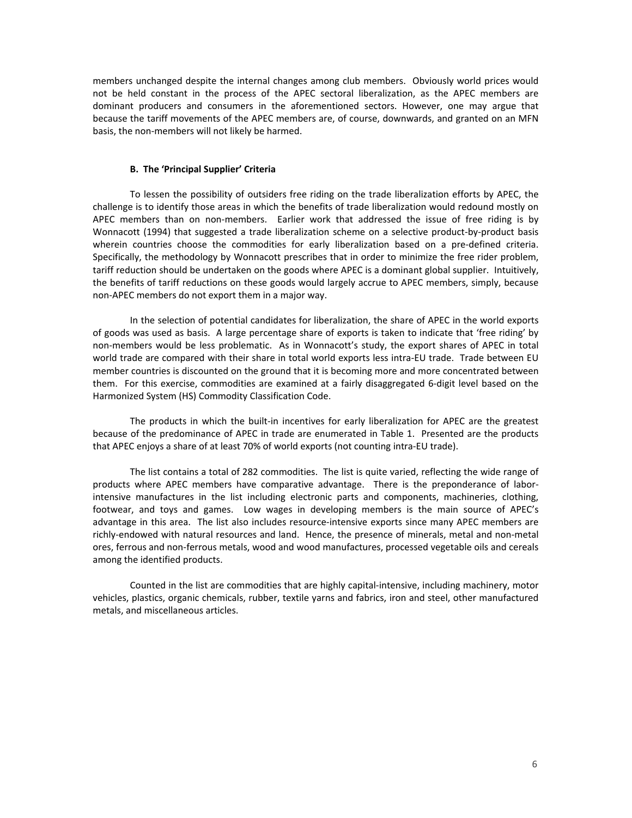members unchanged despite the internal changes among club members. Obviously world prices would not be held constant in the process of the APEC sectoral liberalization, as the APEC members are dominant producers and consumers in the aforementioned sectors. However, one may argue that because the tariff movements of the APEC members are, of course, downwards, and granted on an MFN basis, the non‐members will not likely be harmed.

# **B. The 'Principal Supplier' Criteria**

To lessen the possibility of outsiders free riding on the trade liberalization efforts by APEC, the challenge is to identify those areas in which the benefits of trade liberalization would redound mostly on APEC members than on non-members. Earlier work that addressed the issue of free riding is by Wonnacott (1994) that suggested a trade liberalization scheme on a selective product-by-product basis wherein countries choose the commodities for early liberalization based on a pre-defined criteria. Specifically, the methodology by Wonnacott prescribes that in order to minimize the free rider problem, tariff reduction should be undertaken on the goods where APEC is a dominant global supplier. Intuitively, the benefits of tariff reductions on these goods would largely accrue to APEC members, simply, because non‐APEC members do not export them in a major way.

In the selection of potential candidates for liberalization, the share of APEC in the world exports of goods was used as basis. A large percentage share of exports is taken to indicate that 'free riding' by non-members would be less problematic. As in Wonnacott's study, the export shares of APEC in total world trade are compared with their share in total world exports less intra‐EU trade. Trade between EU member countries is discounted on the ground that it is becoming more and more concentrated between them. For this exercise, commodities are examined at a fairly disaggregated 6‐digit level based on the Harmonized System (HS) Commodity Classification Code.

The products in which the built-in incentives for early liberalization for APEC are the greatest because of the predominance of APEC in trade are enumerated in Table 1. Presented are the products that APEC enjoys a share of at least 70% of world exports (not counting intra‐EU trade).

The list contains a total of 282 commodities. The list is quite varied, reflecting the wide range of products where APEC members have comparative advantage. There is the preponderance of laborintensive manufactures in the list including electronic parts and components, machineries, clothing, footwear, and toys and games. Low wages in developing members is the main source of APEC's advantage in this area. The list also includes resource-intensive exports since many APEC members are richly‐endowed with natural resources and land. Hence, the presence of minerals, metal and non‐metal ores, ferrous and non‐ferrous metals, wood and wood manufactures, processed vegetable oils and cereals among the identified products.

Counted in the list are commodities that are highly capital‐intensive, including machinery, motor vehicles, plastics, organic chemicals, rubber, textile yarns and fabrics, iron and steel, other manufactured metals, and miscellaneous articles.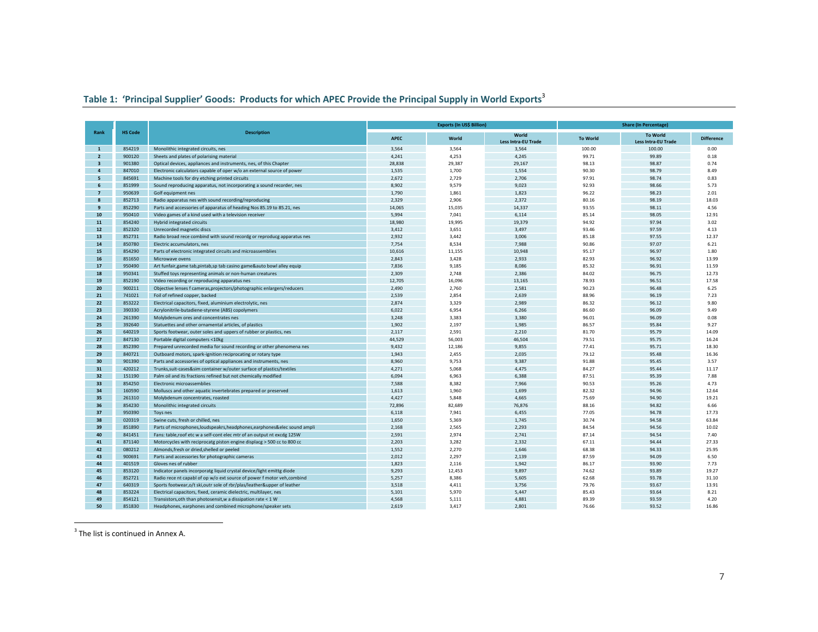# **Table 1: 'Principal Supplier' Goods: Products for which APEC Provide the Principal Supply in World Exports**<sup>3</sup>

|                         |                |                                                                            |             | <b>Exports (In US\$ Billion)</b> |                            | <b>Share (In Percentage)</b> |                     |                   |  |
|-------------------------|----------------|----------------------------------------------------------------------------|-------------|----------------------------------|----------------------------|------------------------------|---------------------|-------------------|--|
| Rank                    | <b>HS Code</b> | <b>Description</b>                                                         | <b>APEC</b> | World                            | World                      | <b>To World</b>              | <b>To World</b>     | <b>Difference</b> |  |
|                         |                |                                                                            |             |                                  | <b>Less Intra-EU Trade</b> |                              | Less Intra-EU Trade |                   |  |
| $\mathbf{1}$            | 854219         | Monolithic integrated circuits, nes                                        | 3,564       | 3,564                            | 3,564                      | 100.00                       | 100.00              | 0.00              |  |
| $\overline{2}$          | 900120         | Sheets and plates of polarising material                                   | 4,241       | 4,253                            | 4,245                      | 99.71                        | 99.89               | 0.18              |  |
| $\overline{\mathbf{3}}$ | 901380         | Optical devices, appliances and instruments, nes, of this Chapter          | 28,838      | 29,387                           | 29,167                     | 98.13                        | 98.87               | 0.74              |  |
| $\overline{a}$          | 847010         | Electronic calculators capable of oper w/o an external source of power     | 1,535       | 1,700                            | 1,554                      | 90.30                        | 98.79               | 8.49              |  |
| 5                       | 845691         | Machine tools for dry etching printed circuits                             | 2,672       | 2,729                            | 2,706                      | 97.91                        | 98.74               | 0.83              |  |
| 6                       | 851999         | Sound reproducing apparatus, not incorporating a sound recorder, nes       | 8,902       | 9,579                            | 9,023                      | 92.93                        | 98.66               | 5.73              |  |
| $\overline{7}$          | 950639         | Golf equipment nes                                                         | 1,790       | 1,861                            | 1,823                      | 96.22                        | 98.23               | 2.01              |  |
| $\mathbf{8}$            | 852713         | Radio apparatus nes with sound recording/reproducing                       | 2,329       | 2,906                            | 2,372                      | 80.16                        | 98.19               | 18.03             |  |
| 9                       | 852290         | Parts and accessories of apparatus of heading Nos 85.19 to 85.21, nes      | 14,065      | 15,035                           | 14,337                     | 93.55                        | 98.11               | 4.56              |  |
| 10                      | 950410         | Video games of a kind used with a television receiver                      | 5,994       | 7,041                            | 6,114                      | 85.14                        | 98.05               | 12.91             |  |
| 11                      | 854240         | Hybrid integrated circuits                                                 | 18,980      | 19,995                           | 19,379                     | 94.92                        | 97.94               | 3.02              |  |
| 12                      | 852320         | Unrecorded magnetic discs                                                  | 3,412       | 3,651                            | 3,497                      | 93.46                        | 97.59               | 4.13              |  |
| 13                      | 852731         | Radio broad rece combind with sound recordg or reproducg apparatus nes     | 2,932       | 3,442                            | 3,006                      | 85.18                        | 97.55               | 12.37             |  |
| 14                      | 850780         | Electric accumulators, nes                                                 | 7,754       | 8,534                            | 7,988                      | 90.86                        | 97.07               | 6.21              |  |
| 15                      | 854290         | Parts of electronic integrated circuits and microassemblies                | 10,616      | 11,155                           | 10,948                     | 95.17                        | 96.97               | 1.80              |  |
| 16                      | 851650         | Microwave ovens                                                            | 2,843       | 3,428                            | 2,933                      | 82.93                        | 96.92               | 13.99             |  |
| 17                      | 950490         | Art funfair, game tab, pintab, sp tab casino game&auto bowl alley equip    | 7,836       | 9,185                            | 8,086                      | 85.32                        | 96.91               | 11.59             |  |
| 18                      | 950341         | Stuffed toys representing animals or non-human creatures                   | 2.309       | 2,748                            | 2,386                      | 84.02                        | 96.75               | 12.73             |  |
| 19                      | 852190         | Video recording or reproducing apparatus nes                               | 12,705      | 16,096                           | 13,165                     | 78.93                        | 96.51               | 17.58             |  |
| 20                      | 900211         | Objective lenses f cameras, projectors/photographic enlargers/reducers     | 2,490       | 2,760                            | 2,581                      | 90.23                        | 96.48               | 6.25              |  |
| 21                      | 741021         | Foil of refined copper, backed                                             | 2,539       | 2,854                            | 2,639                      | 88.96                        | 96.19               | 7.23              |  |
| 22                      | 853222         | Electrical capacitors, fixed, aluminium electrolytic, nes                  | 2,874       | 3,329                            | 2,989                      | 86.32                        | 96.12               | 9.80              |  |
| 23                      | 390330         | Acrylonitrile-butadiene-styrene (ABS) copolymers                           | 6,022       | 6,954                            | 6,266                      | 86.60                        | 96.09               | 9.49              |  |
| 24                      | 261390         | Molybdenum ores and concentrates nes                                       | 3,248       | 3,383                            | 3,380                      | 96.01                        | 96.09               | 0.08              |  |
| 25                      | 392640         | Statuettes and other ornamental articles, of plastics                      | 1,902       | 2,197                            | 1,985                      | 86.57                        | 95.84               | 9.27              |  |
| 26                      | 640219         | Sports footwear, outer soles and uppers of rubber or plastics, nes         | 2,117       | 2,591                            | 2,210                      | 81.70                        | 95.79               | 14.09             |  |
| 27                      | 847130         | Portable digital computers <10kg                                           | 44,529      | 56,003                           | 46,504                     | 79.51                        | 95.75               | 16.24             |  |
| 28                      | 852390         | Prepared unrecorded media for sound recording or other phenomena nes       | 9,432       | 12,186                           | 9,855                      | 77.41                        | 95.71               | 18.30             |  |
| 29                      | 840721         | Outboard motors, spark-ignition reciprocating or rotary type               | 1,943       | 2,455                            | 2,035                      | 79.12                        | 95.48               | 16.36             |  |
| 30                      | 901390         | Parts and accessories of optical appliances and instruments, nes           | 8,960       | 9,753                            | 9,387                      | 91.88                        | 95.45               | 3.57              |  |
| 31                      | 420212         | Trunks, suit-cases & sim container w/outer surface of plastics/textiles    | 4,271       | 5,068                            | 4,475                      | 84.27                        | 95.44               | 11.17             |  |
| 32                      | 151190         | Palm oil and its fractions refined but not chemically modified             | 6,094       | 6,963                            | 6,388                      | 87.51                        | 95.39               | 7.88              |  |
| 33                      | 854250         | Electronic microassemblies                                                 | 7,588       | 8,382                            | 7,966                      | 90.53                        | 95.26               | 4.73              |  |
| 34                      | 160590         | Molluscs and other aquatic invertebrates prepared or preserved             | 1,613       | 1,960                            | 1,699                      | 82.32                        | 94.96               | 12.64             |  |
| 35                      | 261310         | Molybdenum concentrates, roasted                                           | 4,427       | 5,848                            | 4,665                      | 75.69                        | 94.90               | 19.21             |  |
| 36                      | 854230         | Monolithic integrated circuits                                             | 72,896      | 82,689                           | 76,876                     | 88.16                        | 94.82               | 6.66              |  |
| 37                      | 950390         | Toys nes                                                                   | 6,118       | 7,941                            | 6,455                      | 77.05                        | 94.78               | 17.73             |  |
| 38                      | 020319         | Swine cuts, fresh or chilled, nes                                          | 1,650       | 5,369                            | 1,745                      | 30.74                        | 94.58               | 63.84             |  |
| 39                      | 851890         | Parts of microphones, loudspeakrs, headphones, earphones& elec sound ampli | 2,168       | 2,565                            | 2,293                      | 84.54                        | 94.56               | 10.02             |  |
| 40                      | 841451         | Fans: table, roof etc w a self-cont elec mtr of an output nt excdg 125W    | 2,591       | 2,974                            | 2,741                      | 87.14                        | 94.54               | 7.40              |  |
| 41                      | 871140         | Motorcycles with reciprocatg piston engine displacg > 500 cc to 800 cc     | 2,203       | 3,282                            | 2,332                      | 67.11                        | 94.44               | 27.33             |  |
| 42                      | 080212         | Almonds, fresh or dried, shelled or peeled                                 | 1,552       | 2,270                            | 1,646                      | 68.38                        | 94.33               | 25.95             |  |
| 43                      | 900691         | Parts and accessories for photographic cameras                             | 2,012       | 2,297                            | 2,139                      | 87.59                        | 94.09               | 6.50              |  |
| 44                      | 401519         | Gloves nes of rubber                                                       | 1,823       | 2,116                            | 1,942                      | 86.17                        | 93.90               | 7.73              |  |
| 45                      | 853120         | Indicator panels incorporatg liquid crystal device/light emittg diode      | 9,293       | 12,453                           | 9,897                      | 74.62                        | 93.89               | 19.27             |  |
| 46                      | 852721         | Radio rece nt capabl of op w/o ext source of power f motor veh, combind    | 5,257       | 8,386                            | 5,605                      | 62.68                        | 93.78               | 31.10             |  |
| 47                      | 640319         | Sports footwear, o/t ski, outr sole of rbr/plas/leather&upper of leather   | 3,518       | 4,411                            | 3,756                      | 79.76                        | 93.67               | 13.91             |  |
| 48                      | 853224         | Electrical capacitors, fixed, ceramic dielectric, multilayer, nes          | 5,101       | 5,970                            | 5,447                      | 85.43                        | 93.64               | 8.21              |  |
| 49                      | 854121         | Transistors.oth than photosensit.w a dissipation rate < 1 W                | 4.568       | 5.111                            | 4.881                      | 89.39                        | 93.59               | 4.20              |  |
| 50                      | 851830         | Headphones, earphones and combined microphone/speaker sets                 | 2.619       | 3.417                            | 2.801                      | 76.66                        | 93.52               | 16.86             |  |
|                         |                |                                                                            |             |                                  |                            |                              |                     |                   |  |

 $^3$  The list is continued in Annex A.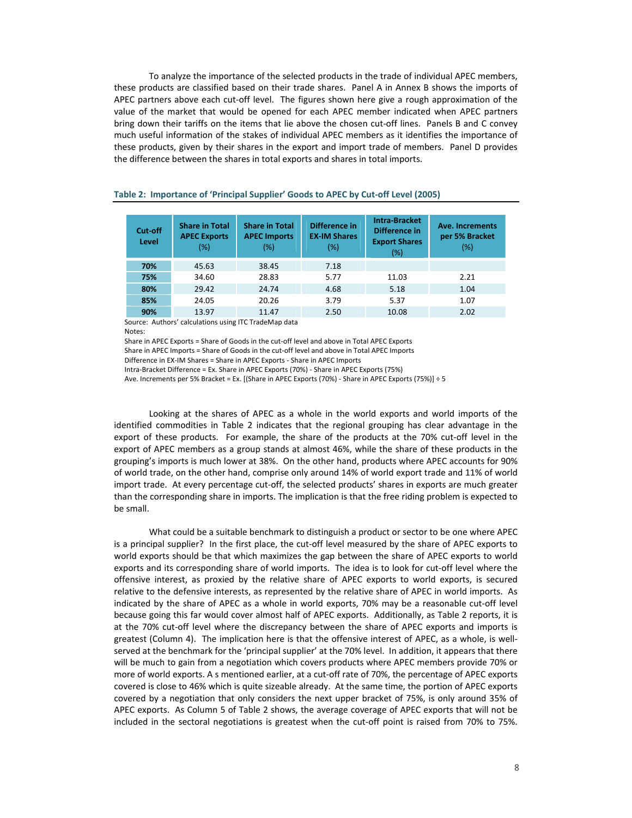To analyze the importance of the selected products in the trade of individual APEC members, these products are classified based on their trade shares. Panel A in Annex B shows the imports of APEC partners above each cut‐off level. The figures shown here give a rough approximation of the value of the market that would be opened for each APEC member indicated when APEC partners bring down their tariffs on the items that lie above the chosen cut-off lines. Panels B and C convey much useful information of the stakes of individual APEC members as it identifies the importance of these products, given by their shares in the export and import trade of members. Panel D provides the difference between the shares in total exports and shares in total imports.

| Cut-off<br>Level | <b>Share in Total</b><br><b>APEC Exports</b><br>(%) | <b>Share in Total</b><br><b>APEC Imports</b><br>$(\%)$ | Difference in<br><b>EX-IM Shares</b><br>$(\%)$ | <b>Intra-Bracket</b><br>Difference in<br><b>Export Shares</b><br>(%) | <b>Ave. Increments</b><br>per 5% Bracket<br>(%) |
|------------------|-----------------------------------------------------|--------------------------------------------------------|------------------------------------------------|----------------------------------------------------------------------|-------------------------------------------------|
| 70%              | 45.63                                               | 7.18<br>38.45                                          |                                                |                                                                      |                                                 |
| 75%              | 34.60                                               | 28.83                                                  | 5.77                                           | 11.03                                                                | 2.21                                            |
| 80%              | 29.42                                               | 24.74                                                  | 4.68                                           | 5.18                                                                 | 1.04                                            |
| 85%              | 24.05                                               | 20.26                                                  | 3.79                                           | 5.37                                                                 | 1.07                                            |
| 90%              | 13.97                                               | 11.47                                                  | 2.50                                           | 10.08                                                                | 2.02                                            |

# **Table 2: Importance of 'Principal Supplier' Goods to APEC by Cut‐off Level (2005)**

Source: Authors' calculations using ITC TradeMap data Notes:

Share in APEC Exports = Share of Goods in the cut‐off level and above in Total APEC Exports

Share in APEC Imports = Share of Goods in the cut-off level and above in Total APEC Imports

Difference in EX‐IM Shares = Share in APEC Exports ‐ Share in APEC Imports

Intra‐Bracket Difference = Ex. Share in APEC Exports (70%) ‐ Share in APEC Exports (75%)

Ave. Increments per 5% Bracket = Ex. [(Share in APEC Exports (70%) ‐ Share in APEC Exports (75%)] ÷ 5

Looking at the shares of APEC as a whole in the world exports and world imports of the identified commodities in Table 2 indicates that the regional grouping has clear advantage in the export of these products. For example, the share of the products at the 70% cut-off level in the export of APEC members as a group stands at almost 46%, while the share of these products in the grouping's imports is much lower at 38%. On the other hand, products where APEC accounts for 90% of world trade, on the other hand, comprise only around 14% of world export trade and 11% of world import trade. At every percentage cut-off, the selected products' shares in exports are much greater than the corresponding share in imports. The implication is that the free riding problem is expected to be small.

What could be a suitable benchmark to distinguish a product or sector to be one where APEC is a principal supplier? In the first place, the cut-off level measured by the share of APEC exports to world exports should be that which maximizes the gap between the share of APEC exports to world exports and its corresponding share of world imports. The idea is to look for cut‐off level where the offensive interest, as proxied by the relative share of APEC exports to world exports, is secured relative to the defensive interests, as represented by the relative share of APEC in world imports. As indicated by the share of APEC as a whole in world exports, 70% may be a reasonable cut‐off level because going this far would cover almost half of APEC exports. Additionally, as Table 2 reports, it is at the 70% cut-off level where the discrepancy between the share of APEC exports and imports is greatest (Column 4). The implication here is that the offensive interest of APEC, as a whole, is well‐ served at the benchmark for the 'principal supplier' at the 70% level. In addition, it appears that there will be much to gain from a negotiation which covers products where APEC members provide 70% or more of world exports. A s mentioned earlier, at a cut-off rate of 70%, the percentage of APEC exports covered is close to 46% which is quite sizeable already. At the same time, the portion of APEC exports covered by a negotiation that only considers the next upper bracket of 75%, is only around 35% of APEC exports. As Column 5 of Table 2 shows, the average coverage of APEC exports that will not be included in the sectoral negotiations is greatest when the cut-off point is raised from 70% to 75%.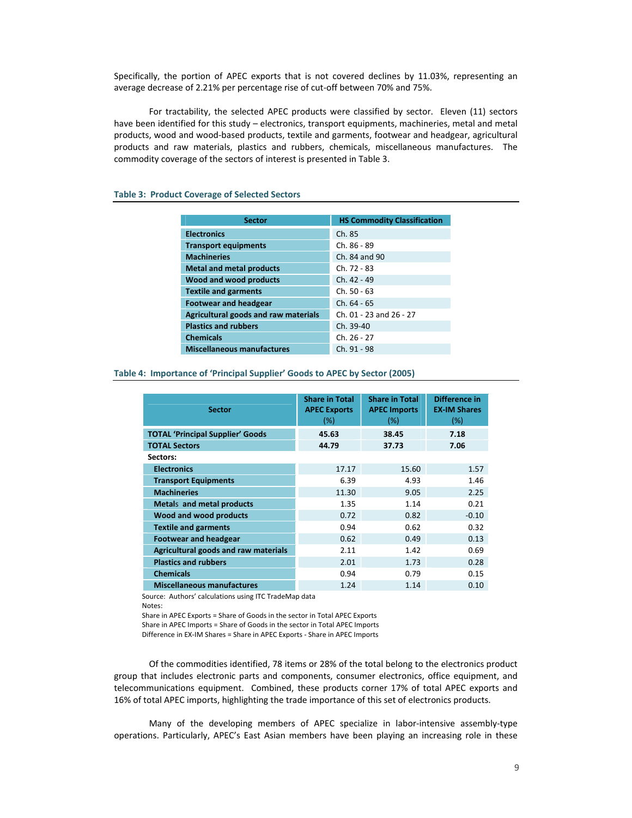Specifically, the portion of APEC exports that is not covered declines by 11.03%, representing an average decrease of 2.21% per percentage rise of cut‐off between 70% and 75%.

For tractability, the selected APEC products were classified by sector. Eleven (11) sectors have been identified for this study – electronics, transport equipments, machineries, metal and metal products, wood and wood‐based products, textile and garments, footwear and headgear, agricultural products and raw materials, plastics and rubbers, chemicals, miscellaneous manufactures. The commodity coverage of the sectors of interest is presented in Table 3.

| <b>Sector</b>                        | <b>HS Commodity Classification</b> |
|--------------------------------------|------------------------------------|
|                                      |                                    |
| <b>Electronics</b>                   | Ch. 85                             |
| <b>Transport equipments</b>          | Ch. 86 - 89                        |
| <b>Machineries</b>                   | Ch. 84 and 90                      |
| <b>Metal and metal products</b>      | $Ch. 72 - 83$                      |
| Wood and wood products               | $Ch. 42 - 49$                      |
| <b>Textile and garments</b>          | $Ch. 50 - 63$                      |
| <b>Footwear and headgear</b>         | $Ch. 64 - 65$                      |
| Agricultural goods and raw materials | Ch. 01 - 23 and 26 - 27            |
| <b>Plastics and rubbers</b>          | Ch. 39-40                          |
| <b>Chemicals</b>                     | Ch. 26 - 27                        |
| <b>Miscellaneous manufactures</b>    | Ch. 91 - 98                        |

# **Table 3: Product Coverage of Selected Sectors**

**Table 4: Importance of 'Principal Supplier' Goods to APEC by Sector (2005)**

| <b>Sector</b>                           | <b>Share in Total</b><br><b>APEC Exports</b><br>$(\%)$ | <b>Share in Total</b><br><b>APEC Imports</b><br>(%) | Difference in<br><b>EX-IM Shares</b><br>(%) |
|-----------------------------------------|--------------------------------------------------------|-----------------------------------------------------|---------------------------------------------|
| <b>TOTAL 'Principal Supplier' Goods</b> | 45.63                                                  | 38.45                                               | 7.18                                        |
| <b>TOTAL Sectors</b>                    | 44.79                                                  | 37.73                                               | 7.06                                        |
| Sectors:                                |                                                        |                                                     |                                             |
| <b>Electronics</b>                      | 17.17                                                  | 15.60                                               | 1.57                                        |
| <b>Transport Equipments</b>             | 6.39                                                   | 4.93                                                | 1.46                                        |
| <b>Machineries</b>                      | 11.30                                                  | 9.05                                                | 2.25                                        |
| <b>Metals and metal products</b>        | 1.35                                                   | 1.14                                                | 0.21                                        |
| Wood and wood products                  | 0.72                                                   | 0.82                                                | $-0.10$                                     |
| <b>Textile and garments</b>             | 0.94                                                   | 0.62                                                | 0.32                                        |
| <b>Footwear and headgear</b>            | 0.62                                                   | 0.49                                                | 0.13                                        |
| Agricultural goods and raw materials    | 2.11                                                   | 1.42                                                | 0.69                                        |
| <b>Plastics and rubbers</b>             | 2.01                                                   | 1.73                                                | 0.28                                        |
| <b>Chemicals</b>                        | 0.94                                                   | 0.79                                                | 0.15                                        |
| <b>Miscellaneous manufactures</b>       | 1.24                                                   | 1.14                                                | 0.10                                        |

Source: Authors' calculations using ITC TradeMap data Notes:

Share in APEC Exports = Share of Goods in the sector in Total APEC Exports

Share in APEC Imports = Share of Goods in the sector in Total APEC Imports

Difference in EX‐IM Shares = Share in APEC Exports ‐ Share in APEC Imports

Of the commodities identified, 78 items or 28% of the total belong to the electronics product group that includes electronic parts and components, consumer electronics, office equipment, and telecommunications equipment. Combined, these products corner 17% of total APEC exports and 16% of total APEC imports, highlighting the trade importance of this set of electronics products.

Many of the developing members of APEC specialize in labor-intensive assembly-type operations. Particularly, APEC's East Asian members have been playing an increasing role in these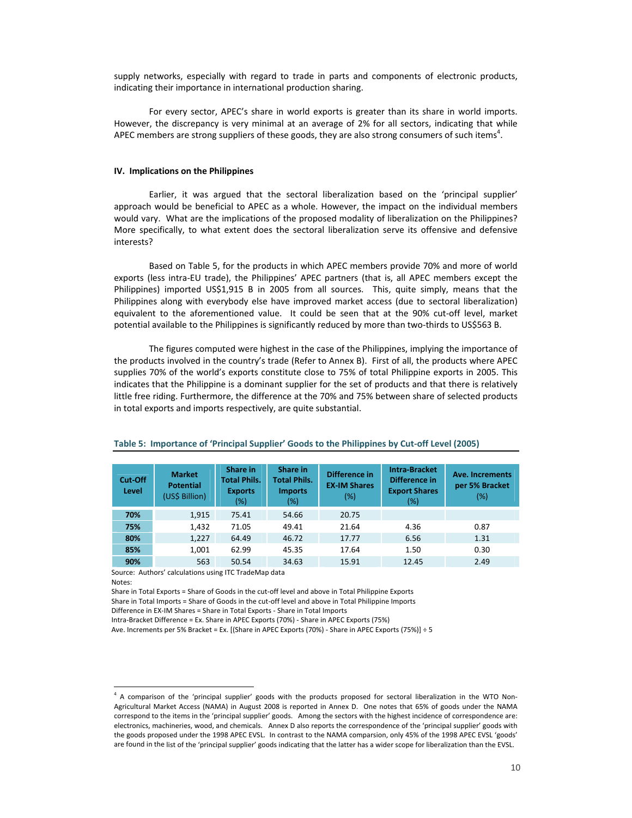supply networks, especially with regard to trade in parts and components of electronic products, indicating their importance in international production sharing.

For every sector, APEC's share in world exports is greater than its share in world imports. However, the discrepancy is very minimal at an average of 2% for all sectors, indicating that while APEC members are strong suppliers of these goods, they are also strong consumers of such items $^4$ .

#### **IV. Implications on the Philippines**

Earlier, it was argued that the sectoral liberalization based on the 'principal supplier' approach would be beneficial to APEC as a whole. However, the impact on the individual members would vary. What are the implications of the proposed modality of liberalization on the Philippines? More specifically, to what extent does the sectoral liberalization serve its offensive and defensive interests?

Based on Table 5, for the products in which APEC members provide 70% and more of world exports (less intra‐EU trade), the Philippines' APEC partners (that is, all APEC members except the Philippines) imported US\$1,915 B in 2005 from all sources. This, quite simply, means that the Philippines along with everybody else have improved market access (due to sectoral liberalization) equivalent to the aforementioned value. It could be seen that at the 90% cut-off level, market potential available to the Philippines is significantly reduced by more than two-thirds to US\$563 B.

The figures computed were highest in the case of the Philippines, implying the importance of the products involved in the country's trade (Refer to Annex B). First of all, the products where APEC supplies 70% of the world's exports constitute close to 75% of total Philippine exports in 2005. This indicates that the Philippine is a dominant supplier for the set of products and that there is relatively little free riding. Furthermore, the difference at the 70% and 75% between share of selected products in total exports and imports respectively, are quite substantial.

| Cut-Off<br>Level | <b>Market</b><br><b>Potential</b><br>(US\$ Billion) | Share in<br><b>Total Phils.</b><br><b>Exports</b><br>$(\%)$ | Share in<br><b>Total Phils.</b><br><b>Imports</b><br>$(\%)$ | Difference in<br><b>EX-IM Shares</b><br>$(\%)$ | <b>Intra-Bracket</b><br>Difference in<br><b>Export Shares</b><br>(%) | Ave. Increments<br>per 5% Bracket<br>(%) |
|------------------|-----------------------------------------------------|-------------------------------------------------------------|-------------------------------------------------------------|------------------------------------------------|----------------------------------------------------------------------|------------------------------------------|
| 70%              | 1,915                                               | 75.41                                                       | 54.66                                                       | 20.75                                          |                                                                      |                                          |
| 75%              | 1,432                                               | 71.05                                                       | 49.41                                                       | 21.64                                          | 4.36                                                                 | 0.87                                     |
| 80%              | 1,227                                               | 64.49                                                       | 46.72                                                       | 17.77                                          | 6.56                                                                 | 1.31                                     |
| 85%              | 1,001                                               | 62.99                                                       | 45.35                                                       | 17.64                                          | 1.50                                                                 | 0.30                                     |
| 90%              | 563                                                 | 50.54                                                       | 34.63                                                       | 15.91                                          | 12.45                                                                | 2.49                                     |

#### **Table 5: Importance of 'Principal Supplier' Goods to the Philippines by Cut‐off Level (2005)**

Source: Authors' calculations using ITC TradeMap data Notes:

 $\overline{a}$ 

Share in Total Exports = Share of Goods in the cut‐off level and above in Total Philippine Exports Share in Total Imports = Share of Goods in the cut‐off level and above in Total Philippine Imports

Difference in EX‐IM Shares = Share in Total Exports ‐ Share in Total Imports

Intra‐Bracket Difference = Ex. Share in APEC Exports (70%) ‐ Share in APEC Exports (75%)

Ave. Increments per 5% Bracket = Ex. [(Share in APEC Exports (70%) ‐ Share in APEC Exports (75%)] ÷ 5

<sup>&</sup>lt;sup>4</sup> A comparison of the 'principal supplier' goods with the products proposed for sectoral liberalization in the WTO Non-Agricultural Market Access (NAMA) in August 2008 is reported in Annex D. One notes that 65% of goods under the NAMA correspond to the items in the 'principal supplier' goods. Among the sectors with the highest incidence of correspondence are: electronics, machineries, wood, and chemicals. Annex D also reports the correspondence of the 'principal supplier' goods with the goods proposed under the 1998 APEC EVSL. In contrast to the NAMA comparsion, only 45% of the 1998 APEC EVSL 'goods' are found in the list of the 'principal supplier' goods indicating that the latter has a wider scope for liberalization than the EVSL.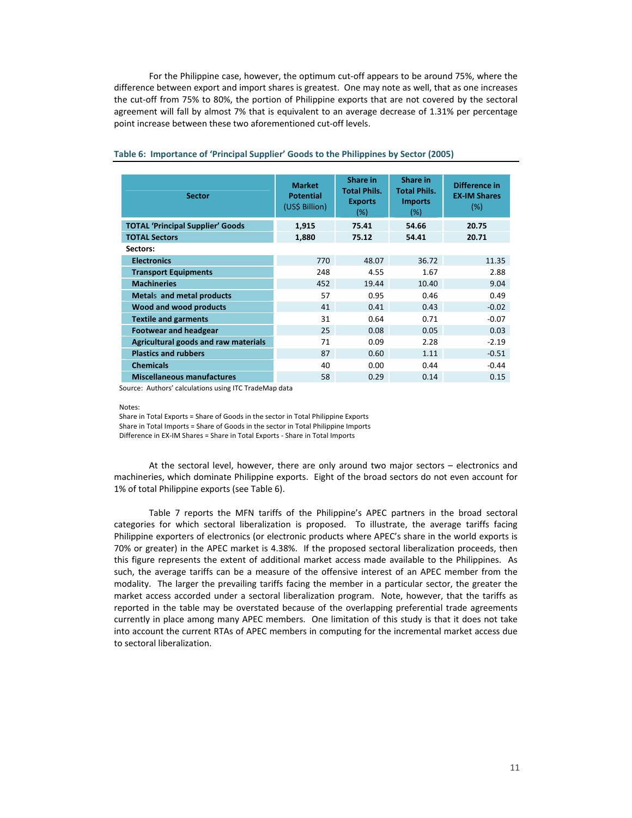For the Philippine case, however, the optimum cut-off appears to be around 75%, where the difference between export and import shares is greatest. One may note as well, that as one increases the cut-off from 75% to 80%, the portion of Philippine exports that are not covered by the sectoral agreement will fall by almost 7% that is equivalent to an average decrease of 1.31% per percentage point increase between these two aforementioned cut‐off levels.

| <b>Sector</b>                           | <b>Market</b><br><b>Potential</b><br>(US\$ Billion) | Share in<br><b>Total Phils.</b><br><b>Exports</b><br>(%) | Share in<br><b>Total Phils.</b><br><b>Imports</b><br>$(\%)$ | Difference in<br><b>EX-IM Shares</b><br>$(\%)$ |
|-----------------------------------------|-----------------------------------------------------|----------------------------------------------------------|-------------------------------------------------------------|------------------------------------------------|
| <b>TOTAL 'Principal Supplier' Goods</b> | 1,915                                               | 75.41                                                    | 54.66                                                       | 20.75                                          |
| <b>TOTAL Sectors</b>                    | 1.880                                               | 75.12                                                    | 54.41                                                       | 20.71                                          |
| Sectors:                                |                                                     |                                                          |                                                             |                                                |
| <b>Electronics</b>                      | 770                                                 | 48.07                                                    | 36.72                                                       | 11.35                                          |
| <b>Transport Equipments</b>             | 248                                                 | 4.55                                                     | 1.67                                                        | 2.88                                           |
| <b>Machineries</b>                      | 452                                                 | 19.44                                                    | 10.40                                                       | 9.04                                           |
| Metals and metal products               | 57                                                  | 0.95                                                     | 0.46                                                        | 0.49                                           |
| Wood and wood products                  | 41                                                  | 0.41                                                     | 0.43                                                        | $-0.02$                                        |
| <b>Textile and garments</b>             | 31                                                  | 0.64                                                     | 0.71                                                        | $-0.07$                                        |
| <b>Footwear and headgear</b>            | 25                                                  | 0.08                                                     | 0.05                                                        | 0.03                                           |
| Agricultural goods and raw materials    | 71                                                  | 0.09                                                     | 2.28                                                        | $-2.19$                                        |
| <b>Plastics and rubbers</b>             | 87                                                  | 0.60                                                     | 1.11                                                        | $-0.51$                                        |
| <b>Chemicals</b>                        | 40                                                  | 0.00                                                     | 0.44                                                        | $-0.44$                                        |
| <b>Miscellaneous manufactures</b>       | 58                                                  | 0.29                                                     | 0.14                                                        | 0.15                                           |

#### **Table 6: Importance of 'Principal Supplier' Goods to the Philippines by Sector (2005)**

Source: Authors' calculations using ITC TradeMap data

Notes:

 Share in Total Exports = Share of Goods in the sector in Total Philippine Exports Share in Total Imports = Share of Goods in the sector in Total Philippine Imports

Difference in EX‐IM Shares = Share in Total Exports ‐ Share in Total Imports

At the sectoral level, however, there are only around two major sectors – electronics and machineries, which dominate Philippine exports. Eight of the broad sectors do not even account for 1% of total Philippine exports (see Table 6).

 Table 7 reports the MFN tariffs of the Philippine's APEC partners in the broad sectoral categories for which sectoral liberalization is proposed. To illustrate, the average tariffs facing Philippine exporters of electronics (or electronic products where APEC's share in the world exports is 70% or greater) in the APEC market is 4.38%. If the proposed sectoral liberalization proceeds, then this figure represents the extent of additional market access made available to the Philippines. As such, the average tariffs can be a measure of the offensive interest of an APEC member from the modality. The larger the prevailing tariffs facing the member in a particular sector, the greater the market access accorded under a sectoral liberalization program. Note, however, that the tariffs as reported in the table may be overstated because of the overlapping preferential trade agreements currently in place among many APEC members. One limitation of this study is that it does not take into account the current RTAs of APEC members in computing for the incremental market access due to sectoral liberalization.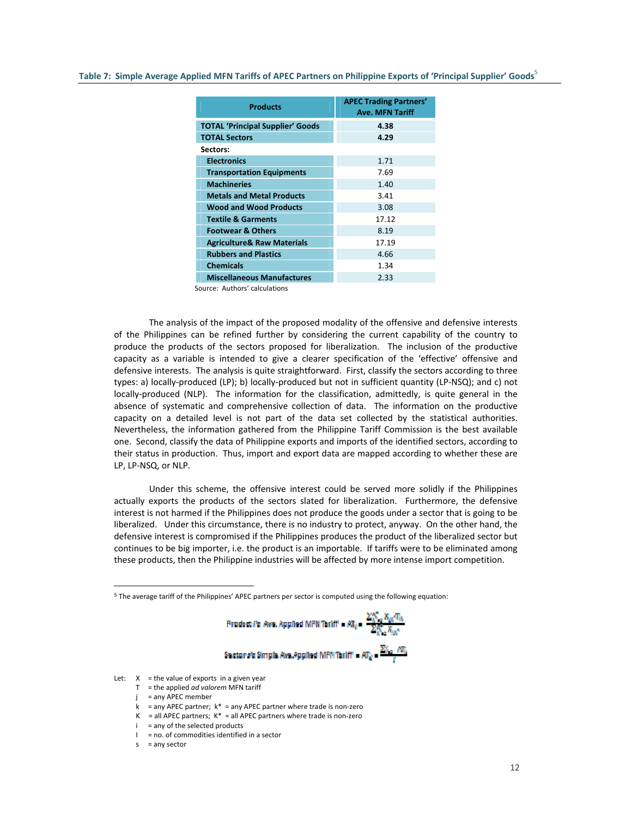#### Table 7: Simple Average Applied MFN Tariffs of APEC Partners on Philippine Exports of 'Principal Supplier' Goods

| <b>Products</b>                         | <b>APEC Trading Partners'</b><br><b>Ave. MFN Tariff</b> |
|-----------------------------------------|---------------------------------------------------------|
| <b>TOTAL 'Principal Supplier' Goods</b> | 4.38                                                    |
| <b>TOTAL Sectors</b>                    | 4.29                                                    |
| Sectors:                                |                                                         |
| <b>Electronics</b>                      | 1.71                                                    |
| <b>Transportation Equipments</b>        | 7.69                                                    |
| <b>Machineries</b>                      | 1.40                                                    |
| <b>Metals and Metal Products</b>        | 3.41                                                    |
| <b>Wood and Wood Products</b>           | 3.08                                                    |
| <b>Textile &amp; Garments</b>           | 17.12                                                   |
| <b>Footwear &amp; Others</b>            | 8.19                                                    |
| <b>Agriculture&amp; Raw Materials</b>   | 17.19                                                   |
| <b>Rubbers and Plastics</b>             | 4.66                                                    |
| <b>Chemicals</b>                        | 1.34                                                    |
| <b>Miscellaneous Manufactures</b>       | 2.33                                                    |

Source: Authors' calculations

 The analysis of the impact of the proposed modality of the offensive and defensive interests of the Philippines can be refined further by considering the current capability of the country to produce the products of the sectors proposed for liberalization. The inclusion of the productive capacity as a variable is intended to give a clearer specification of the 'effective' offensive and defensive interests. The analysis is quite straightforward. First, classify the sectors according to three types: a) locally‐produced (LP); b) locally‐produced but not in sufficient quantity (LP‐NSQ); and c) not locally-produced (NLP). The information for the classification, admittedly, is quite general in the absence of systematic and comprehensive collection of data. The information on the productive capacity on a detailed level is not part of the data set collected by the statistical authorities. Nevertheless, the information gathered from the Philippine Tariff Commission is the best available one. Second, classify the data of Philippine exports and imports of the identified sectors, according to their status in production. Thus, import and export data are mapped according to whether these are LP, LP‐NSQ, or NLP.

 Under this scheme, the offensive interest could be served more solidly if the Philippines actually exports the products of the sectors slated for liberalization. Furthermore, the defensive interest is not harmed if the Philippines does not produce the goods under a sector that is going to be liberalized. Under this circumstance, there is no industry to protect, anyway. On the other hand, the defensive interest is compromised if the Philippines produces the product of the liberalized sector but continues to be big importer, i.e. the product is an importable. If tariffs were to be eliminated among these products, then the Philippine industries will be affected by more intense import competition.

<sup>5</sup> The average tariff of the Philippines' APEC partners per sector is computed using the following equation:



Let:  $X =$  the value of exports in a given year

- T = the applied *ad valorem* MFN tariff
- j = any APEC member
- k = any APEC partner;  $k^*$  = any APEC partner where trade is non-zero
- K = all APEC partners;  $K^*$  = all APEC partners where trade is non-zero
- $i =$ any of the selected products
- $I = no$ . of commodities identified in a sector
- $s = any sector$

 $\overline{a}$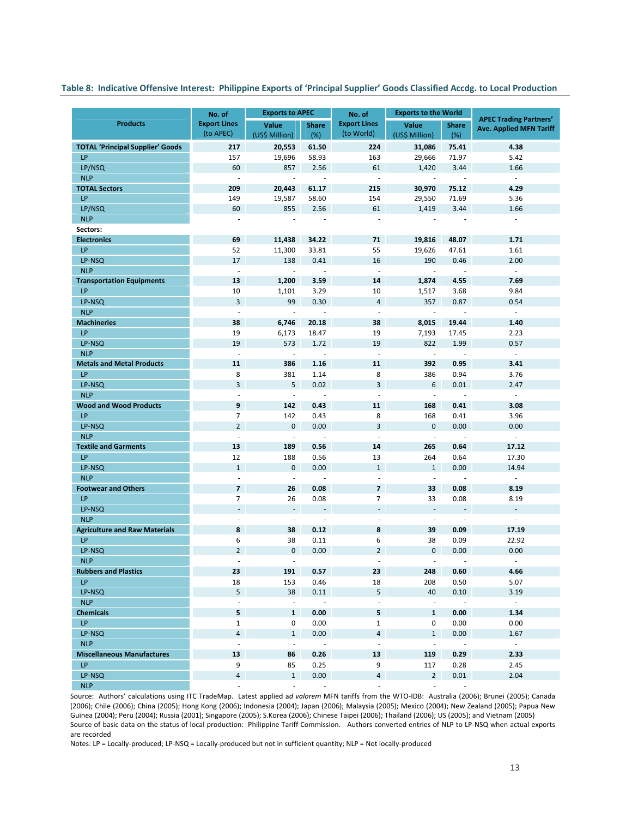# Table 8: Indicative Offensive Interest: Philippine Exports of 'Principal Supplier' Goods Classified Accdg. to Local Production

|                                         | <b>Exports to APEC</b><br>No. of |                          |                                    | No. of                                               | <b>Exports to the World</b>                          |                                |                                                                 |
|-----------------------------------------|----------------------------------|--------------------------|------------------------------------|------------------------------------------------------|------------------------------------------------------|--------------------------------|-----------------------------------------------------------------|
| <b>Products</b>                         | <b>Export Lines</b>              | Value                    | <b>Share</b>                       | <b>Export Lines</b>                                  | Value                                                | <b>Share</b>                   | <b>APEC Trading Partners'</b><br><b>Ave. Applied MFN Tariff</b> |
|                                         | (to APEC)                        | (US\$ Million)           | (%)                                | (to World)                                           | (US\$ Million)                                       | (%)                            |                                                                 |
| <b>TOTAL 'Principal Supplier' Goods</b> | 217                              | 20,553                   | 61.50                              | 224                                                  | 31,086                                               | 75.41                          | 4.38                                                            |
| LP                                      | 157                              | 19,696                   | 58.93                              | 163                                                  | 29,666                                               | 71.97                          | 5.42                                                            |
| LP/NSQ                                  | 60                               | 857                      | 2.56                               | 61                                                   | 1,420                                                | 3.44                           | 1.66                                                            |
| <b>NLP</b>                              | ×.                               | ÷,                       | $\sim$                             | $\sim$                                               | $\mathbf{r}$                                         | ×.                             | $\sim$                                                          |
| <b>TOTAL Sectors</b>                    | 209                              | 20,443                   | 61.17                              | 215                                                  | 30,970                                               | 75.12                          | 4.29                                                            |
| LP                                      | 149                              | 19,587                   | 58.60                              | 154                                                  | 29,550                                               | 71.69                          | 5.36                                                            |
| LP/NSQ<br><b>NLP</b>                    | 60<br>÷                          | 855<br>÷,                | 2.56<br>÷,                         | 61<br>$\blacksquare$                                 | 1,419                                                | 3.44                           | 1.66<br>$\overline{\phantom{a}}$                                |
| Sectors:                                |                                  |                          |                                    |                                                      | $\overline{\phantom{a}}$                             |                                |                                                                 |
| <b>Electronics</b>                      | 69                               | 11,438                   | 34.22                              | 71                                                   | 19,816                                               | 48.07                          | 1.71                                                            |
| LP                                      | 52                               | 11,300                   | 33.81                              | 55                                                   | 19,626                                               | 47.61                          | 1.61                                                            |
| LP-NSQ                                  | 17                               | 138                      | 0.41                               | 16                                                   | 190                                                  | 0.46                           | 2.00                                                            |
| <b>NLP</b>                              | $\overline{\phantom{a}}$         | $\overline{\phantom{a}}$ | $\sim$                             | $\overline{\phantom{a}}$                             | $\overline{\phantom{a}}$                             | $\overline{\phantom{a}}$       | $\mathcal{L}$                                                   |
| <b>Transportation Equipments</b>        | 13                               | 1,200                    | 3.59                               | 14                                                   | 1,874                                                | 4.55                           | 7.69                                                            |
| LP                                      | 10                               | 1,101                    | 3.29                               | 10                                                   | 1,517                                                | 3.68                           | 9.84                                                            |
| LP-NSQ                                  | 3                                | 99                       | 0.30                               | 4                                                    | 357                                                  | 0.87                           | 0.54                                                            |
| <b>NLP</b>                              | ÷,                               | l,                       | $\overline{\phantom{a}}$           | $\overline{\phantom{a}}$                             | $\overline{\phantom{a}}$                             | ÷,                             | $\omega$                                                        |
| <b>Machineries</b>                      | 38                               | 6,746                    | 20.18                              | 38                                                   | 8,015                                                | 19.44                          | 1.40                                                            |
| LP                                      | 19                               | 6,173                    | 18.47                              | 19                                                   | 7,193                                                | 17.45                          | 2.23                                                            |
| LP-NSQ                                  | 19                               | 573                      | 1.72                               | 19                                                   | 822                                                  | 1.99                           | 0.57                                                            |
| <b>NLP</b>                              | $\overline{\phantom{a}}$         | ÷,                       | $\sim$                             | $\overline{\phantom{a}}$                             | $\overline{\phantom{a}}$                             | $\overline{\phantom{a}}$       | $\mathcal{L}$                                                   |
| <b>Metals and Metal Products</b>        | 11                               | 386                      | 1.16                               | 11                                                   | 392                                                  | 0.95                           | 3.41                                                            |
| LP                                      | 8                                | 381                      | 1.14                               | 8                                                    | 386                                                  | 0.94                           | 3.76                                                            |
| LP-NSQ                                  | 3                                | 5                        | 0.02                               | 3                                                    | 6                                                    | 0.01                           | 2.47                                                            |
| <b>NLP</b>                              | $\overline{\phantom{a}}$         | $\Box$                   | $\sim$                             | $\overline{\phantom{a}}$                             | $\overline{\phantom{a}}$                             | $\sim$                         | $\mathcal{L}_{\mathcal{A}}$                                     |
| <b>Wood and Wood Products</b>           | 9                                | 142                      | 0.43                               | 11                                                   | 168                                                  | 0.41                           | 3.08                                                            |
| LP                                      | $\overline{7}$                   | 142                      | 0.43                               | 8                                                    | 168                                                  | 0.41                           | 3.96                                                            |
| LP-NSQ                                  | $\overline{2}$                   | $\mathbf{0}$             | 0.00                               | 3                                                    | $\mathbf{0}$                                         | 0.00                           | 0.00                                                            |
| <b>NLP</b>                              | $\bar{a}$                        | ÷,                       | $\sim$                             | $\sim$                                               | $\overline{\phantom{a}}$                             | ×.                             | $\omega$                                                        |
| <b>Textile and Garments</b>             | 13                               | 189                      | 0.56                               | 14                                                   | 265                                                  | 0.64                           | 17.12                                                           |
| LP                                      | 12                               | 188                      | 0.56                               | 13                                                   | 264                                                  | 0.64                           | 17.30                                                           |
| LP-NSQ                                  | $\mathbf{1}$                     | $\pmb{0}$                | 0.00                               | $\mathbf{1}$                                         | $\mathbf{1}$                                         | 0.00                           | 14.94                                                           |
| <b>NLP</b>                              | $\overline{\phantom{a}}$         | $\overline{\phantom{a}}$ | $\overline{\phantom{a}}$           | $\overline{\phantom{a}}$                             | $\overline{\phantom{a}}$                             | $\overline{\phantom{a}}$       | $\sim$                                                          |
| <b>Footwear and Others</b>              | $\overline{7}$                   | 26                       | 0.08                               | $\overline{7}$                                       | 33                                                   | 0.08                           | 8.19                                                            |
| LP                                      | $\overline{7}$                   | 26                       | 0.08                               | 7                                                    | 33                                                   | 0.08                           | 8.19                                                            |
| LP-NSQ<br><b>NLP</b>                    | $\overline{\phantom{a}}$<br>ä,   | $\blacksquare$<br>÷,     | $\overline{\phantom{a}}$<br>$\sim$ | $\overline{\phantom{a}}$<br>$\overline{\phantom{a}}$ | $\overline{\phantom{a}}$<br>$\overline{\phantom{a}}$ | $\overline{\phantom{a}}$<br>÷, | $\sim$<br>$\mathcal{L}_{\mathcal{A}}$                           |
| <b>Agriculture and Raw Materials</b>    | 8                                | 38                       | 0.12                               | 8                                                    | 39                                                   | 0.09                           | 17.19                                                           |
| LP                                      | 6                                | 38                       | 0.11                               | 6                                                    | 38                                                   | 0.09                           | 22.92                                                           |
| LP-NSQ                                  | $\overline{2}$                   | $\pmb{0}$                | 0.00                               | $\overline{2}$                                       | $\mathbf 0$                                          | 0.00                           | 0.00                                                            |
| <b>NLP</b>                              | ä,                               | $\overline{\phantom{a}}$ |                                    | ÷,                                                   | $\overline{\phantom{a}}$                             | $\overline{\phantom{a}}$       | $\overline{\phantom{a}}$                                        |
| <b>Rubbers and Plastics</b>             | 23                               | 191                      | 0.57                               | 23                                                   | 248                                                  | 0.60                           | 4.66                                                            |
| LP                                      | 18                               | 153                      | 0.46                               | 18                                                   | 208                                                  | 0.50                           | 5.07                                                            |
| LP-NSQ                                  | 5 <sup>1</sup>                   | 38                       | 0.11                               | 5                                                    | 40                                                   | 0.10                           | 3.19                                                            |
| <b>NLP</b>                              | $\mathcal{L}$                    | ÷.                       | $\mathcal{L}$                      | $\omega$                                             | $\omega$                                             | $\sim$                         | $\sim$                                                          |
| <b>Chemicals</b>                        | 5                                | $\mathbf{1}$             | 0.00                               | 5                                                    | $\mathbf{1}$                                         | 0.00                           | 1.34                                                            |
| LP.                                     | $\mathbf{1}$                     | 0                        | 0.00                               | $\mathbf{1}$                                         | 0                                                    | 0.00                           | 0.00                                                            |
| LP-NSQ                                  | $\overline{4}$                   | $\mathbf{1}$             | 0.00                               | $\overline{4}$                                       | $\mathbf{1}$                                         | 0.00                           | 1.67                                                            |
| <b>NLP</b>                              | $\sim$                           | $\bar{\phantom{a}}$      | $\sim$                             | $\omega$                                             | $\sim$                                               | $\sim$                         | $\sim$                                                          |
| <b>Miscellaneous Manufactures</b>       | 13                               | 86                       | 0.26                               | 13                                                   | 119                                                  | 0.29                           | 2.33                                                            |
| LP                                      | 9                                | 85                       | 0.25                               | 9                                                    | 117                                                  | 0.28                           | 2.45                                                            |
| LP-NSQ                                  | $\overline{4}$                   | $\mathbf{1}$             | 0.00                               | $\overline{4}$                                       | $2^{\circ}$                                          | 0.01                           | 2.04                                                            |
| <b>NLP</b>                              | $\overline{\phantom{a}}$         | $\overline{\phantom{a}}$ | $\overline{\phantom{a}}$           | $\overline{\phantom{a}}$                             | ÷,                                                   | $\overline{\phantom{a}}$       |                                                                 |

Source: Authors' calculations using ITC TradeMap. Latest applied a*d valorem* MFN tariffs from the WTO‐IDB: Australia (2006); Brunei (2005); Canada (2006); Chile (2006); China (2005); Hong Kong (2006); Indonesia (2004); Japan (2006); Malaysia (2005); Mexico (2004); New Zealand (2005); Papua New Guinea (2004); Peru (2004); Russia (2001); Singapore (2005); S.Korea (2006); Chinese Taipei (2006); Thailand (2006); US (2005); and Vietnam (2005) Source of basic data on the status of local production: Philippine Tariff Commission. Authors converted entries of NLP to LP‐NSQ when actual exports are recorded

Notes: LP = Locally‐produced; LP‐NSQ = Locally‐produced but not in sufficient quantity; NLP = Not locally‐produced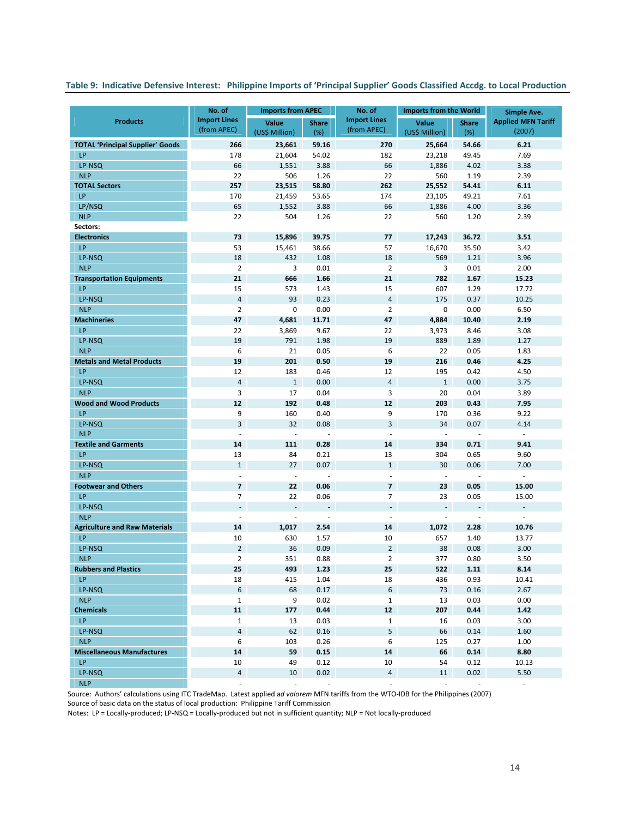# Table 9: Indicative Defensive Interest: Philippine Imports of 'Principal Supplier' Goods Classified Accdg. to Local Production

|                                         | No. of                                | <b>Imports from APEC</b>       |                          | No. of              | <b>Imports from the World</b> |                          | Simple Ave.               |
|-----------------------------------------|---------------------------------------|--------------------------------|--------------------------|---------------------|-------------------------------|--------------------------|---------------------------|
| <b>Products</b>                         | <b>Import Lines</b>                   | Value                          | <b>Share</b>             | <b>Import Lines</b> | Value                         | <b>Share</b>             | <b>Applied MFN Tariff</b> |
|                                         | (from APEC)                           | (US\$ Million)                 | (%)                      | (from APEC)         | (US\$ Million)                | (%)                      | (2007)                    |
| <b>TOTAL 'Principal Supplier' Goods</b> | 266                                   | 23,661                         | 59.16                    | 270                 | 25,664                        | 54.66                    | 6.21                      |
| LP                                      | 178                                   | 21,604                         | 54.02                    | 182                 | 23,218                        | 49.45                    | 7.69                      |
| LP-NSQ                                  | 66                                    | 1,551                          | 3.88                     | 66                  | 1,886                         | 4.02                     | 3.38                      |
| <b>NLP</b>                              | 22                                    | 506                            | 1.26                     | 22                  | 560                           | 1.19                     | 2.39                      |
| <b>TOTAL Sectors</b>                    | 257                                   | 23,515                         | 58.80                    | 262                 | 25,552                        | 54.41                    | 6.11                      |
| LP                                      | 170                                   | 21,459                         | 53.65                    | 174                 | 23,105                        | 49.21                    | 7.61                      |
| LP/NSQ<br><b>NLP</b>                    | 65<br>22                              | 1,552<br>504                   | 3.88<br>1.26             | 66<br>22            | 1,886<br>560                  | 4.00<br>1.20             | 3.36                      |
| Sectors:                                |                                       |                                |                          |                     |                               |                          | 2.39                      |
| <b>Electronics</b>                      | 73                                    | 15,896                         | 39.75                    | 77                  | 17,243                        | 36.72                    | 3.51                      |
| LP                                      | 53                                    | 15,461                         | 38.66                    | 57                  | 16,670                        | 35.50                    | 3.42                      |
| LP-NSQ                                  | 18                                    | 432                            | 1.08                     | 18                  | 569                           | 1.21                     | 3.96                      |
| <b>NLP</b>                              | $\overline{2}$                        | 3                              | 0.01                     | $\overline{2}$      | 3                             | 0.01                     | 2.00                      |
| <b>Transportation Equipments</b>        | 21                                    | 666                            | 1.66                     | 21                  | 782                           | 1.67                     | 15.23                     |
| LP                                      | 15                                    | 573                            | 1.43                     | 15                  | 607                           | 1.29                     | 17.72                     |
| LP-NSQ                                  | $\overline{4}$                        | 93                             | 0.23                     | $\sqrt{4}$          | 175                           | 0.37                     | 10.25                     |
| <b>NLP</b>                              | $\overline{2}$                        | $\mathbf 0$                    | 0.00                     | $\overline{2}$      | $\mathbf 0$                   | 0.00                     | 6.50                      |
| <b>Machineries</b>                      | 47                                    | 4,681                          | 11.71                    | 47                  | 4,884                         | 10.40                    | 2.19                      |
| LP                                      | 22                                    | 3,869                          | 9.67                     | 22                  | 3,973                         | 8.46                     | 3.08                      |
| LP-NSQ                                  | 19                                    | 791                            | 1.98                     | 19                  | 889                           | 1.89                     | 1.27                      |
| <b>NLP</b>                              | 6                                     | 21                             | 0.05                     | 6                   | 22                            | 0.05                     | 1.83                      |
| <b>Metals and Metal Products</b>        | 19                                    | 201                            | 0.50                     | 19                  | 216                           | 0.46                     | 4.25                      |
| LP                                      | 12                                    | 183                            | 0.46                     | 12                  | 195                           | 0.42                     | 4.50                      |
| LP-NSQ                                  | $\overline{4}$                        | $\mathbf{1}$                   | 0.00                     | $\overline{4}$      | $\mathbf{1}$                  | 0.00                     | 3.75                      |
| <b>NLP</b>                              | 3                                     | 17                             | 0.04                     | 3                   | 20                            | 0.04                     | 3.89                      |
| <b>Wood and Wood Products</b>           | 12                                    | 192                            | 0.48                     | 12                  | 203                           | 0.43                     | 7.95                      |
| LP                                      | 9                                     | 160                            | 0.40                     | 9                   | 170                           | 0.36                     | 9.22                      |
| LP-NSQ                                  | 3                                     | 32                             | 0.08                     | 3                   | 34                            | 0.07                     | 4.14                      |
| <b>NLP</b>                              | ä,                                    | ÷,                             | ÷,                       | ÷,                  | $\overline{\phantom{a}}$      | $\bar{a}$                | $\omega$                  |
| <b>Textile and Garments</b>             | 14                                    | 111                            | 0.28                     | 14                  | 334                           | 0.71                     | 9.41                      |
| LP                                      | 13                                    | 84                             | 0.21                     | 13                  | 304                           | 0.65                     | 9.60                      |
| LP-NSQ                                  | $\mathbf{1}$                          | 27                             | 0.07                     | $\mathbf{1}$        | 30                            | 0.06                     | 7.00                      |
| <b>NLP</b>                              | ÷,                                    | $\overline{\phantom{a}}$       | $\overline{\phantom{a}}$ | ÷,                  | $\overline{\phantom{a}}$      | $\overline{\phantom{a}}$ | ä,                        |
| <b>Footwear and Others</b>              | $\overline{\mathbf{z}}$               | 22                             | 0.06                     | $\overline{7}$      | 23                            | 0.05                     | 15.00                     |
| LP                                      | $\overline{7}$<br>$\bar{\phantom{a}}$ | 22                             | 0.06                     | $\overline{7}$      | 23<br>$\omega$                | 0.05<br>$\Box$           | 15.00<br>÷.               |
| LP-NSQ<br><b>NLP</b>                    | ÷,                                    | $\overline{\phantom{a}}$<br>L, | $\Box$                   | $\bar{a}$<br>÷,     | $\blacksquare$                | ÷,                       | $\overline{\phantom{a}}$  |
| <b>Agriculture and Raw Materials</b>    | 14                                    | 1,017                          | 2.54                     | 14                  | 1,072                         | 2.28                     | 10.76                     |
| LP                                      | 10                                    | 630                            | 1.57                     | 10                  | 657                           | 1.40                     | 13.77                     |
| LP-NSQ                                  | $\overline{2}$                        | 36                             | 0.09                     | $\overline{2}$      | 38                            | 0.08                     | 3.00                      |
| <b>NLP</b>                              | $\overline{2}$                        | 351                            | 0.88                     | $\overline{2}$      | 377                           | 0.80                     | 3.50                      |
| <b>Rubbers and Plastics</b>             | 25                                    | 493                            | 1.23                     | 25                  | 522                           | 1.11                     | 8.14                      |
| LP                                      | 18                                    | 415                            | 1.04                     | 18                  | 436                           | 0.93                     | 10.41                     |
| LP-NSQ                                  | 6                                     | 68                             | 0.17                     | 6                   | 73                            | 0.16                     | 2.67                      |
| <b>NLP</b>                              | $\mathbf{1}$                          | 9                              | 0.02                     | $\mathbf{1}$        | 13                            | 0.03                     | 0.00                      |
| <b>Chemicals</b>                        | 11                                    | 177                            | 0.44                     | 12                  | 207                           | 0.44                     | 1.42                      |
| LP.                                     | $\mathbf{1}$                          | 13                             | 0.03                     | $\mathbf{1}$        | 16                            | 0.03                     | 3.00                      |
| LP-NSQ                                  | $\overline{4}$                        | 62                             | 0.16                     | 5                   | 66                            | 0.14                     | 1.60                      |
| <b>NLP</b>                              | 6                                     | 103                            | 0.26                     | 6                   | 125                           | 0.27                     | 1.00                      |
| <b>Miscellaneous Manufactures</b>       | 14                                    | 59                             | 0.15                     | 14                  | 66                            | 0.14                     | 8.80                      |
| <b>LP</b>                               | 10                                    | 49                             | 0.12                     | 10                  | 54                            | 0.12                     | 10.13                     |
| LP-NSQ                                  | $\overline{\mathbf{4}}$               | 10                             | 0.02                     | $\overline{4}$      | 11                            | 0.02                     | 5.50                      |
| <b>NLP</b>                              | $\bar{a}$                             | ÷.                             |                          |                     |                               |                          | ÷.                        |

Source: Authors' calculations using ITC TradeMap. Latest applied a*d valorem* MFN tariffs from the WTO‐IDB for the Philippines (2007) Source of basic data on the status of local production: Philippine Tariff Commission

Notes: LP = Locally‐produced; LP‐NSQ = Locally‐produced but not in sufficient quantity; NLP = Not locally‐produced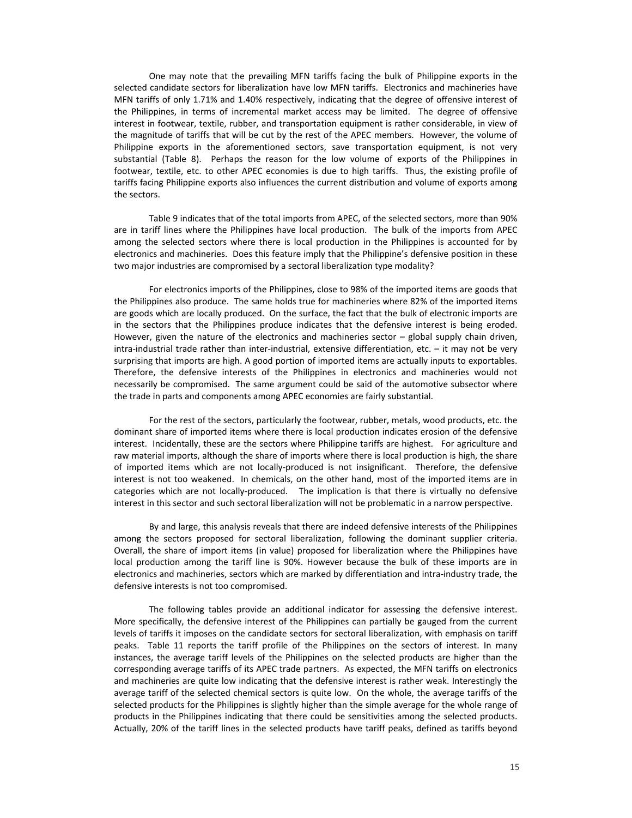One may note that the prevailing MFN tariffs facing the bulk of Philippine exports in the selected candidate sectors for liberalization have low MFN tariffs. Electronics and machineries have MFN tariffs of only 1.71% and 1.40% respectively, indicating that the degree of offensive interest of the Philippines, in terms of incremental market access may be limited. The degree of offensive interest in footwear, textile, rubber, and transportation equipment is rather considerable, in view of the magnitude of tariffs that will be cut by the rest of the APEC members. However, the volume of Philippine exports in the aforementioned sectors, save transportation equipment, is not very substantial (Table 8). Perhaps the reason for the low volume of exports of the Philippines in footwear, textile, etc. to other APEC economies is due to high tariffs. Thus, the existing profile of tariffs facing Philippine exports also influences the current distribution and volume of exports among the sectors.

 Table 9 indicates that of the total imports from APEC, of the selected sectors, more than 90% are in tariff lines where the Philippines have local production. The bulk of the imports from APEC among the selected sectors where there is local production in the Philippines is accounted for by electronics and machineries. Does this feature imply that the Philippine's defensive position in these two major industries are compromised by a sectoral liberalization type modality?

 For electronics imports of the Philippines, close to 98% of the imported items are goods that the Philippines also produce. The same holds true for machineries where 82% of the imported items are goods which are locally produced. On the surface, the fact that the bulk of electronic imports are in the sectors that the Philippines produce indicates that the defensive interest is being eroded. However, given the nature of the electronics and machineries sector – global supply chain driven, intra-industrial trade rather than inter-industrial, extensive differentiation, etc. – it may not be very surprising that imports are high. A good portion of imported items are actually inputs to exportables. Therefore, the defensive interests of the Philippines in electronics and machineries would not necessarily be compromised. The same argument could be said of the automotive subsector where the trade in parts and components among APEC economies are fairly substantial.

 For the rest of the sectors, particularly the footwear, rubber, metals, wood products, etc. the dominant share of imported items where there is local production indicates erosion of the defensive interest. Incidentally, these are the sectors where Philippine tariffs are highest. For agriculture and raw material imports, although the share of imports where there is local production is high, the share of imported items which are not locally‐produced is not insignificant. Therefore, the defensive interest is not too weakened. In chemicals, on the other hand, most of the imported items are in categories which are not locally-produced. The implication is that there is virtually no defensive interest in this sector and such sectoral liberalization will not be problematic in a narrow perspective.

 By and large, this analysis reveals that there are indeed defensive interests of the Philippines among the sectors proposed for sectoral liberalization, following the dominant supplier criteria. Overall, the share of import items (in value) proposed for liberalization where the Philippines have local production among the tariff line is 90%. However because the bulk of these imports are in electronics and machineries, sectors which are marked by differentiation and intra-industry trade, the defensive interests is not too compromised.

The following tables provide an additional indicator for assessing the defensive interest. More specifically, the defensive interest of the Philippines can partially be gauged from the current levels of tariffs it imposes on the candidate sectors for sectoral liberalization, with emphasis on tariff peaks. Table 11 reports the tariff profile of the Philippines on the sectors of interest. In many instances, the average tariff levels of the Philippines on the selected products are higher than the corresponding average tariffs of its APEC trade partners. As expected, the MFN tariffs on electronics and machineries are quite low indicating that the defensive interest is rather weak. Interestingly the average tariff of the selected chemical sectors is quite low. On the whole, the average tariffs of the selected products for the Philippines is slightly higher than the simple average for the whole range of products in the Philippines indicating that there could be sensitivities among the selected products. Actually, 20% of the tariff lines in the selected products have tariff peaks, defined as tariffs beyond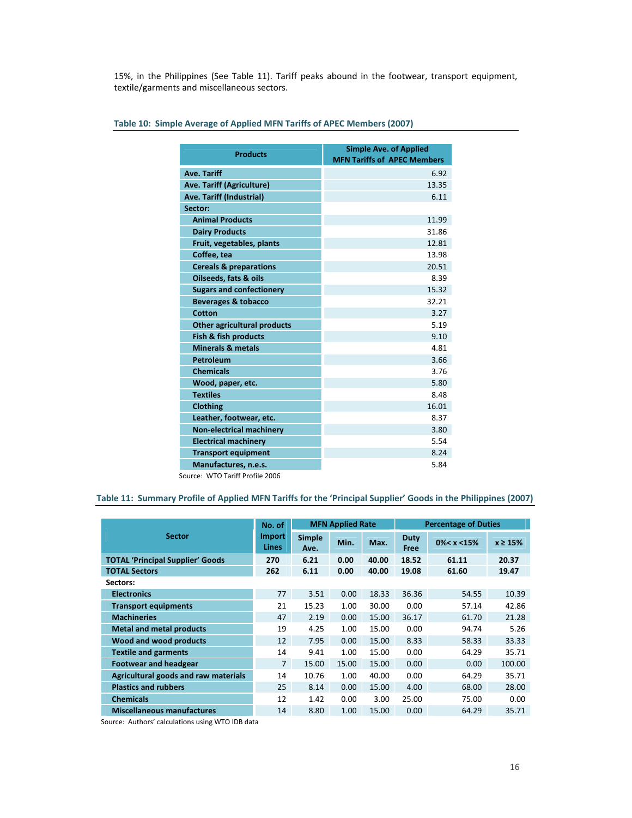15%, in the Philippines (See Table 11). Tariff peaks abound in the footwear, transport equipment, textile/garments and miscellaneous sectors.

| <b>Products</b>                    | <b>Simple Ave. of Applied</b><br><b>MFN Tariffs of APEC Members</b> |
|------------------------------------|---------------------------------------------------------------------|
| <b>Ave. Tariff</b>                 | 6.92                                                                |
| Ave. Tariff (Agriculture)          | 13.35                                                               |
| Ave. Tariff (Industrial)           | 6.11                                                                |
| Sector:                            |                                                                     |
| <b>Animal Products</b>             | 11.99                                                               |
| <b>Dairy Products</b>              | 31.86                                                               |
| Fruit, vegetables, plants          | 12.81                                                               |
| Coffee, tea                        | 13.98                                                               |
| <b>Cereals &amp; preparations</b>  | 20.51                                                               |
| Oilseeds, fats & oils              | 8.39                                                                |
| <b>Sugars and confectionery</b>    | 15.32                                                               |
| <b>Beverages &amp; tobacco</b>     | 32.21                                                               |
| Cotton                             | 3.27                                                                |
| <b>Other agricultural products</b> | 5.19                                                                |
| Fish & fish products               | 9.10                                                                |
| <b>Minerals &amp; metals</b>       | 4.81                                                                |
| Petroleum                          | 3.66                                                                |
| <b>Chemicals</b>                   | 3.76                                                                |
| Wood, paper, etc.                  | 5.80                                                                |
| <b>Textiles</b>                    | 8.48                                                                |
| <b>Clothing</b>                    | 16.01                                                               |
| Leather, footwear, etc.            | 8.37                                                                |
| <b>Non-electrical machinery</b>    | 3.80                                                                |
| <b>Electrical machinery</b>        | 5.54                                                                |
| <b>Transport equipment</b>         | 8.24                                                                |
| Manufactures, n.e.s.               | 5.84                                                                |

# **Table 10: Simple Average of Applied MFN Tariffs of APEC Members (2007)**

Source: WTO Tariff Profile 2006

# Table 11: Summary Profile of Applied MFN Tariffs for the 'Principal Supplier' Goods in the Philippines (2007)

|                                         | No. of                        |                       | <b>MFN Applied Rate</b> |       |              | <b>Percentage of Duties</b> |               |
|-----------------------------------------|-------------------------------|-----------------------|-------------------------|-------|--------------|-----------------------------|---------------|
| <b>Sector</b>                           | <b>Import</b><br><b>Lines</b> | <b>Simple</b><br>Ave. | Min.                    | Max.  | Duty<br>Free | $0\% < x < 15\%$            | $x \geq 15\%$ |
| <b>TOTAL 'Principal Supplier' Goods</b> | 270                           | 6.21                  | 0.00                    | 40.00 | 18.52        | 61.11                       | 20.37         |
| <b>TOTAL Sectors</b>                    | 262                           | 6.11                  | 0.00                    | 40.00 | 19.08        | 61.60                       | 19.47         |
| Sectors:                                |                               |                       |                         |       |              |                             |               |
| <b>Electronics</b>                      | 77                            | 3.51                  | 0.00                    | 18.33 | 36.36        | 54.55                       | 10.39         |
| <b>Transport equipments</b>             | 21                            | 15.23                 | 1.00                    | 30.00 | 0.00         | 57.14                       | 42.86         |
| <b>Machineries</b>                      | 47                            | 2.19                  | 0.00                    | 15.00 | 36.17        | 61.70                       | 21.28         |
| <b>Metal and metal products</b>         | 19                            | 4.25                  | 1.00                    | 15.00 | 0.00         | 94.74                       | 5.26          |
| Wood and wood products                  | 12                            | 7.95                  | 0.00                    | 15.00 | 8.33         | 58.33                       | 33.33         |
| <b>Textile and garments</b>             | 14                            | 9.41                  | 1.00                    | 15.00 | 0.00         | 64.29                       | 35.71         |
| <b>Footwear and headgear</b>            | $\overline{7}$                | 15.00                 | 15.00                   | 15.00 | 0.00         | 0.00                        | 100.00        |
| Agricultural goods and raw materials    | 14                            | 10.76                 | 1.00                    | 40.00 | 0.00         | 64.29                       | 35.71         |
| <b>Plastics and rubbers</b>             | 25                            | 8.14                  | 0.00                    | 15.00 | 4.00         | 68.00                       | 28.00         |
| <b>Chemicals</b>                        | 12                            | 1.42                  | 0.00                    | 3.00  | 25.00        | 75.00                       | 0.00          |
| <b>Miscellaneous manufactures</b>       | 14                            | 8.80                  | 1.00                    | 15.00 | 0.00         | 64.29                       | 35.71         |

Source: Authors' calculations using WTO IDB data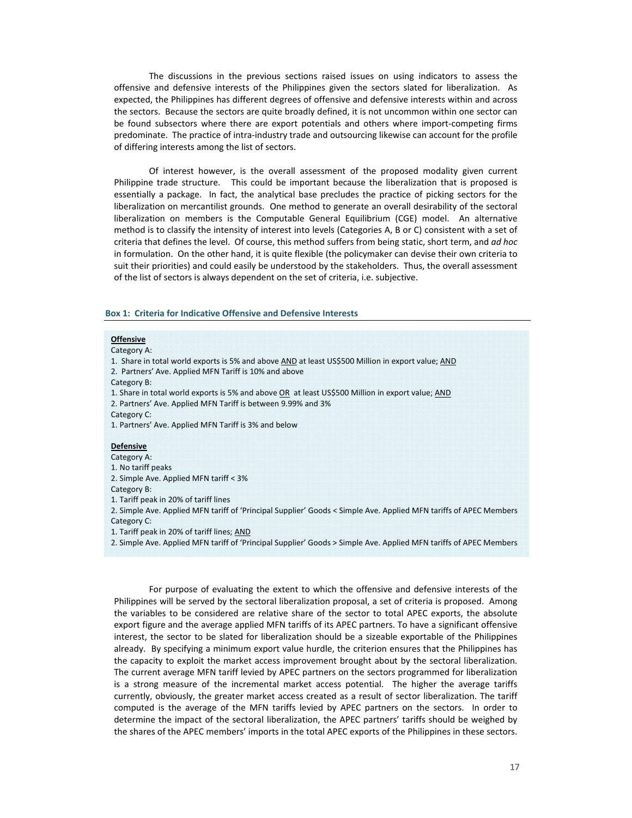The discussions in the previous sections raised issues on using indicators to assess the offensive and defensive interests of the Philippines given the sectors slated for liberalization. As expected, the Philippines has different degrees of offensive and defensive interests within and across the sectors. Because the sectors are quite broadly defined, it is not uncommon within one sector can be found subsectors where there are export potentials and others where import-competing firms predominate. The practice of intra‐industry trade and outsourcing likewise can account for the profile of differing interests among the list of sectors.

Of interest however, is the overall assessment of the proposed modality given current Philippine trade structure. This could be important because the liberalization that is proposed is essentially a package. In fact, the analytical base precludes the practice of picking sectors for the liberalization on mercantilist grounds. One method to generate an overall desirability of the sectoral liberalization on members is the Computable General Equilibrium (CGE) model. An alternative method is to classify the intensity of interest into levels (Categories A, B or C) consistent with a set of criteria that defines the level. Of course, this method suffers from being static, short term, and *ad hoc* in formulation. On the other hand, it is quite flexible (the policymaker can devise their own criteria to suit their priorities) and could easily be understood by the stakeholders. Thus, the overall assessment of the list of sectors is always dependent on the set of criteria, i.e. subjective.

### **Box 1: Criteria for Indicative Offensive and Defensive Interests**

#### **Offensive**

Category A:

1. Share in total world exports is 5% and above AND at least US\$500 Million in export value; AND

2. Partners' Ave. Applied MFN Tariff is 10% and above

Category B:

1. Share in total world exports is 5% and above OR at least US\$500 Million in export value; AND

2. Partners' Ave. Applied MFN Tariff is between 9.99% and 3%

Category C:

1. Partners' Ave. Applied MFN Tariff is 3% and below

#### **Defensive**

Category A: 1. No tariff peaks

2. Simple Ave. Applied MFN tariff < 3%

Category B:

1. Tariff peak in 20% of tariff lines

2. Simple Ave. Applied MFN tariff of 'Principal Supplier' Goods < Simple Ave. Applied MFN tariffs of APEC Members Category C:

- 1. Tariff peak in 20% of tariff lines; AND
- 2. Simple Ave. Applied MFN tariff of 'Principal Supplier' Goods > Simple Ave. Applied MFN tariffs of APEC Members

For purpose of evaluating the extent to which the offensive and defensive interests of the Philippines will be served by the sectoral liberalization proposal, a set of criteria is proposed. Among the variables to be considered are relative share of the sector to total APEC exports, the absolute export figure and the average applied MFN tariffs of its APEC partners. To have a significant offensive interest, the sector to be slated for liberalization should be a sizeable exportable of the Philippines already. By specifying a minimum export value hurdle, the criterion ensures that the Philippines has the capacity to exploit the market access improvement brought about by the sectoral liberalization. The current average MFN tariff levied by APEC partners on the sectors programmed for liberalization is a strong measure of the incremental market access potential. The higher the average tariffs currently, obviously, the greater market access created as a result of sector liberalization. The tariff computed is the average of the MFN tariffs levied by APEC partners on the sectors. In order to determine the impact of the sectoral liberalization, the APEC partners' tariffs should be weighed by the shares of the APEC members' imports in the total APEC exports of the Philippines in these sectors.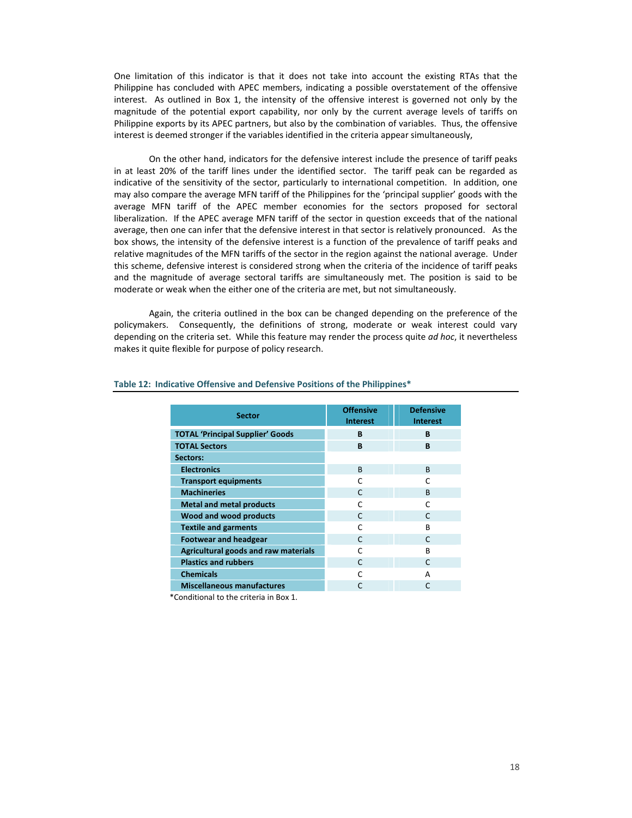One limitation of this indicator is that it does not take into account the existing RTAs that the Philippine has concluded with APEC members, indicating a possible overstatement of the offensive interest. As outlined in Box 1, the intensity of the offensive interest is governed not only by the magnitude of the potential export capability, nor only by the current average levels of tariffs on Philippine exports by its APEC partners, but also by the combination of variables. Thus, the offensive interest is deemed stronger if the variables identified in the criteria appear simultaneously,

On the other hand, indicators for the defensive interest include the presence of tariff peaks in at least 20% of the tariff lines under the identified sector. The tariff peak can be regarded as indicative of the sensitivity of the sector, particularly to international competition. In addition, one may also compare the average MFN tariff of the Philippines for the 'principal supplier' goods with the average MFN tariff of the APEC member economies for the sectors proposed for sectoral liberalization. If the APEC average MFN tariff of the sector in question exceeds that of the national average, then one can infer that the defensive interest in that sector is relatively pronounced. As the box shows, the intensity of the defensive interest is a function of the prevalence of tariff peaks and relative magnitudes of the MFN tariffs of the sector in the region against the national average. Under this scheme, defensive interest is considered strong when the criteria of the incidence of tariff peaks and the magnitude of average sectoral tariffs are simultaneously met. The position is said to be moderate or weak when the either one of the criteria are met, but not simultaneously.

Again, the criteria outlined in the box can be changed depending on the preference of the policymakers. Consequently, the definitions of strong, moderate or weak interest could vary depending on the criteria set. While this feature may render the process quite *ad hoc*, it nevertheless makes it quite flexible for purpose of policy research.

| <b>Sector</b>                           | <b>Offensive</b><br><b>Interest</b> | <b>Defensive</b><br><b>Interest</b> |
|-----------------------------------------|-------------------------------------|-------------------------------------|
| <b>TOTAL 'Principal Supplier' Goods</b> | B                                   | B                                   |
| <b>TOTAL Sectors</b>                    | B                                   | B                                   |
| Sectors:                                |                                     |                                     |
| <b>Electronics</b>                      | <sub>R</sub>                        | <sub>R</sub>                        |
| <b>Transport equipments</b>             | C                                   | r                                   |
| <b>Machineries</b>                      | C                                   | <sub>R</sub>                        |
| <b>Metal and metal products</b>         | C                                   | r                                   |
| Wood and wood products                  | $\mathsf{C}$                        | $\Gamma$                            |
| <b>Textile and garments</b>             | C                                   | B                                   |
| <b>Footwear and headgear</b>            | C                                   | $\mathsf{C}$                        |
| Agricultural goods and raw materials    | C                                   | R                                   |
| <b>Plastics and rubbers</b>             | $\mathsf{C}$                        | $\mathsf{C}$                        |
| <b>Chemicals</b>                        | r                                   | А                                   |
| <b>Miscellaneous manufactures</b>       |                                     | C                                   |

#### **Table 12: Indicative Offensive and Defensive Positions of the Philippines\***

\*Conditional to the criteria in Box 1.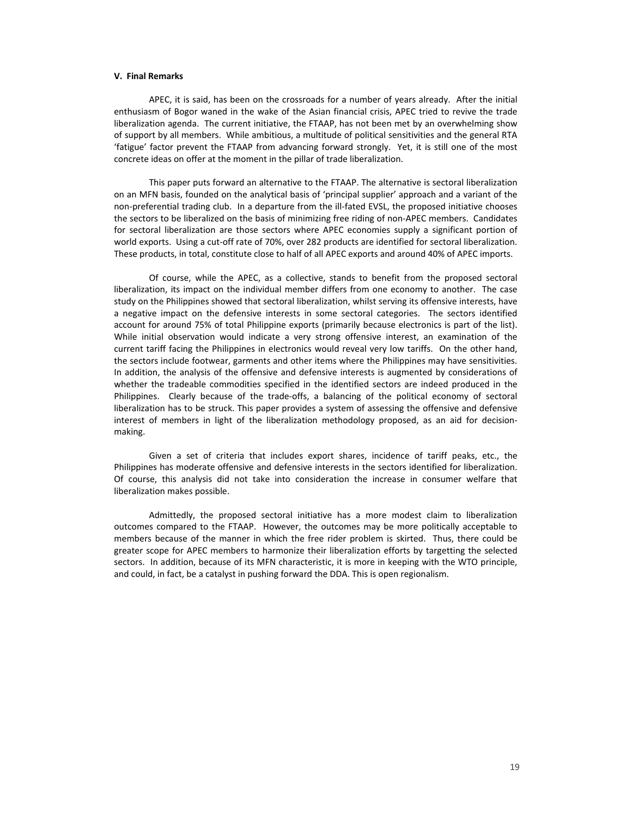#### **V. Final Remarks**

APEC, it is said, has been on the crossroads for a number of years already. After the initial enthusiasm of Bogor waned in the wake of the Asian financial crisis, APEC tried to revive the trade liberalization agenda. The current initiative, the FTAAP, has not been met by an overwhelming show of support by all members. While ambitious, a multitude of political sensitivities and the general RTA 'fatigue' factor prevent the FTAAP from advancing forward strongly. Yet, it is still one of the most concrete ideas on offer at the moment in the pillar of trade liberalization.

This paper puts forward an alternative to the FTAAP. The alternative is sectoral liberalization on an MFN basis, founded on the analytical basis of 'principal supplier' approach and a variant of the non‐preferential trading club. In a departure from the ill‐fated EVSL, the proposed initiative chooses the sectors to be liberalized on the basis of minimizing free riding of non‐APEC members. Candidates for sectoral liberalization are those sectors where APEC economies supply a significant portion of world exports. Using a cut-off rate of 70%, over 282 products are identified for sectoral liberalization. These products, in total, constitute close to half of all APEC exports and around 40% of APEC imports.

Of course, while the APEC, as a collective, stands to benefit from the proposed sectoral liberalization, its impact on the individual member differs from one economy to another. The case study on the Philippines showed that sectoral liberalization, whilst serving its offensive interests, have a negative impact on the defensive interests in some sectoral categories. The sectors identified account for around 75% of total Philippine exports (primarily because electronics is part of the list). While initial observation would indicate a very strong offensive interest, an examination of the current tariff facing the Philippines in electronics would reveal very low tariffs. On the other hand, the sectors include footwear, garments and other items where the Philippines may have sensitivities. In addition, the analysis of the offensive and defensive interests is augmented by considerations of whether the tradeable commodities specified in the identified sectors are indeed produced in the Philippines. Clearly because of the trade-offs, a balancing of the political economy of sectoral liberalization has to be struck. This paper provides a system of assessing the offensive and defensive interest of members in light of the liberalization methodology proposed, as an aid for decisionmaking.

Given a set of criteria that includes export shares, incidence of tariff peaks, etc., the Philippines has moderate offensive and defensive interests in the sectors identified for liberalization. Of course, this analysis did not take into consideration the increase in consumer welfare that liberalization makes possible.

Admittedly, the proposed sectoral initiative has a more modest claim to liberalization outcomes compared to the FTAAP. However, the outcomes may be more politically acceptable to members because of the manner in which the free rider problem is skirted. Thus, there could be greater scope for APEC members to harmonize their liberalization efforts by targetting the selected sectors. In addition, because of its MFN characteristic, it is more in keeping with the WTO principle, and could, in fact, be a catalyst in pushing forward the DDA. This is open regionalism.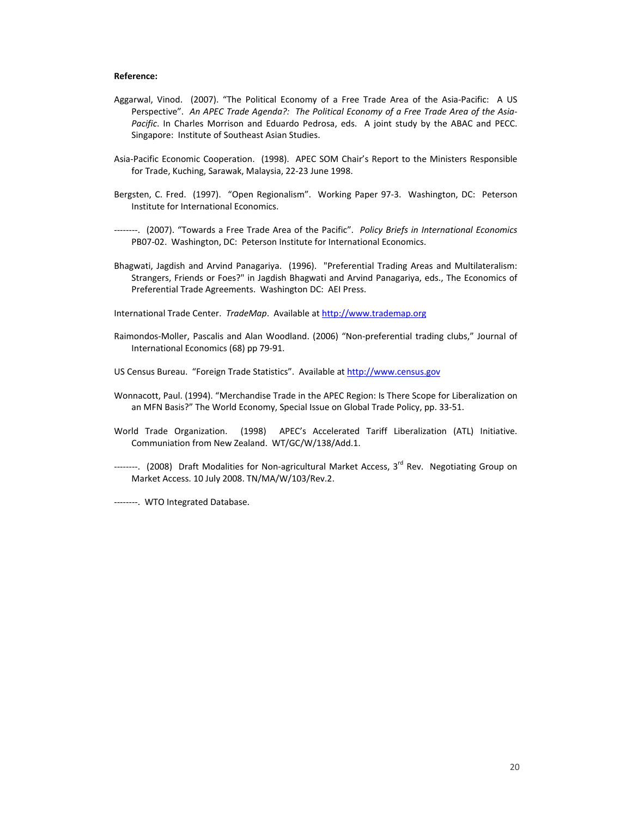#### **Reference:**

- Aggarwal, Vinod. (2007). "The Political Economy of a Free Trade Area of the Asia‐Pacific: A US Perspective". *An APEC Trade Agenda?: The Political Economy of a Free Trade Area of the Asia‐ Pacific*. In Charles Morrison and Eduardo Pedrosa, eds. A joint study by the ABAC and PECC. Singapore: Institute of Southeast Asian Studies.
- Asia‐Pacific Economic Cooperation. (1998). APEC SOM Chair's Report to the Ministers Responsible for Trade, Kuching, Sarawak, Malaysia, 22‐23 June 1998.
- Bergsten, C. Fred. (1997). "Open Regionalism". Working Paper 97-3. Washington, DC: Peterson Institute for International Economics.
- ‐‐‐‐‐‐‐‐. (2007). "Towards a Free Trade Area of the Pacific". *Policy Briefs in International Economics* PB07‐02. Washington, DC: Peterson Institute for International Economics.
- Bhagwati, Jagdish and Arvind Panagariya. (1996). "Preferential Trading Areas and Multilateralism: Strangers, Friends or Foes?" in Jagdish Bhagwati and Arvind Panagariya, eds., The Economics of Preferential Trade Agreements. Washington DC: AEI Press.

International Trade Center. *TradeMap*. Available at http://www.trademap.org

- Raimondos‐Moller, Pascalis and Alan Woodland. (2006) "Non‐preferential trading clubs," Journal of International Economics (68) pp 79‐91.
- US Census Bureau. "Foreign Trade Statistics". Available at http://www.census.gov
- Wonnacott, Paul. (1994). "Merchandise Trade in the APEC Region: Is There Scope for Liberalization on an MFN Basis?" The World Economy, Special Issue on Global Trade Policy, pp. 33‐51.
- World Trade Organization. (1998) APEC's Accelerated Tariff Liberalization (ATL) Initiative. Communiation from New Zealand. WT/GC/W/138/Add.1.
- --------. (2008) Draft Modalities for Non-agricultural Market Access, 3<sup>rd</sup> Rev. Negotiating Group on Market Access. 10 July 2008. TN/MA/W/103/Rev.2.

-------. WTO Integrated Database.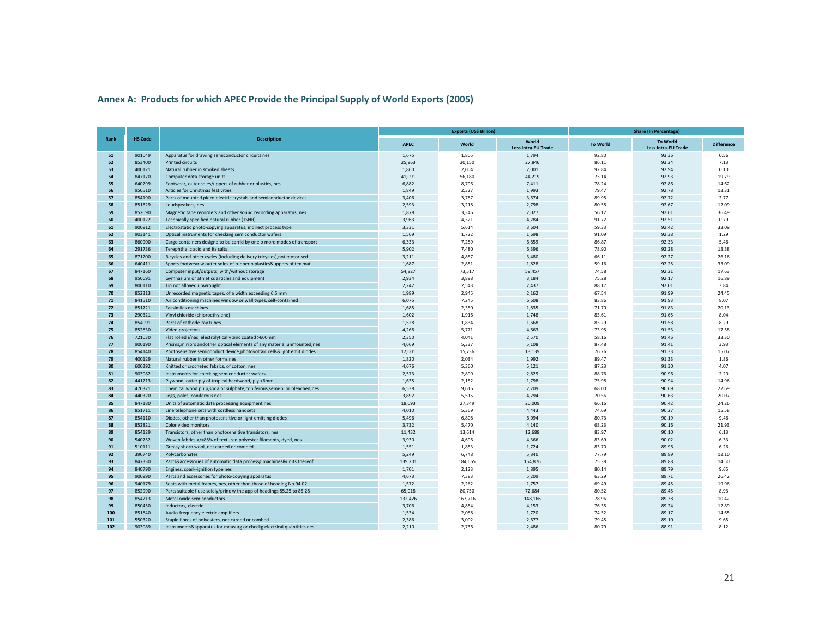#### **Annex A: Products for which APEC Provide the Principal Supply of World Exports (2005)**

|      |                |                                                                           |         | <b>Exports (US\$ Billion)</b> |                                     | <b>Share (In Percentage)</b> |                                               |                   |  |  |
|------|----------------|---------------------------------------------------------------------------|---------|-------------------------------|-------------------------------------|------------------------------|-----------------------------------------------|-------------------|--|--|
| Rank | <b>HS Code</b> | <b>Description</b>                                                        | APEC    | World                         | World<br><b>Less Intra-EU Trade</b> | <b>To World</b>              | <b>To World</b><br><b>Less Intra-EU Trade</b> | <b>Difference</b> |  |  |
| 51   | 901049         | Apparatus for drawing semiconductor circuits nes                          | 1,675   | 1,805                         | 1,794                               | 92.80                        | 93.36                                         | 0.56              |  |  |
| 52   | 853400         | <b>Printed circuits</b>                                                   | 25,963  | 30,150                        | 27,846                              | 86.11                        | 93.24                                         | 7.13              |  |  |
| 53   | 400121         | Natural rubber in smoked sheets                                           | 1,860   | 2,004                         | 2,001                               | 92.84                        | 92.94                                         | 0.10              |  |  |
| 54   | 847170         | Computer data storage units                                               | 41,091  | 56,180                        | 44,219                              | 73.14                        | 92.93                                         | 19.79             |  |  |
| 55   | 640299         | Footwear, outer soles/uppers of rubber or plastics, nes                   | 6,882   | 8,796                         | 7,411                               | 78.24                        | 92.86                                         | 14.62             |  |  |
| 56   | 950510         | Articles for Christmas festivities                                        | 1,849   | 2,327                         | 1,993                               | 79.47                        | 92.78                                         | 13.31             |  |  |
| 57   | 854190         | Parts of mounted piezo-electric crystals and semiconductor devices        | 3,406   | 3,787                         | 3,674                               | 89.95                        | 92.72                                         | 2.77              |  |  |
| 58   | 851829         | Loudspeakers, nes                                                         | 2,593   | 3,218                         | 2,798                               | 80.58                        | 92.67                                         | 12.09             |  |  |
| 59   | 852090         | Magnetic tape recorders and other sound recording apparatus, nes          | 1,878   | 3,346                         | 2,027                               | 56.12                        | 92.61                                         | 36.49             |  |  |
| 60   | 400122         | Technically specified natural rubber (TSNR)                               | 3,963   | 4,321                         | 4,284                               | 91.72                        | 92.51                                         | 0.79              |  |  |
| 61   | 900912         | Electrostatic photo-copying apparatus, indirect process type              | 3,331   | 5,614                         | 3,604                               | 59.33                        | 92.42                                         | 33.09             |  |  |
| 62   | 903141         | Optical instruments for checking semiconductor wafers                     | 1,569   | 1,722                         | 1,698                               | 91.09                        | 92.38                                         | 1.29              |  |  |
| 63   | 860900         | Cargo containers designd to be carrid by one o more modes of transport    | 6,333   | 7,289                         | 6,859                               | 86.87                        | 92.33                                         | 5.46              |  |  |
| 64   | 291736         | Terephthalic acid and its salts                                           | 5,902   | 7,480                         | 6,396                               | 78.90                        | 92.28                                         | 13.38             |  |  |
| 65   | 871200         | Bicycles and other cycles (including delivery tricycles), not motorised   | 3.211   | 4,857                         | 3,480                               | 66.11                        | 92.27                                         | 26.16             |  |  |
| 66   | 640411         | Sports footwear w outer soles of rubber o plastics&uppers of tex mat      | 1,687   | 2,851                         | 1,828                               | 59.16                        | 92.25                                         | 33.09             |  |  |
| 67   | 847160         | Computer input/outputs, with/without storage                              | 54,827  | 73,517                        | 59,457                              | 74.58                        | 92.21                                         | 17.63             |  |  |
| 68   | 950691         | Gymnasium or athletics articles and equipment                             | 2,934   | 3,898                         | 3,184                               | 75.28                        | 92.17                                         | 16.89             |  |  |
| 69   | 800110         | Tin not alloyed unwrought                                                 | 2,242   | 2,543                         | 2,437                               | 88.17                        | 92.01                                         | 3.84              |  |  |
| 70   | 852313         | Unrecorded magnetic tapes, of a width exceeding 6.5 mm                    | 1,989   | 2,945                         | 2,162                               | 67.54                        | 91.99                                         | 24.45             |  |  |
| 71   | 841510         | Air conditioning machines window or wall types, self-contained            | 6,075   | 7,245                         | 6,608                               | 83.86                        | 91.93                                         | 8.07              |  |  |
| 72   | 851721         | <b>Facsimiles machines</b>                                                | 1,685   | 2,350                         | 1,835                               | 71.70                        | 91.83                                         | 20.13             |  |  |
| 73   | 290321         | Vinyl chloride (chloroethylene)                                           | 1,602   | 1,916                         | 1,748                               | 83.61                        | 91.65                                         | 8.04              |  |  |
| 74   | 854091         | Parts of cathode-ray tubes                                                | 1,528   | 1,834                         | 1,668                               | 83.29                        | 91.58                                         | 8.29              |  |  |
| 75   | 852830         |                                                                           | 4,268   | 5,771                         | 4,663                               | 73.95                        | 91.53                                         | 17.58             |  |  |
| 76   |                | Video projectors                                                          |         |                               |                                     |                              |                                               |                   |  |  |
|      | 721030         | Flat rolled i/nas, electrolytically zinc coated >600mm                    | 2,350   | 4,041                         | 2,570                               | 58.16                        | 91.46                                         | 33.30             |  |  |
| 77   | 900190         | Prisms, mirrors andother optical elements of any material, unmounted, nes | 4,669   | 5,337                         | 5,108                               | 87.48                        | 91.41                                         | 3.93              |  |  |
| 78   | 854140         | Photosensitive semiconduct device, photovoltaic cells&light emit diodes   | 12,001  | 15,736                        | 13,139                              | 76.26                        | 91.33                                         | 15.07             |  |  |
| 79   | 400129         | Natural rubber in other forms nes                                         | 1,820   | 2,034                         | 1,992                               | 89.47                        | 91.33                                         | 1.86              |  |  |
| 80   | 600292         | Knitted or crocheted fabrics, of cotton, nes                              | 4,676   | 5,360                         | 5,121                               | 87.23                        | 91.30                                         | 4.07              |  |  |
| 81   | 903082         | Instruments for checking semiconductor wafers                             | 2,573   | 2,899                         | 2,829                               | 88.76                        | 90.96                                         | 2.20              |  |  |
| 82   | 441213         | Plywood, outer ply of tropical hardwood, ply <6mm                         | 1,635   | 2,152                         | 1,798                               | 75.98                        | 90.94                                         | 14.96             |  |  |
| 83   | 470321         | Chemical wood pulp,soda or sulphate,coniferous,semi-bl or bleached,nes    | 6,538   | 9,616                         | 7,209                               | 68.00                        | 90.69                                         | 22.69             |  |  |
| 84   | 440320         | Logs, poles, coniferous nes                                               | 3,892   | 5,515                         | 4,294                               | 70.56                        | 90.63                                         | 20.07             |  |  |
| 85   | 847180         | Units of automatic data processing equipment nes                          | 18,093  | 27,349                        | 20,009                              | 66.16                        | 90.42                                         | 24.26             |  |  |
| 86   | 851711         | Line telephone sets with cordless handsets                                | 4,010   | 5,369                         | 4,443                               | 74.69                        | 90.27                                         | 15.58             |  |  |
| 87   | 854110         | Diodes, other than photosensitive or light emitting diodes                | 5,496   | 6,808                         | 6,094                               | 80.73                        | 90.19                                         | 9.46              |  |  |
| 88   | 852821         | Color video monitors                                                      | 3,732   | 5,470                         | 4,140                               | 68.23                        | 90.16                                         | 21.93             |  |  |
| 89   | 854129         | Transistors, other than photosensitive transistors, nes                   | 11,432  | 13,614                        | 12,688                              | 83.97                        | 90.10                                         | 6.13              |  |  |
| 90   | 540752         | Woven fabrics,>/=85% of textured polyester filaments, dyed, nes           | 3,930   | 4,696                         | 4,366                               | 83.69                        | 90.02                                         | 6.33              |  |  |
| 91   | 510111         | Greasy shorn wool, not carded or combed                                   | 1,551   | 1,853                         | 1,724                               | 83.70                        | 89.96                                         | 6.26              |  |  |
| 92   | 390740         | Polycarbonates                                                            | 5,249   | 6,748                         | 5,840                               | 77.79                        | 89.89                                         | 12.10             |  |  |
| 93   | 847330         | Parts&accessories of automatic data processg machines&units thereof       | 139,201 | 184,665                       | 154,876                             | 75.38                        | 89.88                                         | 14.50             |  |  |
| 94   | 840790         | Engines, spark-ignition type nes                                          | 1,701   | 2,123                         | 1,895                               | 80.14                        | 89.79                                         | 9.65              |  |  |
| 95   | 900990         | Parts and accessories for photo-copying apparatus                         | 4,673   | 7,383                         | 5,209                               | 63.29                        | 89.71                                         | 26.42             |  |  |
| 96   | 940179         | Seats with metal frames, nes, other than those of heading No 94.02        | 1,572   | 2,262                         | 1,757                               | 69.49                        | 89.45                                         | 19.96             |  |  |
| 97   | 852990         | Parts suitable f use solely/princ w the app of headings 85.25 to 85.28    | 65,018  | 80,750                        | 72,684                              | 80.52                        | 89.45                                         | 8.93              |  |  |
| 98   | 854213         | Metal oxide semiconductors                                                | 132,426 | 167,716                       | 148,166                             | 78.96                        | 89.38                                         | 10.42             |  |  |
| 99   | 850450         | Inductors, electric                                                       | 3,706   | 4,854                         | 4,153                               | 76.35                        | 89.24                                         | 12.89             |  |  |
| 100  | 851840         | Audio-frequency electric amplifiers                                       | 1,534   | 2,058                         | 1,720                               | 74.52                        | 89.17                                         | 14.65             |  |  |
| 101  | 550320         | Staple fibres of polyesters, not carded or combed                         | 2,386   | 3,002                         | 2,677                               | 79.45                        | 89.10                                         | 9.65              |  |  |
| 102  | 903089         | Instruments&apparatus for measurg or checkg electrical quantities nes     | 2.210   | 2.736                         | 2,486                               | 80.79                        | 88.91                                         | 8.12              |  |  |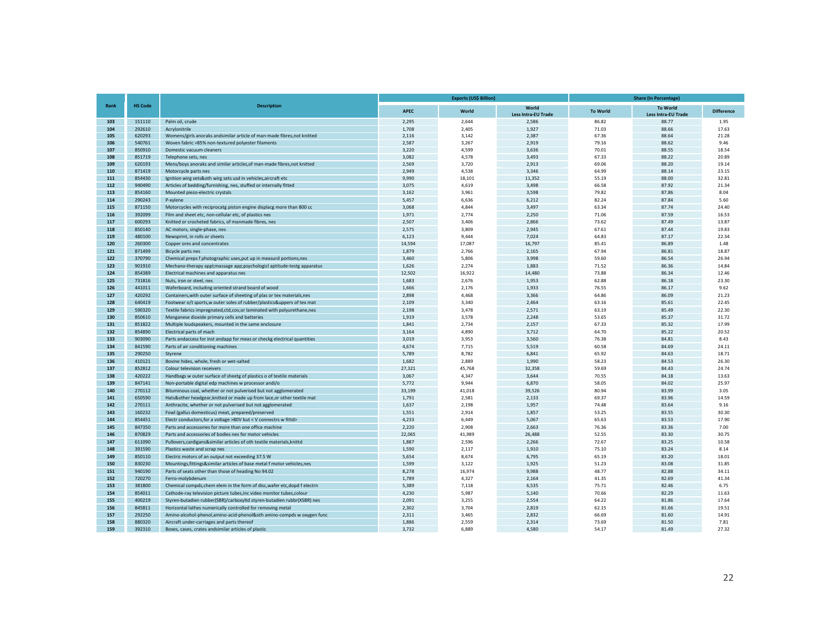|            |                  |                                                                                        |                | <b>Exports (US\$ Billion)</b> |                                     | <b>Share (In Percentage)</b> |                                               |                   |  |  |
|------------|------------------|----------------------------------------------------------------------------------------|----------------|-------------------------------|-------------------------------------|------------------------------|-----------------------------------------------|-------------------|--|--|
| Rank       | <b>HS Code</b>   | <b>Description</b>                                                                     | APEC           | World                         | World<br><b>Less Intra-EU Trade</b> | <b>To World</b>              | <b>To World</b><br><b>Less Intra-EU Trade</b> | <b>Difference</b> |  |  |
| 103        | 151110           | Palm oil, crude                                                                        | 2.295          | 2.644                         | 2.586                               | 86.82                        | 88.77                                         | 1.95              |  |  |
| 104        | 292610           | Acrylonitrile                                                                          | 1,708          | 2,405                         | 1,927                               | 71.03                        | 88.66                                         | 17.63             |  |  |
| 105        | 620293           | Womens/girls anoraks andsimilar article of man-made fibres, not knitted                | 2,116          | 3,142                         | 2,387                               | 67.36                        | 88.64                                         | 21.28             |  |  |
| 106        | 540761           | Woven fabric >85% non-textured polyester filaments                                     | 2,587          | 3,267                         | 2,919                               | 79.16                        | 88.62                                         | 9.46              |  |  |
| 107        | 850910           | Domestic vacuum cleaners                                                               | 3,220          | 4,599                         | 3,636                               | 70.01                        | 88.55                                         | 18.54             |  |  |
| 108<br>109 | 851719           | Telephone sets, nes                                                                    | 3,082          | 4,578                         | 3,493                               | 67.33                        | 88.22                                         | 20.89             |  |  |
| 110        | 620193<br>871419 | Mens/boys anoraks and similar articles, of man-made fibres, not knitted                | 2,569          | 3,720                         | 2,913                               | 69.06                        | 88.20                                         | 19.14             |  |  |
| 111        | 854430           | Motorcycle parts nes<br>Ignition wirg sets&oth wirg sets usd in vehicles, aircraft etc | 2,949<br>9,990 | 4,538<br>18,101               | 3,346<br>11,352                     | 64.99<br>55.19               | 88.14<br>88.00                                | 23.15<br>32.81    |  |  |
| 112        | 940490           | Articles of bedding/furnishing, nes, stuffed or internally fitted                      | 3,075          | 4,619                         | 3,498                               | 66.58                        | 87.92                                         | 21.34             |  |  |
| 113        | 854160           | Mounted piezo-electric crystals                                                        | 3,162          | 3,961                         | 3,598                               | 79.82                        | 87.86                                         | 8.04              |  |  |
| 114        | 290243           | P-xylene                                                                               | 5,457          | 6,636                         | 6,212                               | 82.24                        | 87.84                                         | 5.60              |  |  |
| 115        | 871150           | Motorcycles with reciprocatg piston engine displacg more than 800 cc                   | 3,068          | 4,844                         | 3,497                               | 63.34                        | 87.74                                         | 24.40             |  |  |
| 116        | 392099           | Film and sheet etc, non-cellular etc, of plastics nes                                  | 1,971          | 2,774                         | 2,250                               | 71.06                        | 87.59                                         | 16.53             |  |  |
| 117        | 600293           | Knitted or crocheted fabrics, of manmade fibres, nes                                   | 2,507          | 3,406                         | 2,866                               | 73.62                        | 87.49                                         | 13.87             |  |  |
| 118        | 850140           | AC motors, single-phase, nes                                                           | 2,575          | 3,809                         | 2,945                               | 67.61                        | 87.44                                         | 19.83             |  |  |
| 119        | 480100           | Newsprint, in rolls or sheets                                                          | 6,123          | 9,444                         | 7,024                               | 64.83                        | 87.17                                         | 22.34             |  |  |
| 120        | 260300           | Copper ores and concentrates                                                           | 14,594         | 17,087                        | 16,797                              | 85.41                        | 86.89                                         | 1.48              |  |  |
| 121        |                  |                                                                                        |                |                               |                                     |                              |                                               | 18.87             |  |  |
| 122        | 871499           | Bicycle parts nes                                                                      | 1,879          | 2,766                         | 2,165                               | 67.94                        | 86.81                                         |                   |  |  |
|            | 370790           | Chemical preps f photographic uses, put up in measurd portions, nes                    | 3,460          | 5,806                         | 3,998                               | 59.60                        | 86.54                                         | 26.94             |  |  |
| 123        | 901910           | Mechano-therapy appl; massage app; psychologicl aptitude-testg apparatus               | 1,626          | 2,274                         | 1,883                               | 71.52                        | 86.36                                         | 14.84             |  |  |
| 124        | 854389           | Electrical machines and apparatus nes                                                  | 12,502         | 16,922                        | 14,480                              | 73.88                        | 86.34                                         | 12.46             |  |  |
| 125        | 731816           | Nuts, iron or steel, nes                                                               | 1,683          | 2,676                         | 1,953                               | 62.88                        | 86.18                                         | 23.30             |  |  |
| 126        | 441011           | Waferboard, including oriented strand board of wood                                    | 1,666          | 2,176                         | 1,933                               | 76.55                        | 86.17                                         | 9.62              |  |  |
| 127        | 420292           | Containers, with outer surface of sheeting of plas or tex materials, nes               | 2,898          | 4,468                         | 3,366                               | 64.86                        | 86.09                                         | 21.23             |  |  |
| 128        | 640419           | Footwear o/t sports, w outer soles of rubber/plastics&uppers of tex mat                | 2,109          | 3,340                         | 2,464                               | 63.16                        | 85.61                                         | 22.45             |  |  |
| 129        | 590320           | Textile fabrics impregnated,ctd,cov,or laminated with polyurethane,nes                 | 2,198          | 3,478                         | 2,571                               | 63.19                        | 85.49                                         | 22.30             |  |  |
| 130        | 850610           | Manganese dioxide primary cells and batteries                                          | 1,919          | 3,578                         | 2,248                               | 53.65                        | 85.37                                         | 31.72             |  |  |
| 131        | 851822           | Multiple loudspeakers, mounted in the same enclosure                                   | 1,841          | 2,734                         | 2,157                               | 67.33                        | 85.32                                         | 17.99             |  |  |
| 132        | 854890           | Electrical parts of mach                                                               | 3,164          | 4,890                         | 3,712                               | 64.70                        | 85.22                                         | 20.52             |  |  |
| 133        | 903090           | Parts andaccess for inst andapp for meas or checkg electrical quantities               | 3,019          | 3,953                         | 3,560                               | 76.38                        | 84.81                                         | 8.43              |  |  |
| 134        | 841590           | Parts of air conditioning machines                                                     | 4,674          | 7,715                         | 5,519                               | 60.58                        | 84.69                                         | 24.11             |  |  |
| 135        | 290250           | Styrene                                                                                | 5,789          | 8,782                         | 6,841                               | 65.92                        | 84.63                                         | 18.71             |  |  |
| 136        | 410121           | Bovine hides, whole, fresh or wet-salted                                               | 1,682          | 2,889                         | 1,990                               | 58.23                        | 84.53                                         | 26.30             |  |  |
| 137        | 852812           | Colour television receivers                                                            | 27,321         | 45,768                        | 32,358                              | 59.69                        | 84.43                                         | 24.74             |  |  |
| 138        | 420222           | Handbags w outer surface of sheetg of plastics o of textile materials                  | 3,067          | 4,347                         | 3,644                               | 70.55                        | 84.18                                         | 13.63             |  |  |
| 139        | 847141           | Non-portable digital edp machines w processor andi/o                                   | 5,772          | 9,944                         | 6,870                               | 58.05                        | 84.02                                         | 25.97             |  |  |
| 140        | 270112           | Bituminous coal, whether or not pulverised but not agglomerated                        | 33,199         | 41,018                        | 39,526                              | 80.94                        | 83.99                                         | 3.05              |  |  |
| 141        | 650590           | Hats&other headgear, knitted or made up from lace, or other textile mat                | 1,791          | 2,581                         | 2,133                               | 69.37                        | 83.96                                         | 14.59             |  |  |
| 142        | 270111           | Anthracite, whether or not pulverised but not agglomerated                             | 1,637          | 2,198                         | 1,957                               | 74.48                        | 83.64                                         | 9.16              |  |  |
| 143        | 160232           | Fowl (gallus domesticus) meat, prepared/preserved                                      | 1,551          | 2,914                         | 1,857                               | 53.25                        | 83.55                                         | 30.30             |  |  |
| 144        | 854451           | Electr conductors, for a voltage >80V but < V connectrs w fittd>                       | 4,233          | 6,449                         | 5,067                               | 65.63                        | 83.53                                         | 17.90             |  |  |
| 145        | 847350           | Parts and accessories for more than one office machine                                 | 2,220          | 2,908                         | 2,663                               | 76.36                        | 83.36                                         | 7.00              |  |  |
| 146        | 870829           | Parts and accessories of bodies nes for motor vehicles                                 | 22,065         | 41,989                        | 26,488                              | 52.55                        | 83.30                                         | 30.75             |  |  |
| 147        | 611090           | Pullovers, cardigans&similar articles of oth textile materials, knittd                 | 1,887          | 2,596                         | 2,266                               | 72.67                        | 83.25                                         | 10.58             |  |  |
| 148        | 391590           | Plastics waste and scrap nes                                                           | 1,590          | 2,117                         | 1,910                               | 75.10                        | 83.24                                         | 8.14              |  |  |
| 149        | 850110           | Electric motors of an output not exceeding 37.5 W                                      | 5,654          | 8,674                         | 6,795                               | 65.19                        | 83.20                                         | 18.01             |  |  |
| 150        | 830230           | Mountings, fittings & similar articles of base metal f motor vehicles, nes             | 1,599          | 3,122                         | 1,925                               | 51.23                        | 83.08                                         | 31.85             |  |  |
| 151        | 940190           | Parts of seats other than those of heading No 94.02                                    | 8.278          | 16,974                        | 9,988                               | 48.77                        | 82.88                                         | 34.11             |  |  |
| 152        | 720270           | Ferro-molybdenum                                                                       | 1,789          | 4,327                         | 2,164                               | 41.35                        | 82.69                                         | 41.34             |  |  |
| 153        | 381800           | Chemical compds, chem elem in the form of disc, wafer etc, dopd f electrn              | 5,389          | 7,118                         | 6,535                               | 75.71                        | 82.46                                         | 6.75              |  |  |
| 154        | 854011           | Cathode-ray television picture tubes, inc video monitor tubes, colour                  | 4.230          | 5.987                         | 5,140                               | 70.66                        | 82.29                                         | 11.63             |  |  |
| 155        | 400219           | Styren-butadien rubber(SBR)/carboxyltd styren-butadien rubbr(XSBR) nes                 | 2.091          | 3,255                         | 2.554                               | 64.22                        | 81.86                                         | 17.64             |  |  |
| 156        | 845811           | Horizontal lathes numerically controlled for removing metal                            | 2.302          | 3.704                         | 2.819                               | 62.15                        | 81.66                                         | 19.51             |  |  |
| 157        | 292250           | Amino-alcohol-phenol,amino-acid-phenol&oth amino-compds w oxygen func                  | 2,311          | 3,465                         | 2,832                               | 66.69                        | 81.60                                         | 14.91             |  |  |
| 158        | 880320           | Aircraft under-carriages and parts thereof                                             | 1,886          | 2,559                         | 2,314                               | 73.69                        | 81.50                                         | 7.81              |  |  |
| 159        | 392310           | Boxes, cases, crates andsimilar articles of plastic                                    | 3,732          | 6,889                         | 4,580                               | 54.17                        | 81.49                                         | 27.32             |  |  |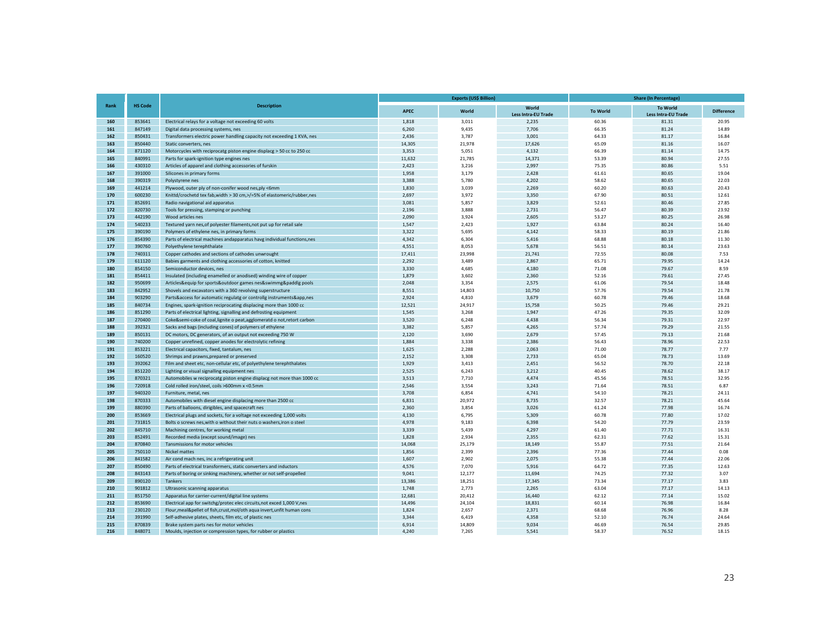|            |                  |                                                                                                                  |                | <b>Exports (US\$ Billion)</b> |                                     | <b>Share (In Percentage)</b> |                                               |                   |  |  |
|------------|------------------|------------------------------------------------------------------------------------------------------------------|----------------|-------------------------------|-------------------------------------|------------------------------|-----------------------------------------------|-------------------|--|--|
| Rank       | <b>HS Code</b>   | <b>Description</b>                                                                                               | <b>APEC</b>    | World                         | World<br><b>Less Intra-EU Trade</b> | <b>To World</b>              | <b>To World</b><br><b>Less Intra-EU Trade</b> | <b>Difference</b> |  |  |
| 160        | 853641           | Electrical relays for a voltage not exceeding 60 volts                                                           | 1,818          | 3,011                         | 2,235                               | 60.36                        | 81.31                                         | 20.95             |  |  |
| 161        | 847149           | Digital data processing systems, nes                                                                             | 6,260          | 9,435                         | 7,706                               | 66.35                        | 81.24                                         | 14.89             |  |  |
| 162        | 850431           | Transformers electric power handling capacity not exceeding 1 KVA, nes                                           | 2,436          | 3,787                         | 3,001                               | 64.33                        | 81.17                                         | 16.84             |  |  |
| 163        | 850440           | Static converters, nes                                                                                           | 14,305         | 21,978                        | 17,626                              | 65.09                        | 81.16                                         | 16.07             |  |  |
| 164        | 871120           | Motorcycles with reciprocatg piston engine displacg > 50 cc to 250 cc                                            | 3,353          | 5,051                         | 4,132                               | 66.39                        | 81.14                                         | 14.75             |  |  |
| 165<br>166 | 840991           | Parts for spark-ignition type engines nes                                                                        | 11,632         | 21,785                        | 14,371                              | 53.39                        | 80.94                                         | 27.55             |  |  |
| 167        | 430310<br>391000 | Articles of apparel and clothing accessories of furskin                                                          | 2,423<br>1,958 | 3,216<br>3,179                | 2,997<br>2,428                      | 75.35                        | 80.86                                         | 5.51<br>19.04     |  |  |
| 168        | 390319           | Silicones in primary forms                                                                                       | 3,388          | 5,780                         | 4,202                               | 61.61<br>58.62               | 80.65<br>80.65                                | 22.03             |  |  |
| 169        | 441214           | Polystyrene nes<br>Plywood, outer ply of non-conifer wood nes, ply <6mm                                          | 1,830          | 3,039                         | 2,269                               | 60.20                        | 80.63                                         | 20.43             |  |  |
| 170        | 600230           | Knittd/crochetd tex fab, width > 30 cm, >/=5% of elastomeric/rubber, nes                                         | 2,697          | 3,972                         | 3,350                               | 67.90                        | 80.51                                         | 12.61             |  |  |
| 171        | 852691           | Radio navigational aid apparatus                                                                                 | 3,081          | 5,857                         | 3,829                               | 52.61                        | 80.46                                         | 27.85             |  |  |
| 172        | 820730           | Tools for pressing, stamping or punching                                                                         | 2,196          | 3.888                         | 2.731                               | 56.47                        | 80.39                                         | 23.92             |  |  |
| 173        | 442190           | Wood articles nes                                                                                                | 2,090          | 3,924                         | 2,605                               | 53.27                        | 80.25                                         | 26.98             |  |  |
| 174        | 540233           | Textured yarn nes, of polyester filaments, not put up for retail sale                                            | 1,547          | 2,423                         | 1,927                               | 63.84                        | 80.24                                         | 16.40             |  |  |
| 175        | 390190           | Polymers of ethylene nes, in primary forms                                                                       | 3,322          | 5,695                         | 4,142                               | 58.33                        | 80.19                                         | 21.86             |  |  |
| 176        | 854390           | Parts of electrical machines andapparatus havg individual functions, nes                                         | 4,342          | 6,304                         | 5,416                               | 68.88                        | 80.18                                         | 11.30             |  |  |
| 177        | 390760           | Polyethylene terephthalate                                                                                       | 4,551          | 8,053                         | 5,678                               | 56.51                        | 80.14                                         | 23.63             |  |  |
| 178        | 740311           | Copper cathodes and sections of cathodes unwrought                                                               | 17,411         | 23,998                        | 21,741                              | 72.55                        | 80.08                                         | 7.53              |  |  |
| 179        | 611120           | Babies garments and clothing accessories of cotton, knitted                                                      | 2,292          | 3,489                         | 2,867                               | 65.71                        | 79.95                                         | 14.24             |  |  |
| 180        | 854150           | Semiconductor devices, nes                                                                                       | 3,330          | 4,685                         | 4,180                               | 71.08                        | 79.67                                         | 8.59              |  |  |
| 181        | 854411           | Insulated (including enamelled or anodised) winding wire of copper                                               | 1,879          | 3,602                         | 2,360                               | 52.16                        | 79.61                                         | 27.45             |  |  |
| 182        | 950699           | Articles&equip for sports&outdoor games nes&swimmg&paddlg pools                                                  | 2,048          | 3,354                         | 2,575                               | 61.06                        | 79.54                                         | 18.48             |  |  |
| 183        | 842952           | Shovels and excavators with a 360 revolving superstructure                                                       | 8,551          | 14,803                        | 10,750                              | 57.76                        | 79.54                                         | 21.78             |  |  |
| 184        | 903290           | Parts&access for automatic regulatg or controllg instruments&app,nes                                             | 2,924          | 4,810                         | 3,679                               | 60.78                        | 79.46                                         | 18.68             |  |  |
| 185        | 840734           | Engines, spark-ignition reciprocating displacing more than 1000 cc                                               | 12,521         | 24,917                        | 15,758                              | 50.25                        | 79.46                                         | 29.21             |  |  |
| 186        | 851290           | Parts of electrical lighting, signalling and defrosting equipment                                                | 1.545          | 3.268                         | 1,947                               | 47.26                        | 79.35                                         | 32.09             |  |  |
| 187        | 270400           | Coke&semi-coke of coal, lignite o peat, agglomeratd o not, retort carbon                                         | 3,520          | 6,248                         | 4,438                               | 56.34                        | 79.31                                         | 22.97             |  |  |
| 188        | 392321           | Sacks and bags (including cones) of polymers of ethylene                                                         | 3,382          | 5,857                         | 4,265                               | 57.74                        | 79.29                                         | 21.55             |  |  |
| 189        | 850131           | DC motors, DC generators, of an output not exceeding 750 W                                                       | 2,120          | 3,690                         | 2,679                               | 57.45                        | 79.13                                         | 21.68             |  |  |
| 190        | 740200           | Copper unrefined, copper anodes for electrolytic refining                                                        | 1,884          | 3,338                         | 2,386                               | 56.43                        | 78.96                                         | 22.53             |  |  |
| 191        | 853221           | Electrical capacitors, fixed, tantalum, nes                                                                      | 1,625          | 2,288                         | 2,063                               | 71.00                        | 78.77                                         | 7.77              |  |  |
| 192        | 160520           | Shrimps and prawns, prepared or preserved                                                                        | 2,152          | 3,308                         | 2,733                               | 65.04                        | 78.73                                         | 13.69             |  |  |
| 193        | 392062           | Film and sheet etc, non-cellular etc, of polyethylene terephthalates                                             | 1,929          | 3,413                         | 2,451                               | 56.52                        | 78.70                                         | 22.18             |  |  |
| 194        | 851220           | Lighting or visual signalling equipment nes                                                                      | 2,525          | 6,243                         | 3,212                               | 40.45                        | 78.62                                         | 38.17             |  |  |
| 195        | 870321           | Automobiles w reciprocatg piston engine displacg not more than 1000 cc                                           | 3,513          | 7,710                         | 4,474                               | 45.56                        | 78.51                                         | 32.95             |  |  |
| 196        | 720918           | Cold rolled iron/steel, coils >600mm x <0.5mm                                                                    | 2,546          | 3,554                         | 3,243                               | 71.64                        | 78.51                                         | 6.87              |  |  |
| 197        | 940320           | Furniture, metal, nes                                                                                            | 3,708          | 6,854                         | 4,741                               | 54.10                        | 78.21                                         | 24.11             |  |  |
| 198        | 870333           | Automobiles with diesel engine displacing more than 2500 cc                                                      | 6,831          | 20,972                        | 8,735                               | 32.57                        | 78.21                                         | 45.64             |  |  |
| 199        | 880390           | Parts of balloons, dirigibles, and spacecraft nes                                                                | 2,360          | 3,854                         | 3,026                               | 61.24                        | 77.98                                         | 16.74             |  |  |
| 200        | 853669           | Electrical plugs and sockets, for a voltage not exceeding 1,000 volts                                            | 4.130          | 6,795                         | 5,309                               | 60.78                        | 77.80                                         | 17.02             |  |  |
| 201        | 731815           | Bolts o screws nes, with o without their nuts o washers, iron o steel                                            | 4,978          | 9,183                         | 6,398                               | 54.20                        | 77.79                                         | 23.59             |  |  |
| 202        | 845710           | Machining centres, for working metal                                                                             | 3,339          | 5,439                         | 4,297                               | 61.40                        | 77.71                                         | 16.31             |  |  |
| 203        | 852491           | Recorded media (except sound/image) nes                                                                          | 1,828          | 2,934                         | 2,355                               | 62.31                        | 77.62                                         | 15.31             |  |  |
| 204<br>205 | 870840           | Tansmissions for motor vehicles                                                                                  | 14,068         | 25,179                        | 18,149                              | 55.87                        | 77.51                                         | 21.64<br>0.08     |  |  |
| 206        | 750110<br>841582 | Nickel mattes                                                                                                    | 1,856          | 2,399                         | 2,396                               | 77.36                        | 77.44<br>77.44                                | 22.06             |  |  |
| 207        | 850490           | Air cond mach nes, inc a refrigerating unit<br>Parts of electrical transformers, static converters and inductors | 1,607<br>4,576 | 2,902<br>7,070                | 2,075<br>5,916                      | 55.38<br>64.72               | 77.35                                         | 12.63             |  |  |
| 208        | 843143           | Parts of boring or sinking machinery, whether or not self-propelled                                              | 9,041          | 12,177                        | 11,694                              | 74.25                        | 77.32                                         | 3.07              |  |  |
| 209        | 890120           | Tankers                                                                                                          | 13,386         | 18,251                        | 17,345                              | 73.34                        | 77.17                                         | 3.83              |  |  |
| 210        | 901812           | Ultrasonic scanning apparatus                                                                                    | 1,748          | 2,773                         | 2,265                               | 63.04                        | 77.17                                         | 14.13             |  |  |
| 211        | 851750           | Apparatus for carrier-current/digital line systems                                                               | 12,681         | 20,412                        | 16,440                              | 62.12                        | 77.14                                         | 15.02             |  |  |
| 212        | 853690           | Electrical app for switchg/protec elec circuits, not exced 1,000 V, nes                                          | 14,496         | 24,104                        | 18,831                              | 60.14                        | 76.98                                         | 16.84             |  |  |
| 213        | 230120           | Flour, meal&pellet of fish, crust, mol/oth aqua invert, unfit human cons                                         | 1,824          | 2,657                         | 2,371                               | 68.68                        | 76.96                                         | 8.28              |  |  |
| 214        | 391990           | Self-adhesive plates, sheets, film etc, of plastic nes                                                           | 3.344          | 6,419                         | 4,358                               | 52.10                        | 76.74                                         | 24.64             |  |  |
| 215        | 870839           | Brake system parts nes for motor vehicles                                                                        | 6,914          | 14,809                        | 9,034                               | 46.69                        | 76.54                                         | 29.85             |  |  |
| 216        | 848071           | Moulds, injection or compression types, for rubber or plastics                                                   | 4,240          | 7,265                         | 5,541                               | 58.37                        | 76.52                                         | 18.15             |  |  |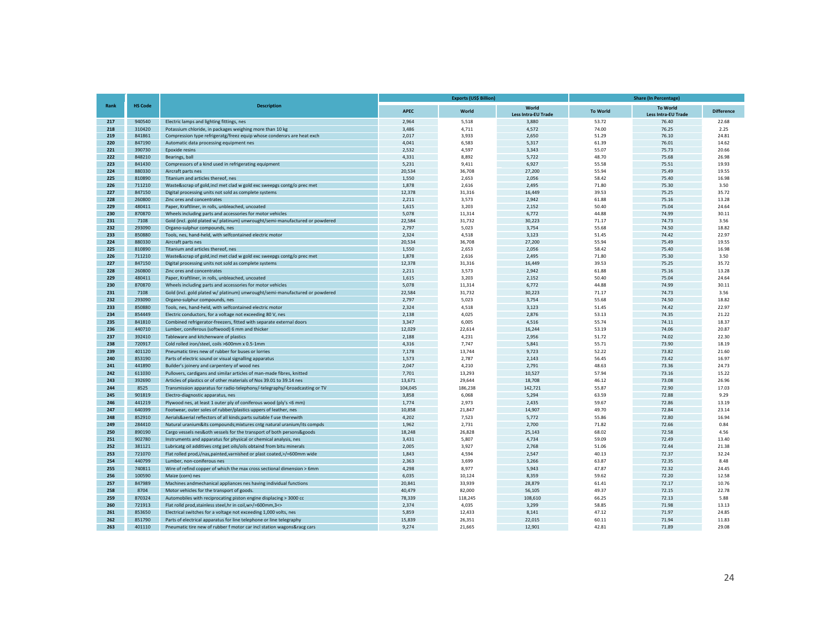|             |                  |                                                                              |                | <b>Exports (US\$ Billion)</b> |                                     | <b>Share (In Percentage)</b> |                                               |                   |  |  |
|-------------|------------------|------------------------------------------------------------------------------|----------------|-------------------------------|-------------------------------------|------------------------------|-----------------------------------------------|-------------------|--|--|
| <b>Rank</b> | <b>HS Code</b>   | <b>Description</b>                                                           | <b>APEC</b>    | World                         | World<br><b>Less Intra-EU Trade</b> | <b>To World</b>              | <b>To World</b><br><b>Less Intra-EU Trade</b> | <b>Difference</b> |  |  |
| 217         | 940540           | Electric lamps and lighting fittings, nes                                    | 2,964          | 5,518                         | 3,880                               | 53.72                        | 76.40                                         | 22.68             |  |  |
| 218         | 310420           | Potassium chloride, in packages weighing more than 10 kg                     | 3,486          | 4,711                         | 4,572                               | 74.00                        | 76.25                                         | 2.25              |  |  |
| 219         | 841861           | Compression type refrigeratg/freez equip whose condensrs are heat exch       | 2,017          | 3,933                         | 2,650                               | 51.29                        | 76.10                                         | 24.81             |  |  |
| 220         | 847190           | Automatic data processing equipment nes                                      | 4,041          | 6,583                         | 5,317                               | 61.39                        | 76.01                                         | 14.62             |  |  |
| 221<br>222  | 390730           | Epoxide resins                                                               | 2,532          | 4,597                         | 3,343                               | 55.07                        | 75.73                                         | 20.66             |  |  |
| 223         | 848210<br>841430 | Bearings, ball<br>Compressors of a kind used in refrigerating equipment      | 4,331<br>5,231 | 8,892<br>9,411                | 5,722<br>6,927                      | 48.70<br>55.58               | 75.68<br>75.51                                | 26.98<br>19.93    |  |  |
| 224         | 880330           | Aircraft parts nes                                                           | 20,534         | 36,708                        | 27,200                              | 55.94                        | 75.49                                         | 19.55             |  |  |
| 225         | 810890           | Titanium and articles thereof, nes                                           | 1,550          | 2,653                         | 2,056                               | 58.42                        | 75.40                                         | 16.98             |  |  |
| 226         | 711210           | Waste&scrap of gold, incl met clad w gold exc sweepgs contg/o prec met       | 1,878          | 2,616                         | 2,495                               | 71.80                        | 75.30                                         | 3.50              |  |  |
| 227         | 847150           | Digital processing units not sold as complete systems                        | 12,378         | 31,316                        | 16,449                              | 39.53                        | 75.25                                         | 35.72             |  |  |
| 228         | 260800           | Zinc ores and concentrates                                                   | 2.211          | 3,573                         | 2,942                               | 61.88                        | 75.16                                         | 13.28             |  |  |
| 229         | 480411           | Paper, Kraftliner, in rolls, unbleached, uncoated                            | 1,615          | 3,203                         | 2,152                               | 50.40                        | 75.04                                         | 24.64             |  |  |
| 230         | 870870           | Wheels including parts and accessories for motor vehicles                    | 5,078          | 11,314                        | 6,772                               | 44.88                        | 74.99                                         | 30.11             |  |  |
| 231         | 7108             | Gold (incl. gold plated w/ platinum) unwrought/semi-manufactured or powdered | 22,584         | 31,732                        | 30,223                              | 71.17                        | 74.73                                         | 3.56              |  |  |
| 232         | 293090           | Organo-sulphur compounds, nes                                                | 2,797          | 5,023                         | 3,754                               | 55.68                        | 74.50                                         | 18.82             |  |  |
| 233         | 850880           | Tools, nes, hand-held, with selfcontained electric motor                     | 2.324          | 4,518                         | 3.123                               | 51.45                        | 74.42                                         | 22.97             |  |  |
| 224         | 880330           | Aircraft parts nes                                                           | 20,534         | 36,708                        | 27,200                              | 55.94                        | 75.49                                         | 19.55             |  |  |
| 225         | 810890           | Titanium and articles thereof, nes                                           | 1,550          | 2,653                         | 2,056                               | 58.42                        | 75.40                                         | 16.98             |  |  |
| 226         | 711210           | Waste&scrap of gold, incl met clad w gold exc sweepgs contg/o prec met       | 1,878          | 2,616                         | 2,495                               | 71.80                        | 75.30                                         | 3.50              |  |  |
| 227         | 847150           | Digital processing units not sold as complete systems                        | 12,378         | 31,316                        | 16,449                              | 39.53                        | 75.25                                         | 35.72             |  |  |
| 228         | 260800           | Zinc ores and concentrates                                                   | 2.211          | 3,573                         | 2,942                               | 61.88                        | 75.16                                         | 13.28             |  |  |
| 229         | 480411           | Paper, Kraftliner, in rolls, unbleached, uncoated                            | 1,615          | 3,203                         | 2,152                               | 50.40                        | 75.04                                         | 24.64             |  |  |
| 230         | 870870           | Wheels including parts and accessories for motor vehicles                    | 5,078          | 11,314                        | 6,772                               | 44.88                        | 74.99                                         | 30.11             |  |  |
| 231         | 7108             | Gold (incl. gold plated w/ platinum) unwrought/semi-manufactured or powdered | 22,584         | 31,732                        | 30,223                              | 71.17                        | 74.73                                         | 3.56              |  |  |
| 232         | 293090           | Organo-sulphur compounds, nes                                                | 2,797          | 5,023                         | 3,754                               | 55.68                        | 74.50                                         | 18.82             |  |  |
| 233         | 850880           | Tools, nes, hand-held, with selfcontained electric motor                     | 2,324          | 4,518                         | 3,123                               | 51.45                        | 74.42                                         | 22.97             |  |  |
| 234         | 854449           | Electric conductors, for a voltage not exceeding 80 V, nes                   | 2,138          | 4,025                         | 2,876                               | 53.13                        | 74.35                                         | 21.22             |  |  |
| 235         | 841810           | Combined refrigerator-freezers, fitted with separate external doors          | 3,347          | 6,005                         | 4,516                               | 55.74                        | 74.11                                         | 18.37             |  |  |
| 236         | 440710           | Lumber, coniferous (softwood) 6 mm and thicker                               | 12,029         | 22,614                        | 16,244                              | 53.19                        | 74.06                                         | 20.87             |  |  |
| 237         | 392410           | Tableware and kitchenware of plastics                                        | 2,188          | 4,231                         | 2,956                               | 51.72                        | 74.02                                         | 22.30             |  |  |
| 238         | 720917           | Cold rolled iron/steel, coils >600mm x 0.5-1mm                               | 4,316          | 7,747                         | 5,841                               | 55.71                        | 73.90                                         | 18.19             |  |  |
| 239         | 401120           | Pneumatic tires new of rubber for buses or lorries                           | 7,178          | 13.744                        | 9,723                               | 52.22                        | 73.82                                         | 21.60             |  |  |
| 240         | 853190           | Parts of electric sound or visual signalling apparatus                       | 1,573          | 2,787                         | 2,143                               | 56.45                        | 73.42                                         | 16.97             |  |  |
| 241         | 441890           | Builder's joinery and carpentery of wood nes                                 | 2,047          | 4,210                         | 2,791                               | 48.63                        | 73.36                                         | 24.73             |  |  |
| 242         | 611030           | Pullovers, cardigans and similar articles of man-made fibres, knitted        | 7,701          | 13,293                        | 10,527                              | 57.94                        | 73.16                                         | 15.22             |  |  |
| 243         | 392690           | Articles of plastics or of other materials of Nos 39.01 to 39.14 nes         | 13,671         | 29,644                        | 18,708                              | 46.12                        | 73.08                                         | 26.96             |  |  |
| 244         | 8525             | Transmission apparatus for radio-telephony/-telegraphy/-broadcasting or TV   | 104,045        | 186,238                       | 142,721                             | 55.87                        | 72.90                                         | 17.03             |  |  |
| 245         | 901819           | Electro-diagnostic apparatus, nes                                            | 3,858          | 6,068                         | 5,294                               | 63.59                        | 72.88                                         | 9.29              |  |  |
| 246         | 441219           | Plywood nes, at least 1 outer ply of coniferous wood (ply's <6 mm)           | 1,774          | 2,973                         | 2,435                               | 59.67                        | 72.86                                         | 13.19             |  |  |
| 247         | 640399           | Footwear, outer soles of rubber/plastics uppers of leather, nes              | 10,858         | 21,847                        | 14,907                              | 49.70                        | 72.84                                         | 23.14             |  |  |
| 248         | 852910           | Aerials&aerial reflectors of all kinds;parts suitable f use therewith        | 4,202          | 7,523                         | 5,772                               | 55.86                        | 72.80                                         | 16.94             |  |  |
| 249         | 284410           | Natural uranium&its compounds; mixtures cntg natural uranium/its compds      | 1,962          | 2,731                         | 2,700                               | 71.82                        | 72.66                                         | 0.84              |  |  |
| 250         | 890190           | Cargo vessels nes&oth vessels for the transport of both persons&goods        | 18,248         | 26,828                        | 25,143                              | 68.02                        | 72.58                                         | 4.56              |  |  |
| 251         | 902780           | Instruments and apparatus for physical or chemical analysis, nes             | 3,431          | 5,807                         | 4,734                               | 59.09                        | 72.49                                         | 13.40             |  |  |
| 252         | 381121           | Lubricatg oil additives cntg pet oils/oils obtaind from bitu minerals        | 2,005          | 3,927                         | 2,768                               | 51.06                        | 72.44                                         | 21.38             |  |  |
| 253         | 721070           | Flat rolled prod, i/nas, painted, varnished or plast coated, >/=600mm wide   | 1,843          | 4,594                         | 2,547                               | 40.13                        | 72.37                                         | 32.24             |  |  |
| 254         | 440799           | Lumber, non-coniferous nes                                                   | 2,363          | 3,699                         | 3,266                               | 63.87                        | 72.35                                         | 8.48              |  |  |
| 255         | 740811           | Wire of refind copper of which the max cross sectional dimension > 6mm       | 4,298          | 8,977                         | 5,943                               | 47.87                        | 72.32                                         | 24.45             |  |  |
| 256         | 100590           | Maize (corn) nes                                                             | 6,035          | 10,124                        | 8,359                               | 59.62                        | 72.20                                         | 12.58             |  |  |
| 257         | 847989           | Machines andmechanical appliances nes having individual functions            | 20,841         | 33,939                        | 28,879                              | 61.41                        | 72.17                                         | 10.76             |  |  |
| 258         | 8704             | Motor vehicles for the transport of goods.                                   | 40,479         | 82,000                        | 56,105                              | 49.37                        | 72.15                                         | 22.78             |  |  |
| 259         | 870324           | Automobiles with reciprocating piston engine displacing > 3000 cc            | 78,339         | 118,245                       | 108,610                             | 66.25                        | 72.13                                         | 5.88              |  |  |
| 260         | 721913           | Flat rolld prod, stainless steel, hr in coil, w>/=600mm, 3<>                 | 2,374          | 4,035                         | 3,299                               | 58.85                        | 71.98                                         | 13.13             |  |  |
| 261         | 853650           | Electrical switches for a voltage not exceeding 1,000 volts, nes             | 5,859          | 12,433                        | 8,141                               | 47.12                        | 71.97                                         | 24.85             |  |  |
| 262         | 851790           | Parts of electrical apparatus for line telephone or line telegraphy          | 15,839         | 26,351                        | 22,015                              | 60.11                        | 71.94                                         | 11.83             |  |  |
| 263         | 401110           | Pneumatic tire new of rubber f motor car incl station wagons&racg cars       | 9,274          | 21,665                        | 12,901                              | 42.81                        | 71.89                                         | 29.08             |  |  |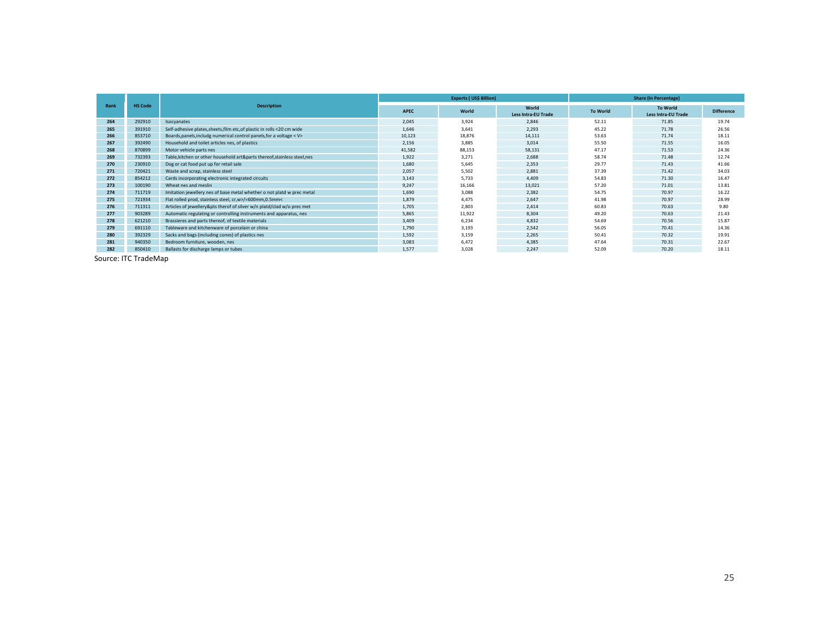|      |                |                                                                           |             | <b>Exports (US\$ Billion)</b> |                                     | <b>Share (In Percentage)</b> |                                               |                   |  |  |
|------|----------------|---------------------------------------------------------------------------|-------------|-------------------------------|-------------------------------------|------------------------------|-----------------------------------------------|-------------------|--|--|
| Rank | <b>HS Code</b> | <b>Description</b>                                                        | <b>APEC</b> | World                         | World<br><b>Less Intra-EU Trade</b> | <b>To World</b>              | <b>To World</b><br><b>Less Intra-EU Trade</b> | <b>Difference</b> |  |  |
| 264  | 292910         | Isocyanates                                                               | 2.045       | 3,924                         | 2,846                               | 52.11                        | 71.85                                         | 19.74             |  |  |
| 265  | 391910         | Self-adhesive plates, sheets, film etc, of plastic in rolls <20 cm wide   | 1,646       | 3.641                         | 2,293                               | 45.22                        | 71.78                                         | 26.56             |  |  |
| 266  | 853710         | Boards, panels, includg numerical control panels, for a voltage < V>      | 10,123      | 18,876                        | 14,111                              | 53.63                        | 71.74                                         | 18.11             |  |  |
| 267  | 392490         | Household and toilet articles nes, of plastics                            | 2.156       | 3,885                         | 3,014                               | 55.50                        | 71.55                                         | 16.05             |  |  |
| 268  | 870899         | Motor vehicle parts nes                                                   | 41,582      | 88,153                        | 58,131                              | 47.17                        | 71.53                                         | 24.36             |  |  |
| 269  | 732393         | Table, kitchen or other household art&parts thereof, stainless steel, nes | 1,922       | 3,271                         | 2,688                               | 58.74                        | 71.48                                         | 12.74             |  |  |
| 270  | 230910         | Dog or cat food put up for retail sale                                    | 1,680       | 5,645                         | 2,353                               | 29.77                        | 71.43                                         | 41.66             |  |  |
| 271  | 720421         | Waste and scrap, stainless steel                                          | 2,057       | 5,502                         | 2,881                               | 37.39                        | 71.42                                         | 34.03             |  |  |
| 272  | 854212         | Cards incorporating electronic integrated circuits                        | 3.143       | 5.733                         | 4.409                               | 54.83                        | 71.30                                         | 16.47             |  |  |
| 273  | 100190         | Wheat nes and meslin                                                      | 9,247       | 16,166                        | 13,021                              | 57.20                        | 71.01                                         | 13.81             |  |  |
| 274  | 711719         | Imitation jewellery nes of base metal whether o not platd w prec metal    | 1,690       | 3,088                         | 2,382                               | 54.75                        | 70.97                                         | 16.22             |  |  |
| 275  | 721934         | Flat rolled prod, stainless steel, cr,w>/=600mm,0.5mm<                    | 1.879       | 4.475                         | 2.647                               | 41.98                        | 70.97                                         | 28.99             |  |  |
| 276  | 711311         | Articles of jewellery&pts therof of silver w/n platd/clad w/o prec met    | 1,705       | 2,803                         | 2,414                               | 60.83                        | 70.63                                         | 9.80              |  |  |
| 277  | 903289         | Automatic regulating or controlling instruments and apparatus, nes        | 5,865       | 11,922                        | 8,304                               | 49.20                        | 70.63                                         | 21.43             |  |  |
| 278  | 621210         | Brassieres and parts thereof, of textile materials                        | 3.409       | 6,234                         | 4,832                               | 54.69                        | 70.56                                         | 15.87             |  |  |
| 279  | 691110         | Tableware and kitchenware of porcelain or china                           | 1,790       | 3,193                         | 2,542                               | 56.05                        | 70.41                                         | 14.36             |  |  |
| 280  | 392329         | Sacks and bags (including cones) of plastics nes                          | 1.592       | 3,159                         | 2.265                               | 50.41                        | 70.32                                         | 19.91             |  |  |
| 281  | 940350         | Bedroom furniture, wooden, nes                                            | 3,083       | 6,472                         | 4,385                               | 47.64                        | 70.31                                         | 22.67             |  |  |
| 282  | 850410         | Ballasts for discharge lamps or tubes                                     | 1,577       | 3,028                         | 2,247                               | 52.09                        | 70.20                                         | 18.11             |  |  |

Source: ITC TradeMap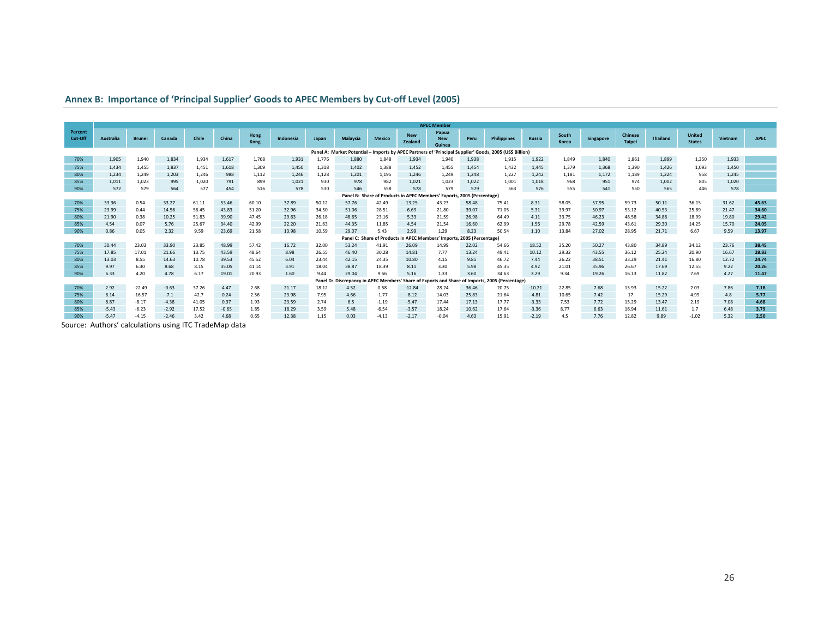|                    |           |               |         |       |         |              |           |          |                                    |                                            |                       | <b>APEC Member</b>                                                     |       |                                                                                                         |          |                |           |                                 |                 |                                |         |       |
|--------------------|-----------|---------------|---------|-------|---------|--------------|-----------|----------|------------------------------------|--------------------------------------------|-----------------------|------------------------------------------------------------------------|-------|---------------------------------------------------------------------------------------------------------|----------|----------------|-----------|---------------------------------|-----------------|--------------------------------|---------|-------|
| Percent<br>Cut-Off | Australia | <b>Brunei</b> | Canada  | Chile | China   | Hong<br>Kong | Indonesia | Japan    | Malaysia                           | <b>Mexico</b>                              | <b>New</b><br>Zealand | Papua<br><b>New</b><br>Guinea                                          | Peru  | <b>Philippines</b>                                                                                      | Russia   | South<br>Korea | Singapore | <b>Chinese</b><br><b>Taipei</b> | <b>Thailand</b> | <b>United</b><br><b>States</b> | Vietnam | APEC  |
|                    |           |               |         |       |         |              |           |          |                                    |                                            |                       |                                                                        |       | Panel A: Market Potential - Imports by APEC Partners of 'Principal Supplier' Goods, 2005 (US\$ Billion) |          |                |           |                                 |                 |                                |         |       |
| 70%                | 1,905     | 1,940         | 1,834   | 1,934 | 1,617   | 1.768        | 1,931     | 1.776    | 1.880                              | 1,848                                      | 1,934                 | 1,940                                                                  | 1,938 | 1.915                                                                                                   | 1,922    | 1,849          | 1,840     | 1,861                           | 1,899           | 1,350                          | 1,933   |       |
| 75%                | 1.434     | 1,455         | 1,837   | 1,451 | 1,618   | 1.309        | 1,450     | 1,318    | 1,402                              | 1,388                                      | 1,452                 | 1.455                                                                  | 1.454 | 1.432                                                                                                   | 1,445    | 1,379          | 1,368     | 1,390                           | 1.426           | 1,093                          | 1.450   |       |
| 80%                | 1.234     | 1.249         | 1,203   | 1.246 | 988     | 1.112        | 1,246     | 1,128    | 1,201                              | 1,195                                      | 1.246                 | 1.249                                                                  | 1.248 | 1.227                                                                                                   | 1,242    | 1.181          | 1,172     | 1,189                           | 1.224           | 958                            | 1.245   |       |
| 85%                | 1,011     | 1,023         | 995     | 1,020 | 791     | 899          | 1,021     | 930      | 978                                | 982                                        | 1,021                 | 1,023                                                                  | 1,022 | 1,001                                                                                                   | 1,018    | 968            | 951       | 974                             | 1,002           | 805                            | 1,020   |       |
| 90%                | 572       | 579           | 564     | 577   | 454     | 516          | 578       | 530      | 546                                | 558                                        | 578                   | 579                                                                    | 579   | 563                                                                                                     | 576      | 555            | 541       | 550                             | 565             | 446                            | 578     |       |
|                    |           |               |         |       |         |              |           |          |                                    |                                            |                       | Panel B: Share of Products in APEC Members' Exports, 2005 (Percentage) |       |                                                                                                         |          |                |           |                                 |                 |                                |         |       |
| 70%                | 33.36     | 0.54          | 33.27   | 61.11 | 53.46   | 60.10        | 37.89     | 50.12    | 57.76                              | 42.49                                      | 13.25                 | 43.23                                                                  | 58.48 | 75.41                                                                                                   | 8.31     | 58.05          | 57.95     | 59.73                           | 50.11           | 36.15                          | 31.62   | 45.63 |
| 75%                | 23.99     | 0.44          | 14.56   | 56.45 | 43.83   | 51.20        | 32.96     | 34.50    | 51.06                              | 28.51                                      | 6.69                  | 21.80                                                                  | 39.07 | 71.05                                                                                                   | 5.31     | 39.97          | 50.97     | 53.12                           | 40.53           | 25.89                          | 21.47   | 34.60 |
| 80%                | 21.90     | 0.38          | 10.25   | 51.83 | 39.90   | 47.45        | 29.63     | 26.18    | 48.65                              | 23.16                                      | 5.33                  | 21.59                                                                  | 26.98 | 64.49                                                                                                   | 4.11     | 33.75          | 46.23     | 48.58                           | 34.88           | 18.99                          | 19.80   | 29.42 |
| 85%                | 4.54      | 0.07          | 5.76    | 25.67 | 34.40   | 42.99        | 22.20     | 21.63    | 44.35                              | 11.85                                      | 4.54                  | 21.54                                                                  | 16.60 | 62.99                                                                                                   | 1.56     | 29.78          | 42.59     | 43.61                           | 29.30           | 14.25                          | 15.70   | 24.05 |
| 90%                | 0.86      | 0.05          | 2.32    | 9.59  | 23.69   | 21.58        | 13.98     | 10.59    | 29.07                              | 5.43                                       | 2.99                  | 1.29                                                                   | 8.23  | 50.54                                                                                                   | 1.10     | 13.84          | 27.02     | 28.95                           | 21.71           | 6.67                           | 9.59    | 13.97 |
| 70%                | 30.44     | 23.03         | 33.90   | 23.85 | 48.99   | 57.42        | 16.72     | 32.00    | 53.24                              | <b>Panel C: Share of Products</b><br>41.91 | 26.09                 | in APEC Members' Imports, 2005 (Percentage)<br>14.99                   | 22.02 | 54.66                                                                                                   | 18.52    | 35.20          | 50.27     | 43.80                           | 34.89           | 34.12                          | 23.76   | 38.45 |
| 75%                | 17.85     | 17.01         | 21.66   | 13.75 | 43.59   | 48.64        | 8.98      | 26.55    | 46.40                              | 30.28                                      | 14.81                 | 7.77                                                                   | 13.24 | 49.41                                                                                                   | 10.12    | 29.32          | 43.55     | 36.12                           | 25.24           | 20.90                          | 16.67   | 28.83 |
| 80%                | 13.03     | 8.55          | 14.63   | 10.78 | 39.53   | 45.52        | 6.04      | 23.44    | 42.15                              | 24.35                                      | 10.80                 | 4.15                                                                   | 9.85  | 46.72                                                                                                   | 7.44     | 26.22          | 38.51     | 33.29                           | 21.41           | 16.80                          | 12.72   | 24.74 |
| 85%                | 9.97      | 6.30          | 8.68    | 8.15  | 35.05   | 41.14        | 3.91      | 18.04    | 38.87                              | 18.39                                      | 8.11                  | 3.30                                                                   | 5.98  | 45.35                                                                                                   | 4.92     | 21.01          | 35.96     | 26.67                           | 17.69           | 12.55                          | 9.22    | 20.26 |
| 90%                | 6.33      | 4.20          | 4.78    | 6.17  | 19.01   | 20.93        | 1.60      | 9.44     | 29.04                              | 9.56                                       | 5.16                  | 1.33                                                                   | 3.60  | 34.63                                                                                                   | 3.29     | 9.34           | 19.26     | 16.13                           | 11.82           | 7.69                           | 4.27    | 11.47 |
|                    |           |               |         |       |         |              |           | Panel D: | <b>Discrepancy in APEC Members</b> |                                            |                       |                                                                        |       | ' Share of Exports and Share of Imports, 2005 (Percentage)                                              |          |                |           |                                 |                 |                                |         |       |
| 70%                | 2.92      | $-22.49$      | $-0.63$ | 37.26 | 4.47    | 2.68         | 21.17     | 18.12    | 4.52                               | 0.58                                       | $-12.84$              | 28.24                                                                  | 36.46 | 20.75                                                                                                   | $-10.21$ | 22.85          | 7.68      | 15.93                           | 15.22           | 2.03                           | 7.86    | 7.18  |
| 75%                | 6.14      | $-16.57$      | $-7.1$  | 42.7  | 0.24    | 2.56         | 23.98     | 7.95     | 4.66                               | $-1.77$                                    | $-8.12$               | 14.03                                                                  | 25.83 | 21.64                                                                                                   | $-4.81$  | 10.65          | 7.42      | 17                              | 15.29           | 4.99                           | 4.8     | 5.77  |
| 80%                | 8.87      | $-8.17$       | $-4.38$ | 41.05 | 0.37    | 1.93         | 23.59     | 2.74     | 6.5                                | $-1.19$                                    | $-5.47$               | 17.44                                                                  | 17.13 | 17.77                                                                                                   | $-3.33$  | 7.53           | 7.72      | 15.29                           | 13.47           | 2.19                           | 7.08    | 4.68  |
| 85%                | $-5.43$   | $-6.23$       | $-2.92$ | 17.52 | $-0.65$ | 1.85         | 18.29     | 3.59     | 5.48                               | $-6.54$                                    | $-3.57$               | 18.24                                                                  | 10.62 | 17.64                                                                                                   | $-3.36$  | 8.77           | 6.63      | 16.94                           | 11.61           | 1.7                            | 6.48    | 3.79  |
| 90%                | $-5.47$   | $-4.15$       | $-2.46$ | 3.42  | 4.68    | 0.65         | 12.38     | 1.15     | 0.03                               | $-4.13$                                    | $-2.17$               | $-0.04$                                                                | 4.63  | 15.91                                                                                                   | $-2.19$  | 4.5            | 7.76      | 12.82                           | 9.89            | $-1.02$                        | 5.32    | 2.50  |

Source: Authors' calculations using ITC TradeMap data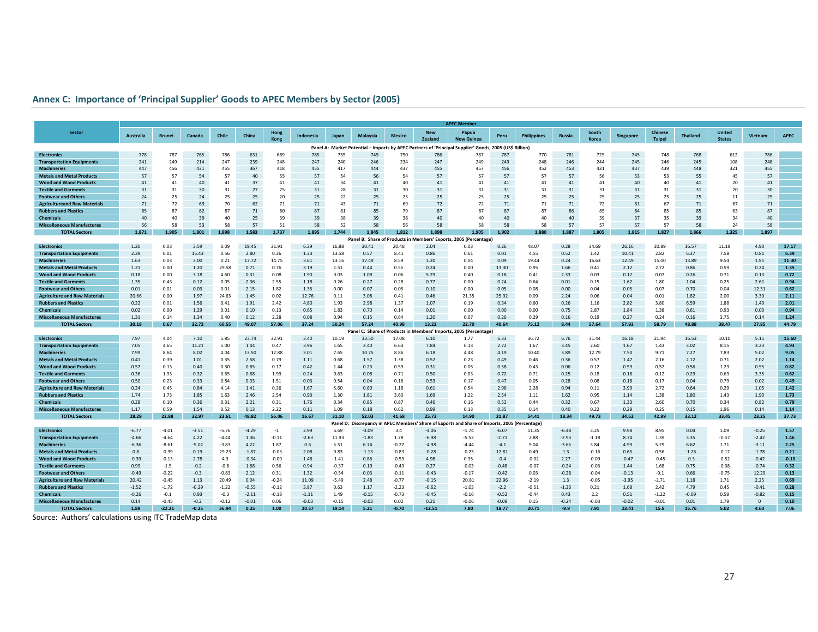|                                                                     | <b>APEC Member</b> |                    |                 |                  |                 |                    |               |                 |                                    |                    |                       |                                                                                                         |                  |                    |                |                 |                  |                                 |                 |                                |                 |              |
|---------------------------------------------------------------------|--------------------|--------------------|-----------------|------------------|-----------------|--------------------|---------------|-----------------|------------------------------------|--------------------|-----------------------|---------------------------------------------------------------------------------------------------------|------------------|--------------------|----------------|-----------------|------------------|---------------------------------|-----------------|--------------------------------|-----------------|--------------|
| <b>Sector</b>                                                       | Australia          | <b>Brunei</b>      | Canada          | Chile            | China           | Hong<br>Kong       | Indonesia     | Japan           | Malaysia                           | <b>Mexico</b>      | <b>New</b><br>Zealand | Papua<br><b>New Guinea</b>                                                                              | Peru             | <b>Philippines</b> | Russia         | South<br>Korea  | <b>Singapore</b> | <b>Chinese</b><br><b>Taipei</b> | <b>Thailand</b> | <b>United</b><br><b>States</b> | Vietnam         | <b>APEC</b>  |
|                                                                     |                    |                    |                 |                  |                 |                    |               |                 |                                    |                    |                       | Panel A: Market Potential - Imports by APEC Partners of 'Principal Supplier' Goods, 2005 (US\$ Billion) |                  |                    |                |                 |                  |                                 |                 |                                |                 |              |
| <b>Electronics</b>                                                  | 778                | 787                | 765             | 786              | 631             | 689                | 785           | 735             | 749                                | 750                | 786                   | 787                                                                                                     | 787              | 770                | 781            | 725             | 745              | 748                             | 768             | 612                            | 786             |              |
| <b>Transportation Equipments</b>                                    | 241                | 249                | 214             | 247              | 239             | 248                | 247           | 240             | 246                                | 234                | 247                   | 249                                                                                                     | 249              | 248                | 246            | 244             | 245              | 246                             | 245             | 108                            | 248             |              |
| <b>Machineries</b>                                                  | 447                | 456                | 431             | 455              | 367             | 418                | 455           | 417             | 444                                | 437                | 455                   | 457                                                                                                     | 456              | 452                | 453            | 431             | 437              | 439                             | 448             | 321                            | 455             |              |
| <b>Metals and Metal Products</b>                                    | 57                 | 57                 | 54              | 57               | 40              | 55                 | 57            | 54              | 56                                 | 54                 | 57                    | 57                                                                                                      | 57               | 57                 | 57             | 56              | 53               | 53                              | 55              | 45                             | 57              |              |
| <b>Wood and Wood Products</b>                                       | 41                 | 41                 | 40              | 41               | 37              | 41                 | 41            | 34              | 41                                 | 40                 | 41                    | 41                                                                                                      | 41               | 41                 | 41             | 41              | 40               | 40                              | 41              | 20                             | 41              |              |
| <b>Textile and Garments</b>                                         | 31                 | 31                 | 30              | 31               | 27              | 25                 | 31            | 28              | 31                                 | 30                 | 31                    | 31                                                                                                      | 31               | 31                 | 31             | 31              | 31               | 31                              | 31              | 20                             | 30              |              |
| <b>Footwear and Others</b>                                          | 24                 | 25                 | 24              | 25               | 25              | 20                 | 25            | 22              | 25                                 | 25                 | 25                    | 25                                                                                                      | 25               | 25                 | 25             | 25              | 25               | 25                              | 25              | 11                             | 25              |              |
| <b>Agricultureand Raw Materials</b>                                 | 71                 | 72<br>87           | 69              | 70               | 62              | 71                 | 71            | 43              | 71                                 | 69                 | 72                    | 72<br>87                                                                                                | 71               | 71<br>87           | 71             | 72              | 61               | 67                              | 71              | 67                             | 71              |              |
| <b>Rubbers and Plastics</b>                                         | 85                 |                    | 82              | 87               | 71              | 80                 | 87            | 81              | 85                                 | 79                 | 87<br>40              |                                                                                                         | 87               | 40                 | 86             | 85              | 84               | 85                              | 85              | 63                             | 87              |              |
| <b>Chemicals</b>                                                    | 40                 | 40<br>58           | 39              | 40<br>58         | 25<br>57        | 39<br>51           | 39<br>58      | 38<br>52        | 39<br>58                           | 38<br>56           | 58                    | 40<br>58                                                                                                | 40<br>58         | 58                 | 40<br>57       | 39<br>57        | 37<br>57         | 35<br>57                        | 39<br>58        | 34<br>24                       | 40              |              |
| <b>Miscellaneous Manufactures</b><br><b>TOTAL Sectors</b>           | 56<br>1,871        | 1,905              | 53<br>1,801     | 1,898            | 1,583           | 1,737              | 1,895         | 1,744           | 1,845                              | 1,812              | 1,898                 | 1,905                                                                                                   | L,902            | 1,880              | 1,887          | 1,805           | 1,815            | 1,827                           | 1,866           | 1,325                          | 58<br>1,897     |              |
|                                                                     |                    |                    |                 |                  |                 |                    |               |                 |                                    |                    |                       | Panel B: Share of Products in Members' Exports, 2005 (Percentage)                                       |                  |                    |                |                 |                  |                                 |                 |                                |                 |              |
| <b>Electronics</b>                                                  | 1.20               | 0.03               | 3.59            | 0.09             | 19.45           | 31.91              | 6.39          | 16.88           | 30.41                              | 20.48              | 2.04                  | 0.03                                                                                                    | 0.26             | 48.07              | 0.28           | 34.69           | 26.16            | 30.89                           | 16.57           | 11.19                          | 4.90            | 17.17        |
| <b>Transportation Equipments</b>                                    | 2.39               | 0.01               | 15.43           | 0.56             | 2.80            | 0.36               | 1.33          | 13.58           | 0.57                               | 8.41               | 0.86                  | 0.61                                                                                                    | 0.01             | 4.55               | 0.52           | 1.42            | 10.41            | 2.82                            | 6.37            | 7.58                           | 0.81            | 6.39         |
| <b>Machineries</b>                                                  | 1.63               | 0.03               | 3.00            | 0.21             | 17.72           | 14.75              | 3.61          | 13.16           | 17.49                              | 8.59               | 1.20                  | 0.04                                                                                                    | 0.09             | 19.44              | 0.24           | 16.63           | 12.49            | 15.00                           | 13.89           | 9.54                           | 1.91            | 11.30        |
| <b>Metals and Metal Products</b>                                    | 1.21               | 0.00               | 1.20            | 29.58            | 0.71            | 0.76               | 3.19          | 1.51            | 0.44                               | 0.55               | 0.24                  | 0.00                                                                                                    | 13.30            | 0.95               | 1.66           | 0.41            | 2.12             | 2.72                            | 0.86            | 0.59                           | 0.24            | 1.35         |
| <b>Wood and Wood Products</b>                                       | 0.18               | 0.00               | 3.18            | 4.60             | 0.31            | 0.08               | 1.90          | 0.03            | 1.09                               | 0.06               | 5.29                  | 0.40                                                                                                    | 0.18             | 0.41               | 2.33           | 0.03            | 0.12             | 0.07                            | 0.26            | 0.71                           | 0.13            | 0.72         |
| <b>Textile and Garments</b>                                         | 1.35               | 0.43               | 0.12            | 0.05             | 2.36            | 2.55               | 1.18          | 0.26            | 0.27                               | 0.28               | 0.77                  | 0.00                                                                                                    | 0.24             | 0.64               | 0.01           | 0.15            | 1.62             | 1.80                            | 1.04            | 0.25                           | 2.61            | 0.94         |
| <b>Footwear and Others</b>                                          | 0.01               | 0.01               | 0.03            | 0.01             | 2.15            | 1.82               | 1.35          | 0.00            | 0.07                               | 0.05               | 0.10                  | 0.00                                                                                                    | 0.05             | 0.08               | 0.00           | 0.04            | 0.05             | 0.07                            | 0.70            | 0.04                           | 12.31           | 0.62         |
| <b>Agriculture and Raw Materials</b>                                | 20.66              | 0.00               | 1.97            | 24.63            | 1.45            | 0.02               | 12.76         | 0.11            | 3.08                               | 0.41               | 0.46                  | 21.35                                                                                                   | 25.92            | 0.09               | 2.24           | 0.06            | 0.04             | 0.01                            | 1.82            | 2.00                           | 3.30            | 2.11         |
| <b>Rubbers and Plastics</b>                                         | 0.22               | 0.01               | 1.56            | 0.41             | 1.91            | 2.42               | 4.80          | 1.93            | 2.98                               | 1.37               | 1.07                  | 0.19                                                                                                    | 0.34             | 0.60               | 0.26           | 1.16            | 2.82             | 3.80                            | 6.59            | 1.88                           | 1.49            | 2.01         |
| Chemicals                                                           | 0.02               | 0.00               | 1.29            | 0.01             | 0.10            | 0.13               | 0.65          | 1.83            | 0.70                               | 0.14               | 0.01                  | 0.00                                                                                                    | 0.00             | 0.00               | 0.75           | 2.87            | 1.84             | 1.38                            | 0.61            | 0.93                           | 0.00            | 0.94         |
| <b>Miscellaneous Manufactures</b>                                   | 1.31               | 0.14               | 1.34            | 0.40             | 0.12            | 2.28               | 0.08          | 0.94            | 0.15                               | 0.64               | 1.20                  | 0.07                                                                                                    | 0.26             | 0.29               | 0.16           | 0.19            | 0.27             | 0.24                            | 0.16            | 3.75                           | 0.14            | 1.24         |
| <b>TOTAL Sectors</b>                                                | 30.18              | 0.67               | 32.72           | 60.55            | 49.07           | 57.06              | 37.24         | 50.24           | 57.24                              | 40.98              | 13.22                 | 22.70                                                                                                   | 40.64            | 75.12              | 8.44           | 57.64           | 57.93            | 58.79                           | 48.88           | 38.47                          | 27.85           | 44.79        |
|                                                                     |                    |                    |                 |                  |                 |                    |               |                 |                                    |                    |                       | Panel C: Share of Products in Members' Imports, 2005 (Percentage)                                       |                  |                    |                |                 |                  |                                 |                 |                                |                 |              |
| <b>Electronics</b>                                                  | 7.97               | 4.04               | 7.10            | 5.85             | 23.74           | 32.91              | 3.40          | 10.19           | 33.50                              | 17.08              | 6.10                  | 1.77                                                                                                    | 6.33             | 36.72              | 6.76           | 31.44           | 16.18            | 21.94                           | 16.53           | 10.10                          | 5.15            | 15.60        |
| <b>Transportation Equipments</b><br><b>Machineries</b>              | 7.05               | 4.65<br>8.64       | 11.21<br>8.02   | 5.00             | 1.44<br>13.50   | 0.47<br>12.88      | 3.96          | 1.65<br>7.65    | 2.40<br>10.75                      | 6.63<br>8.86       | 7.84<br>6.18          | 6.13<br>4.48                                                                                            | 2.72<br>4.19     | 1.67<br>10.40      | 3.45           | 2.60<br>12.79   | 1.67             | 1.43<br>9.71                    | 3.02<br>7.27    | 8.15<br>7.83                   | 3.23<br>5.02    | 4.93<br>9.05 |
| <b>Metals and Metal Products</b>                                    | 7.99<br>0.41       | 0.39               | 1.01            | 4.04<br>0.35     | 2.58            | 0.79               | 3.01<br>1.11  | 0.68            | 1.57                               | 1.38               | 0.52                  | 0.23                                                                                                    | 0.49             | 0.46               | 3.89<br>0.36   | 0.57            | 7.50<br>1.47     | 2.16                            | 2.12            | 0.71                           | 2.02            | 1.14         |
| <b>Wood and Wood Products</b>                                       | 0.57               | 0.13               | 0.40            | 0.30             | 0.65            | 0.17               | 0.42          | 1.44            | 0.23                               | 0.59               | 0.31                  | 0.05                                                                                                    | 0.58             | 0.43               | 0.06           | 0.12            | 0.59             | 0.52                            | 0.56            | 1.23                           | 0.55            | 0.82         |
| <b>Textile and Garment:</b>                                         | 0.36               | 1.93               | 0.32            | 0.65             | 0.68            | 1.99               | 0.24          | 0.63            | 0.08                               | 0.71               | 0.50                  | 0.03                                                                                                    | 0.72             | 0.71               | 0.25           | 0.18            | 0.18             | 0.12                            | 0.29            | 0.63                           | 3.35            | 0.62         |
| <b>Footwear and Others</b>                                          | 0.50               | 0.23               | 0.33            | 0.84             | 0.03            | 1.51               | 0.03          | 0.54            | 0.04                               | 0.16               | 0.53                  | 0.17                                                                                                    | 0.47             | 0.05               | 0.28           | 0.08            | 0.18             | 0.17                            | 0.04            | 0.79                           | 0.02            | 0.49         |
| <b>Agriculture and Raw Materials</b>                                | 0.24               | 0.45               | 0.84            | 4.14             | 1.41            | 0.26               | 1.67          | 5.60            | 0.60                               | 1.18               | 0.61                  | 0.54                                                                                                    | 2.96             | 2.28               | 0.94           | 0.11            | 3.99             | 2.72                            | 0.64            | 0.29                           | 1.05            | 1.42         |
| <b>Rubbers and Plastics</b>                                         | 1.74               | 1.73               | 1.85            | 1.63             | 2.46            | 2.54               | 0.93          | 1.30            | 1.81                               | 3.60               | 1.69                  | 1.22                                                                                                    | 2.54             | 1.11               | 1.62           | 0.95            | 1.14             | 1.38                            | 1.80            | 1.43                           | 1.90            | 1.73         |
| <b>Chemicals</b>                                                    | 0.28               | 0.10               | 0.36            | 0.31             | 2.21            | 0.31               | 1.76          | 0.34            | 0.85                               | 0.87               | 0.46                  | 0.16                                                                                                    | 0.52             | 0.44               | 0.32           | 0.67            | 1.33             | 2.60                            | 0.70            | 0.34                           | 0.82            | 0.79         |
| <b>Miscellaneous Manufactures</b>                                   | 1.17               | 0.59               | 1.54            | 0.52             | 0.13            | 2.22               | 0.11          | 1.09            | 0.18                               | 0.62               | 0.99                  | 0.13                                                                                                    | 0.35             | 0.14               | 0.40           | 0.22            | 0.29             | 0.25                            | 0.15            | 1.96                           | 0.14            | 1.14         |
| <b>TOTAL Sectors</b>                                                | 28.29              | 22.88              | 32.97           | 23.61            | 48.82           | 56.06              | 16.67         | 31.10           | 52.03                              | 41.68              | 25.73                 | 14.90                                                                                                   | 21.87            | 54.41              | 18.34          | 49.73           | 34.52            | 42.99                           | 33.12           | 33.45                          | 23.25           | 37.73        |
|                                                                     |                    |                    |                 |                  |                 |                    |               | Panel D         | <b>Discrepancy in APEC Members</b> |                    |                       | Share of Exports and Share of Imports, 2005 (Percentage)                                                |                  |                    |                |                 |                  |                                 |                 |                                |                 |              |
| <b>Electronics</b>                                                  | $-6.77$            | $-4.01$            | $-3.51$         | $-5.76$          | $-4.29$         | $-1$               | 2.99          | 6.69            | $-3.09$                            | 3.4                | $-4.06$               | $-1.74$                                                                                                 | $-6.07$          | 11.35              | $-6.48$        | 3.25            | 9.98             | 8.95                            | 0.04            | 1.09                           | $-0.25$         | 1.57         |
| <b>Transportation Equipments</b>                                    | $-4.66$            | $-4.64$            | 4.22            | $-4.44$          | 1.36            | $-0.11$            | $-2.63$       | 11.93           | $-1.83$                            | 1.78               | $-6.98$               | $-5.52$                                                                                                 | $-2.71$          | 2.88               | $-2.93$        | $-1.18$         | 8.74             | 1.39                            | 3.35            | $-0.57$                        | $-2.42$         | 1.46         |
| <b>Machineries</b>                                                  | $-6.36$            | $-8.61$            | $-5.02$         | $-3.83$          | 4.22            | 1.87               | 0.6           | 5.51            | 6.74                               | $-0.27$            | $-4.98$               | $-4.44$                                                                                                 | $-4.1$           | 9.04               | $-3.65$        | 3.84            | 4.99             | 5.29                            | 6.62            | 1.71                           | $-3.11$         | 2.25         |
| <b>Metals and Metal Products</b>                                    | 0.8                | $-0.39$            | 0.19            | 29.23            | $-1.87$         | $-0.03$            | 2.08          | 0.83            | $-1.13$                            | $-0.83$            | $-0.28$               | $-0.23$                                                                                                 | 12.81            | 0.49               | 1.3            | $-0.16$         | 0.65             | 0.56                            | $-1.26$         | $-0.12$                        | $-1.78$         | 0.21         |
| <b>Wood and Wood Products</b>                                       | $-0.39$            | $-0.13$            | 2.78            | 4.3              | $-0.34$         | $-0.09$            | 1.48          | $-1.41$         | 0.86                               | $-0.53$            | 4.98                  | 0.35                                                                                                    | $-0.4$           | $-0.02$            | 2.27           | $-0.09$         | $-0.47$          | $-0.45$                         | $-0.3$          | $-0.52$                        | $-0.42$         | $-0.10$      |
| <b>Textile and Garments</b>                                         | 0.99               | $-1.5$             | $-0.2$          | $-0.6$           | 1.68            | 0.56               | 0.94          | $-0.37$         | 0.19                               | $-0.43$            | 0.27                  | $-0.03$                                                                                                 | $-0.48$          | $-0.07$            | $-0.24$        | $-0.03$         | 1.44             | 1.68                            | 0.75            | $-0.38$                        | $-0.74$         | 0.32         |
| <b>Footwear and Others</b>                                          | $-0.49$            | $-0.22$<br>$-0.45$ | $-0.3$          | $-0.83$          | 2.12            | 0.31               | 1.32<br>11.09 | $-0.54$         | 0.03                               | $-0.11$<br>$-0.77$ | $-0.43$               | $-0.17$<br>20.81                                                                                        | $-0.42$<br>22.96 | 0.03               | $-0.28$        | $-0.04$         | $-0.13$          | $-0.1$                          | 0.66            | $-0.75$<br>1.71                | 12.29           | 0.13<br>0.69 |
| <b>Agriculture and Raw Materials</b><br><b>Rubbers and Plastics</b> | 20.42<br>$-1.52$   | $-1.72$            | 1.13<br>$-0.29$ | 20.49<br>$-1.22$ | 0.04<br>$-0.55$ | $-0.24$<br>$-0.12$ | 3.87          | $-5.49$<br>0.63 | 2.48<br>1.17                       | $-2.23$            | $-0.15$<br>$-0.62$    | $-1.03$                                                                                                 | $-2.2$           | $-2.19$<br>$-0.51$ | 1.3<br>$-1.36$ | $-0.05$<br>0.21 | $-3.95$<br>1.68  | $-2.71$<br>2.42                 | 1.18<br>4.79    | 0.45                           | 2.25<br>$-0.41$ | 0.28         |
| <b>Chemicals</b>                                                    | $-0.26$            | $-0.1$             | 0.93            | $-0.3$           | $-2.11$         | $-0.18$            | $-1.11$       | 1.49            | $-0.15$                            | $-0.73$            | $-0.45$               | $-0.16$                                                                                                 | $-0.52$          | $-0.44$            | 0.43           | 2.2             | 0.51             | $-1.22$                         | $-0.09$         | 0.59                           | $-0.82$         | 0.15         |
| <b>Miscellaneous Manufactures</b>                                   | 0.14               | $-0.45$            | $-0.2$          | $-0.12$          | $-0.01$         | 0.06               | $-0.03$       | $-0.15$         | $-0.03$                            | 0.02               | 0.21                  | $-0.06$                                                                                                 | $-0.09$          | 0.15               | $-0.24$        | $-0.03$         | $-0.02$          | $-0.01$                         | 0.01            | 1.79                           | $\Omega$        | 0.10         |
| <b>TOTAL Sectors</b>                                                | 1.89               | $-22.21$           | $-0.25$         | 36.94            | 0.25            | 1.00               | 20.57         | 1914            | 5.21                               | $-0.70$            | $-12.51$              | 7.80                                                                                                    | 1877             | 20.71              | $-9.9$         | 7.91            | 23.41            | 15.8                            | 15.76           | 5.02                           | 4.60            | 7.06         |

#### **Annex C: Importance of 'Principal Supplier' Goods to APEC Members by Sector (2005)**

Source: Authors' calculations using ITC TradeMap data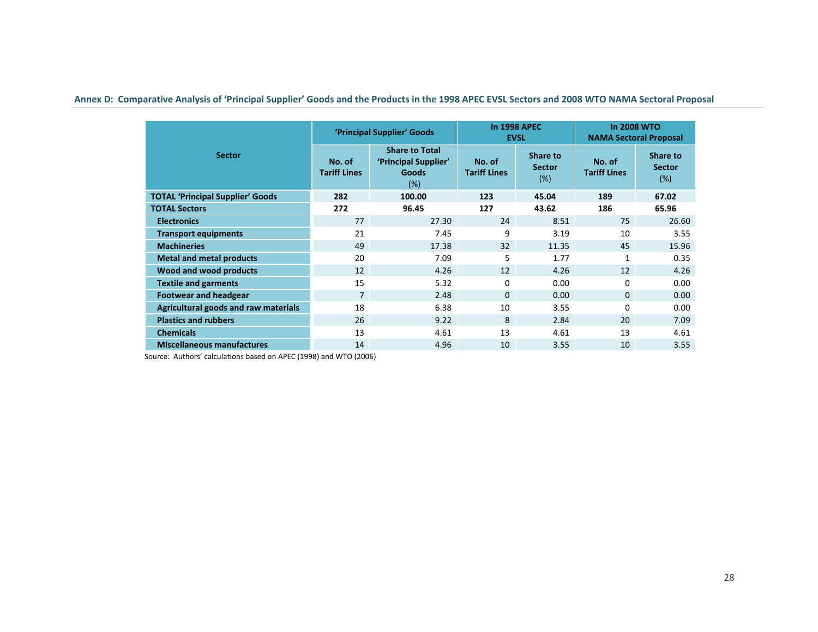Annex D: Comparative Analysis of 'Principal Supplier' Goods and the Products in the 1998 APEC EVSL Sectors and 2008 WTO NAMA Sectoral Proposal

|                                         | 'Principal Supplier' Goods    |                                                                      |                               | <b>In 1998 APEC</b><br><b>EVSL</b> | <b>In 2008 WTO</b><br><b>NAMA Sectoral Proposal</b> |                                  |
|-----------------------------------------|-------------------------------|----------------------------------------------------------------------|-------------------------------|------------------------------------|-----------------------------------------------------|----------------------------------|
| <b>Sector</b>                           | No. of<br><b>Tariff Lines</b> | <b>Share to Total</b><br>'Principal Supplier'<br><b>Goods</b><br>(%) | No. of<br><b>Tariff Lines</b> | Share to<br><b>Sector</b><br>(%)   | No. of<br><b>Tariff Lines</b>                       | Share to<br><b>Sector</b><br>(%) |
| <b>TOTAL 'Principal Supplier' Goods</b> | 282                           | 100.00                                                               | 123                           | 45.04                              | 189                                                 | 67.02                            |
| <b>TOTAL Sectors</b>                    | 272                           | 96.45                                                                | 127                           | 43.62                              | 186                                                 | 65.96                            |
| <b>Electronics</b>                      | 77                            | 27.30                                                                | 24                            | 8.51                               | 75                                                  | 26.60                            |
| <b>Transport equipments</b>             | 21                            | 7.45                                                                 | 9                             | 3.19                               | 10                                                  | 3.55                             |
| <b>Machineries</b>                      | 49                            | 17.38                                                                | 32                            | 11.35                              | 45                                                  | 15.96                            |
| <b>Metal and metal products</b>         | 20                            | 7.09                                                                 | 5                             | 1.77                               | $\mathbf{1}$                                        | 0.35                             |
| Wood and wood products                  | 12                            | 4.26                                                                 | 12                            | 4.26                               | 12                                                  | 4.26                             |
| <b>Textile and garments</b>             | 15                            | 5.32                                                                 | $\Omega$                      | 0.00                               | $\Omega$                                            | 0.00                             |
| <b>Footwear and headgear</b>            | $\overline{7}$                | 2.48                                                                 | $\Omega$                      | 0.00                               | $\Omega$                                            | 0.00                             |
| Agricultural goods and raw materials    | 18                            | 6.38                                                                 | 10                            | 3.55                               | $\Omega$                                            | 0.00                             |
| <b>Plastics and rubbers</b>             | 26                            | 9.22                                                                 | 8                             | 2.84                               | 20                                                  | 7.09                             |
| <b>Chemicals</b>                        | 13                            | 4.61                                                                 | 13                            | 4.61                               | 13                                                  | 4.61                             |
| <b>Miscellaneous manufactures</b>       | 14                            | 4.96                                                                 | 10                            | 3.55                               | 10                                                  | 3.55                             |

Source: Authors' calculations based on APEC (1998) and WTO (2006)